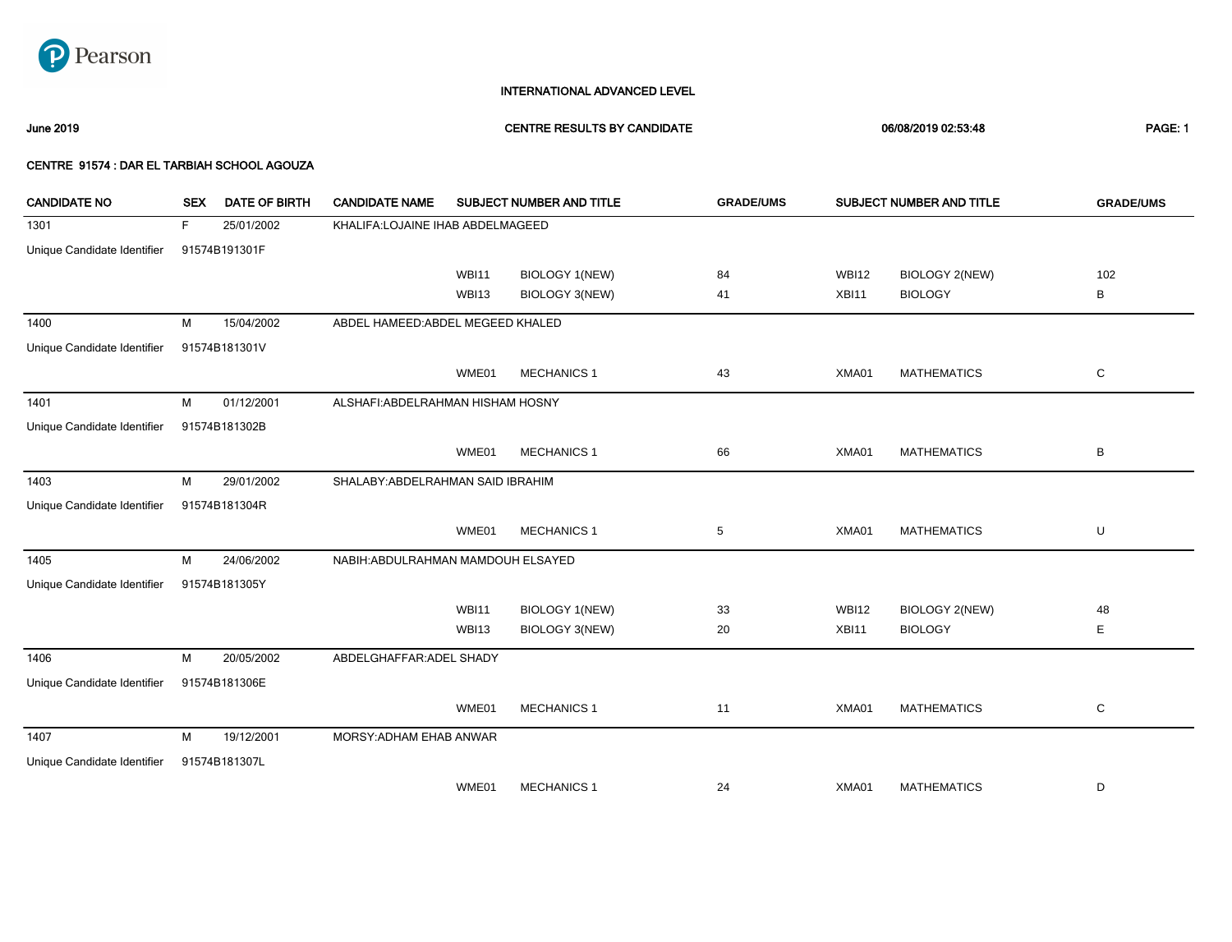

June 2019 CENTRE RESULTS BY CANDIDATE 06/08/2019 02:53:48 PAGE: 1

| <b>CANDIDATE NO</b>         | <b>SEX</b> | DATE OF BIRTH | <b>CANDIDATE NAME</b>              |              | SUBJECT NUMBER AND TITLE | <b>GRADE/UMS</b> |              | SUBJECT NUMBER AND TITLE | <b>GRADE/UMS</b> |
|-----------------------------|------------|---------------|------------------------------------|--------------|--------------------------|------------------|--------------|--------------------------|------------------|
| 1301                        | F          | 25/01/2002    | KHALIFA:LOJAINE IHAB ABDELMAGEED   |              |                          |                  |              |                          |                  |
| Unique Candidate Identifier |            | 91574B191301F |                                    |              |                          |                  |              |                          |                  |
|                             |            |               |                                    | <b>WBI11</b> | <b>BIOLOGY 1(NEW)</b>    | 84               | <b>WBI12</b> | <b>BIOLOGY 2(NEW)</b>    | 102              |
|                             |            |               |                                    | WBI13        | BIOLOGY 3(NEW)           | 41               | XBI11        | <b>BIOLOGY</b>           | В                |
| 1400                        | М          | 15/04/2002    | ABDEL HAMEED: ABDEL MEGEED KHALED  |              |                          |                  |              |                          |                  |
| Unique Candidate Identifier |            | 91574B181301V |                                    |              |                          |                  |              |                          |                  |
|                             |            |               |                                    | WME01        | <b>MECHANICS 1</b>       | 43               | XMA01        | <b>MATHEMATICS</b>       | С                |
| 1401                        | М          | 01/12/2001    | ALSHAFI: ABDELRAHMAN HISHAM HOSNY  |              |                          |                  |              |                          |                  |
| Unique Candidate Identifier |            | 91574B181302B |                                    |              |                          |                  |              |                          |                  |
|                             |            |               |                                    | WME01        | <b>MECHANICS 1</b>       | 66               | XMA01        | <b>MATHEMATICS</b>       | B                |
| 1403                        | М          | 29/01/2002    | SHALABY: ABDELRAHMAN SAID IBRAHIM  |              |                          |                  |              |                          |                  |
| Unique Candidate Identifier |            | 91574B181304R |                                    |              |                          |                  |              |                          |                  |
|                             |            |               |                                    | WME01        | <b>MECHANICS 1</b>       | 5                | XMA01        | <b>MATHEMATICS</b>       | U                |
| 1405                        | М          | 24/06/2002    | NABIH: ABDULRAHMAN MAMDOUH ELSAYED |              |                          |                  |              |                          |                  |
| Unique Candidate Identifier |            | 91574B181305Y |                                    |              |                          |                  |              |                          |                  |
|                             |            |               |                                    | <b>WBI11</b> | <b>BIOLOGY 1(NEW)</b>    | 33               | <b>WBI12</b> | <b>BIOLOGY 2(NEW)</b>    | 48               |
|                             |            |               |                                    | WBI13        | BIOLOGY 3(NEW)           | 20               | XBI11        | <b>BIOLOGY</b>           | Е                |
| 1406                        | М          | 20/05/2002    | ABDELGHAFFAR: ADEL SHADY           |              |                          |                  |              |                          |                  |
| Unique Candidate Identifier |            | 91574B181306E |                                    |              |                          |                  |              |                          |                  |
|                             |            |               |                                    | WME01        | <b>MECHANICS 1</b>       | 11               | XMA01        | <b>MATHEMATICS</b>       | С                |
| 1407                        | М          | 19/12/2001    | MORSY: ADHAM EHAB ANWAR            |              |                          |                  |              |                          |                  |
| Unique Candidate Identifier |            | 91574B181307L |                                    |              |                          |                  |              |                          |                  |
|                             |            |               |                                    | WME01        | <b>MECHANICS 1</b>       | 24               | XMA01        | <b>MATHEMATICS</b>       | D                |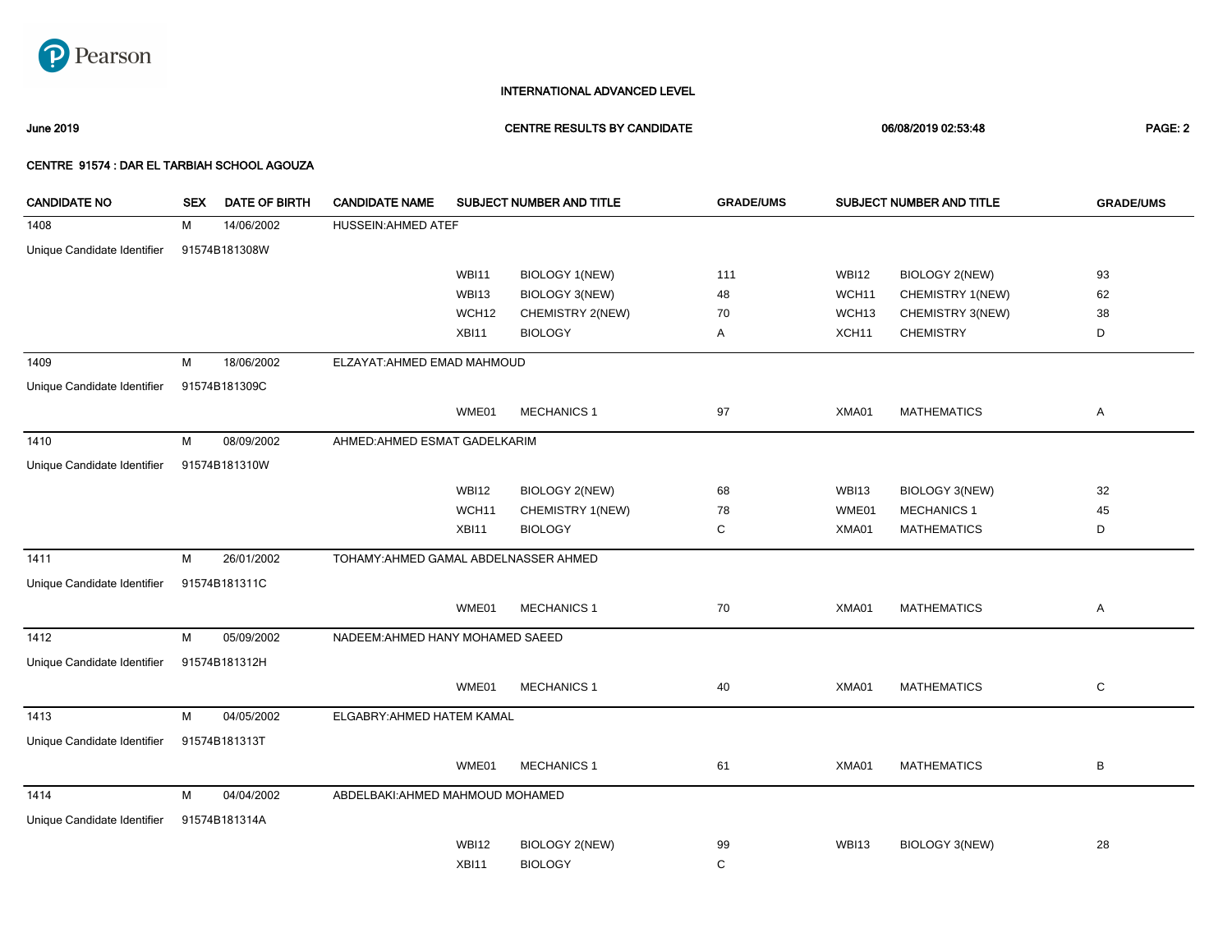

June 2019 CENTRE RESULTS BY CANDIDATE 06/08/2019 02:53:48 PAGE: 2

| <b>CANDIDATE NO</b>         | <b>SEX</b> | <b>DATE OF BIRTH</b> | <b>CANDIDATE NAME</b>                 |              | SUBJECT NUMBER AND TITLE | <b>GRADE/UMS</b> |                   | SUBJECT NUMBER AND TITLE | <b>GRADE/UMS</b> |
|-----------------------------|------------|----------------------|---------------------------------------|--------------|--------------------------|------------------|-------------------|--------------------------|------------------|
| 1408                        | M          | 14/06/2002           | <b>HUSSEIN: AHMED ATEF</b>            |              |                          |                  |                   |                          |                  |
| Unique Candidate Identifier |            | 91574B181308W        |                                       |              |                          |                  |                   |                          |                  |
|                             |            |                      |                                       | <b>WBI11</b> | BIOLOGY 1(NEW)           | 111              | <b>WBI12</b>      | BIOLOGY 2(NEW)           | 93               |
|                             |            |                      |                                       | WBI13        | <b>BIOLOGY 3(NEW)</b>    | 48               | WCH11             | CHEMISTRY 1(NEW)         | 62               |
|                             |            |                      |                                       | WCH12        | CHEMISTRY 2(NEW)         | 70               | WCH <sub>13</sub> | CHEMISTRY 3(NEW)         | 38               |
|                             |            |                      |                                       | XBI11        | <b>BIOLOGY</b>           | Α                | XCH <sub>11</sub> | <b>CHEMISTRY</b>         | D                |
| 1409                        | M          | 18/06/2002           | ELZAYAT: AHMED EMAD MAHMOUD           |              |                          |                  |                   |                          |                  |
| Unique Candidate Identifier |            | 91574B181309C        |                                       |              |                          |                  |                   |                          |                  |
|                             |            |                      |                                       | WME01        | <b>MECHANICS 1</b>       | 97               | XMA01             | <b>MATHEMATICS</b>       | Α                |
| 1410                        | M          | 08/09/2002           | AHMED: AHMED ESMAT GADELKARIM         |              |                          |                  |                   |                          |                  |
| Unique Candidate Identifier |            | 91574B181310W        |                                       |              |                          |                  |                   |                          |                  |
|                             |            |                      |                                       | <b>WBI12</b> | <b>BIOLOGY 2(NEW)</b>    | 68               | <b>WBI13</b>      | <b>BIOLOGY 3(NEW)</b>    | 32               |
|                             |            |                      |                                       | WCH11        | CHEMISTRY 1(NEW)         | 78               | WME01             | <b>MECHANICS 1</b>       | 45               |
|                             |            |                      |                                       | XBI11        | <b>BIOLOGY</b>           | C                | XMA01             | <b>MATHEMATICS</b>       | D                |
| 1411                        | M          | 26/01/2002           | TOHAMY: AHMED GAMAL ABDELNASSER AHMED |              |                          |                  |                   |                          |                  |
| Unique Candidate Identifier |            | 91574B181311C        |                                       |              |                          |                  |                   |                          |                  |
|                             |            |                      |                                       | WME01        | <b>MECHANICS 1</b>       | 70               | XMA01             | <b>MATHEMATICS</b>       | Α                |
| 1412                        | M          | 05/09/2002           | NADEEM: AHMED HANY MOHAMED SAEED      |              |                          |                  |                   |                          |                  |
| Unique Candidate Identifier |            | 91574B181312H        |                                       |              |                          |                  |                   |                          |                  |
|                             |            |                      |                                       | WME01        | <b>MECHANICS 1</b>       | 40               | XMA01             | <b>MATHEMATICS</b>       | C                |
| 1413                        | M          | 04/05/2002           | ELGABRY: AHMED HATEM KAMAL            |              |                          |                  |                   |                          |                  |
| Unique Candidate Identifier |            | 91574B181313T        |                                       |              |                          |                  |                   |                          |                  |
|                             |            |                      |                                       | WME01        | <b>MECHANICS 1</b>       | 61               | XMA01             | <b>MATHEMATICS</b>       | B                |
| 1414                        | M          | 04/04/2002           | ABDELBAKI:AHMED MAHMOUD MOHAMED       |              |                          |                  |                   |                          |                  |
| Unique Candidate Identifier |            | 91574B181314A        |                                       |              |                          |                  |                   |                          |                  |
|                             |            |                      |                                       | <b>WBI12</b> | <b>BIOLOGY 2(NEW)</b>    | 99               | <b>WBI13</b>      | BIOLOGY 3(NEW)           | 28               |
|                             |            |                      |                                       | XBI11        | <b>BIOLOGY</b>           | $\mathbf C$      |                   |                          |                  |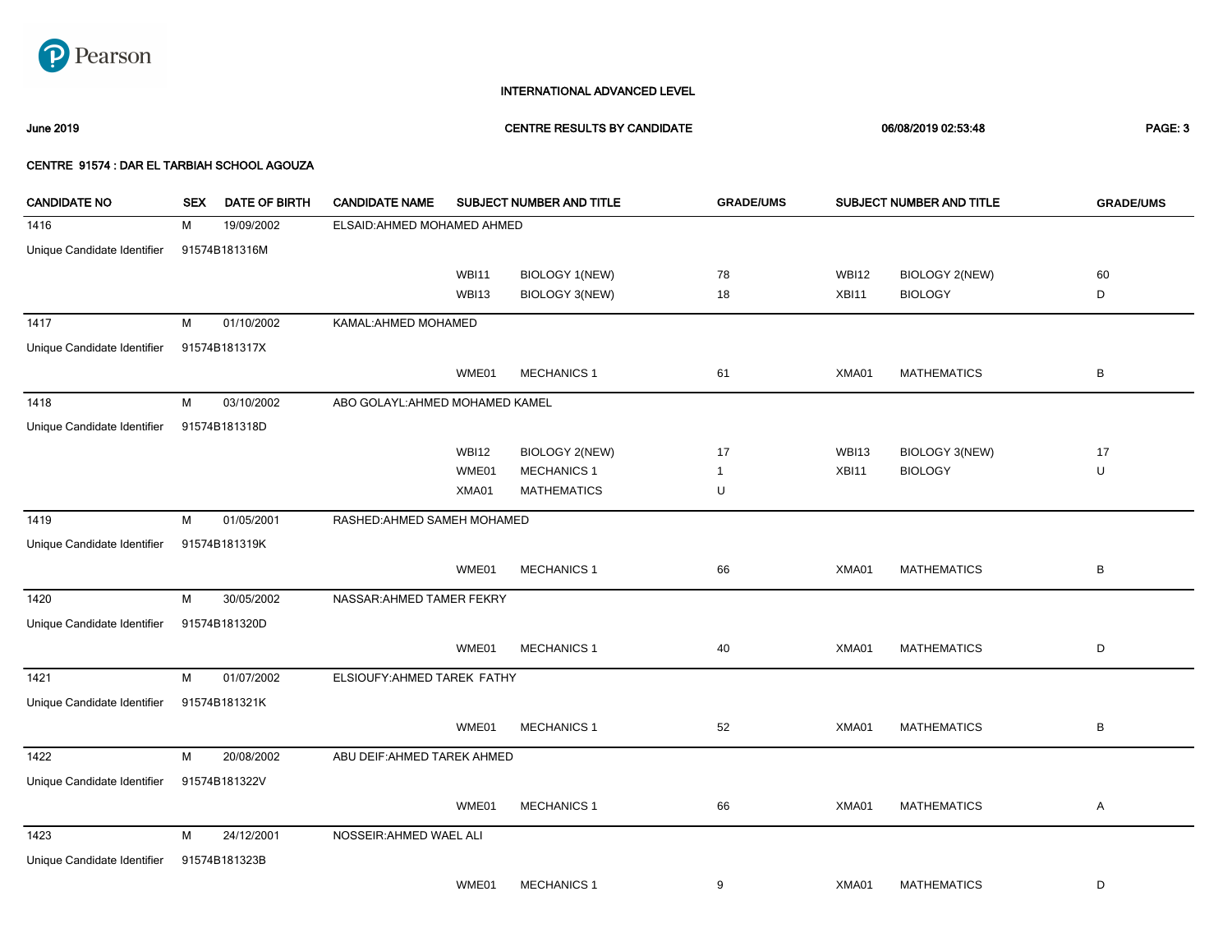

June 2019 CENTRE RESULTS BY CANDIDATE 06/08/2019 02:53:48 PAGE: 3

| <b>CANDIDATE NO</b>         | <b>SEX</b> | DATE OF BIRTH | <b>CANDIDATE NAME</b>           |              | SUBJECT NUMBER AND TITLE | <b>GRADE/UMS</b> |              | SUBJECT NUMBER AND TITLE | <b>GRADE/UMS</b> |
|-----------------------------|------------|---------------|---------------------------------|--------------|--------------------------|------------------|--------------|--------------------------|------------------|
| 1416                        | м          | 19/09/2002    | ELSAID: AHMED MOHAMED AHMED     |              |                          |                  |              |                          |                  |
| Unique Candidate Identifier |            | 91574B181316M |                                 |              |                          |                  |              |                          |                  |
|                             |            |               |                                 | <b>WBI11</b> | BIOLOGY 1(NEW)           | 78               | <b>WBI12</b> | BIOLOGY 2(NEW)           | 60               |
|                             |            |               |                                 | <b>WBI13</b> | BIOLOGY 3(NEW)           | 18               | XBI11        | <b>BIOLOGY</b>           | D                |
| 1417                        | M          | 01/10/2002    | KAMAL: AHMED MOHAMED            |              |                          |                  |              |                          |                  |
| Unique Candidate Identifier |            | 91574B181317X |                                 |              |                          |                  |              |                          |                  |
|                             |            |               |                                 | WME01        | <b>MECHANICS 1</b>       | 61               | XMA01        | <b>MATHEMATICS</b>       | В                |
| 1418                        | M          | 03/10/2002    | ABO GOLAYL: AHMED MOHAMED KAMEL |              |                          |                  |              |                          |                  |
| Unique Candidate Identifier |            | 91574B181318D |                                 |              |                          |                  |              |                          |                  |
|                             |            |               |                                 | <b>WBI12</b> | <b>BIOLOGY 2(NEW)</b>    | 17               | WBI13        | BIOLOGY 3(NEW)           | 17               |
|                             |            |               |                                 | WME01        | <b>MECHANICS 1</b>       | $\overline{1}$   | XBI11        | <b>BIOLOGY</b>           | U                |
|                             |            |               |                                 | XMA01        | <b>MATHEMATICS</b>       | U                |              |                          |                  |
| 1419                        | M          | 01/05/2001    | RASHED: AHMED SAMEH MOHAMED     |              |                          |                  |              |                          |                  |
| Unique Candidate Identifier |            | 91574B181319K |                                 |              |                          |                  |              |                          |                  |
|                             |            |               |                                 | WME01        | <b>MECHANICS 1</b>       | 66               | XMA01        | <b>MATHEMATICS</b>       | $\sf B$          |
| 1420                        | M          | 30/05/2002    | NASSAR: AHMED TAMER FEKRY       |              |                          |                  |              |                          |                  |
| Unique Candidate Identifier |            | 91574B181320D |                                 |              |                          |                  |              |                          |                  |
|                             |            |               |                                 | WME01        | <b>MECHANICS 1</b>       | 40               | XMA01        | <b>MATHEMATICS</b>       | D                |
| 1421                        | M          | 01/07/2002    | ELSIOUFY:AHMED TAREK FATHY      |              |                          |                  |              |                          |                  |
| Unique Candidate Identifier |            | 91574B181321K |                                 |              |                          |                  |              |                          |                  |
|                             |            |               |                                 | WME01        | <b>MECHANICS 1</b>       | 52               | XMA01        | <b>MATHEMATICS</b>       | В                |
| 1422                        | M          | 20/08/2002    | ABU DEIF: AHMED TAREK AHMED     |              |                          |                  |              |                          |                  |
| Unique Candidate Identifier |            | 91574B181322V |                                 |              |                          |                  |              |                          |                  |
|                             |            |               |                                 | WME01        | <b>MECHANICS 1</b>       | 66               | XMA01        | <b>MATHEMATICS</b>       | Α                |
| 1423                        | М          | 24/12/2001    | NOSSEIR: AHMED WAEL ALI         |              |                          |                  |              |                          |                  |
| Unique Candidate Identifier |            | 91574B181323B |                                 |              |                          |                  |              |                          |                  |
|                             |            |               |                                 | WME01        | <b>MECHANICS 1</b>       | 9                | XMA01        | <b>MATHEMATICS</b>       | D                |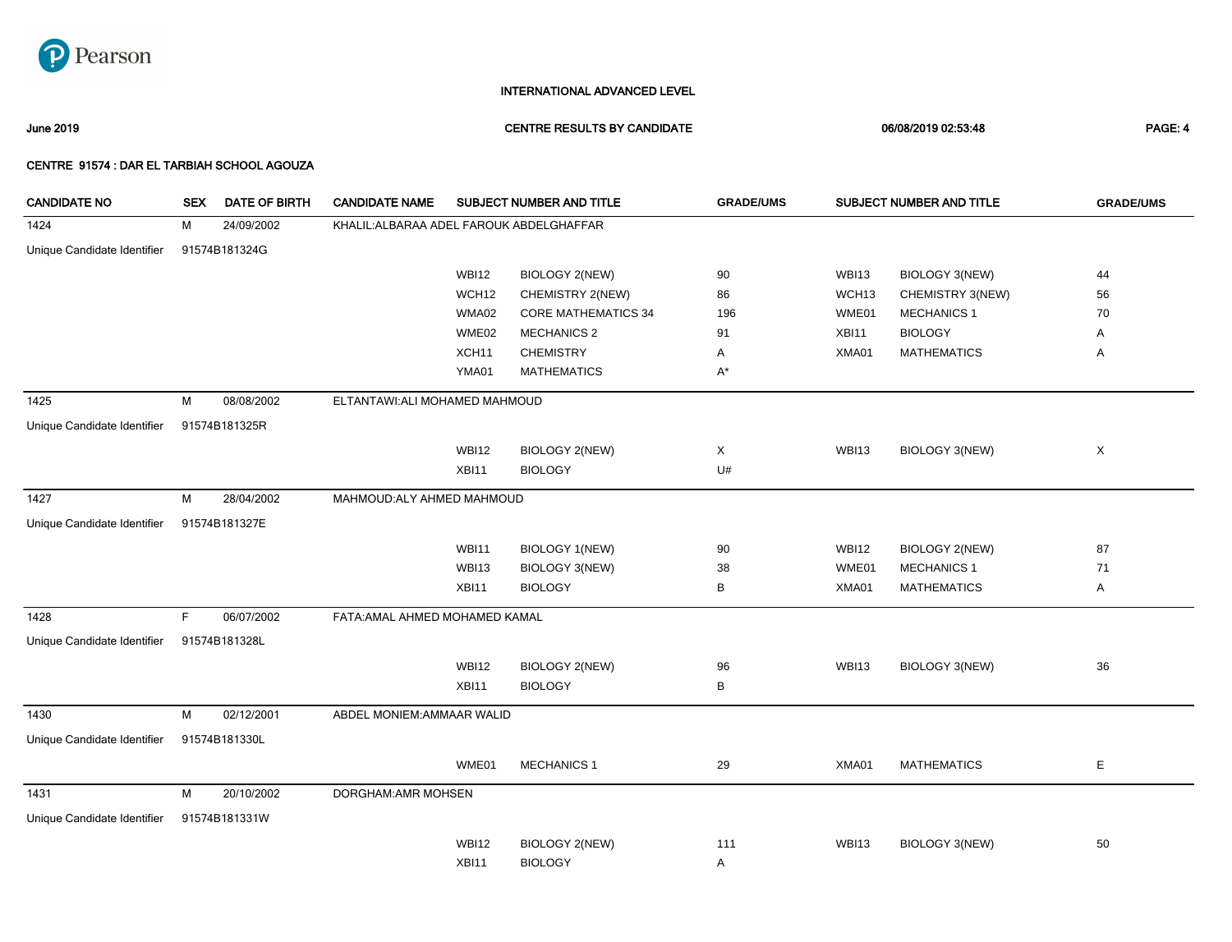

June 2019 CENTRE RESULTS BY CANDIDATE 06/08/2019 02:53:48 PAGE: 4

| <b>CANDIDATE NO</b>         | <b>SEX</b> | <b>DATE OF BIRTH</b> | <b>CANDIDATE NAME</b>                    |              | <b>SUBJECT NUMBER AND TITLE</b> | <b>GRADE/UMS</b> |              | SUBJECT NUMBER AND TITLE | <b>GRADE/UMS</b> |
|-----------------------------|------------|----------------------|------------------------------------------|--------------|---------------------------------|------------------|--------------|--------------------------|------------------|
| 1424                        | м          | 24/09/2002           | KHALIL: ALBARAA ADEL FAROUK ABDELGHAFFAR |              |                                 |                  |              |                          |                  |
| Unique Candidate Identifier |            | 91574B181324G        |                                          |              |                                 |                  |              |                          |                  |
|                             |            |                      |                                          | <b>WBI12</b> | BIOLOGY 2(NEW)                  | 90               | <b>WBI13</b> | BIOLOGY 3(NEW)           | 44               |
|                             |            |                      |                                          | WCH12        | CHEMISTRY 2(NEW)                | 86               | WCH13        | CHEMISTRY 3(NEW)         | 56               |
|                             |            |                      |                                          | WMA02        | <b>CORE MATHEMATICS 34</b>      | 196              | WME01        | <b>MECHANICS 1</b>       | 70               |
|                             |            |                      |                                          | WME02        | <b>MECHANICS 2</b>              | 91               | XBI11        | <b>BIOLOGY</b>           | Α                |
|                             |            |                      |                                          | XCH11        | <b>CHEMISTRY</b>                | Α                | XMA01        | <b>MATHEMATICS</b>       | Α                |
|                             |            |                      |                                          | YMA01        | <b>MATHEMATICS</b>              | $A^*$            |              |                          |                  |
| 1425                        | M          | 08/08/2002           | ELTANTAWI:ALI MOHAMED MAHMOUD            |              |                                 |                  |              |                          |                  |
| Unique Candidate Identifier |            | 91574B181325R        |                                          |              |                                 |                  |              |                          |                  |
|                             |            |                      |                                          | <b>WBI12</b> | <b>BIOLOGY 2(NEW)</b>           | X                | <b>WBI13</b> | BIOLOGY 3(NEW)           | X                |
|                             |            |                      |                                          | XBI11        | <b>BIOLOGY</b>                  | U#               |              |                          |                  |
| 1427                        | M          | 28/04/2002           | MAHMOUD: ALY AHMED MAHMOUD               |              |                                 |                  |              |                          |                  |
| Unique Candidate Identifier |            | 91574B181327E        |                                          |              |                                 |                  |              |                          |                  |
|                             |            |                      |                                          | <b>WBI11</b> | <b>BIOLOGY 1(NEW)</b>           | 90               | <b>WBI12</b> | <b>BIOLOGY 2(NEW)</b>    | 87               |
|                             |            |                      |                                          | <b>WBI13</b> | BIOLOGY 3(NEW)                  | 38               | WME01        | <b>MECHANICS 1</b>       | 71               |
|                             |            |                      |                                          | <b>XBI11</b> | <b>BIOLOGY</b>                  | В                | XMA01        | <b>MATHEMATICS</b>       | Α                |
| 1428                        | F.         | 06/07/2002           | FATA: AMAL AHMED MOHAMED KAMAL           |              |                                 |                  |              |                          |                  |
| Unique Candidate Identifier |            | 91574B181328L        |                                          |              |                                 |                  |              |                          |                  |
|                             |            |                      |                                          | <b>WBI12</b> | <b>BIOLOGY 2(NEW)</b>           | 96               | <b>WBI13</b> | BIOLOGY 3(NEW)           | 36               |
|                             |            |                      |                                          | XBI11        | <b>BIOLOGY</b>                  | В                |              |                          |                  |
| 1430                        | M          | 02/12/2001           | ABDEL MONIEM: AMMAAR WALID               |              |                                 |                  |              |                          |                  |
| Unique Candidate Identifier |            | 91574B181330L        |                                          |              |                                 |                  |              |                          |                  |
|                             |            |                      |                                          | WME01        | <b>MECHANICS 1</b>              | 29               | XMA01        | <b>MATHEMATICS</b>       | Е                |
| 1431                        | M          | 20/10/2002           | DORGHAM: AMR MOHSEN                      |              |                                 |                  |              |                          |                  |
| Unique Candidate Identifier |            | 91574B181331W        |                                          |              |                                 |                  |              |                          |                  |
|                             |            |                      |                                          | <b>WBI12</b> | <b>BIOLOGY 2(NEW)</b>           | 111              | <b>WBI13</b> | BIOLOGY 3(NEW)           | 50               |
|                             |            |                      |                                          | XBI11        | <b>BIOLOGY</b>                  | Α                |              |                          |                  |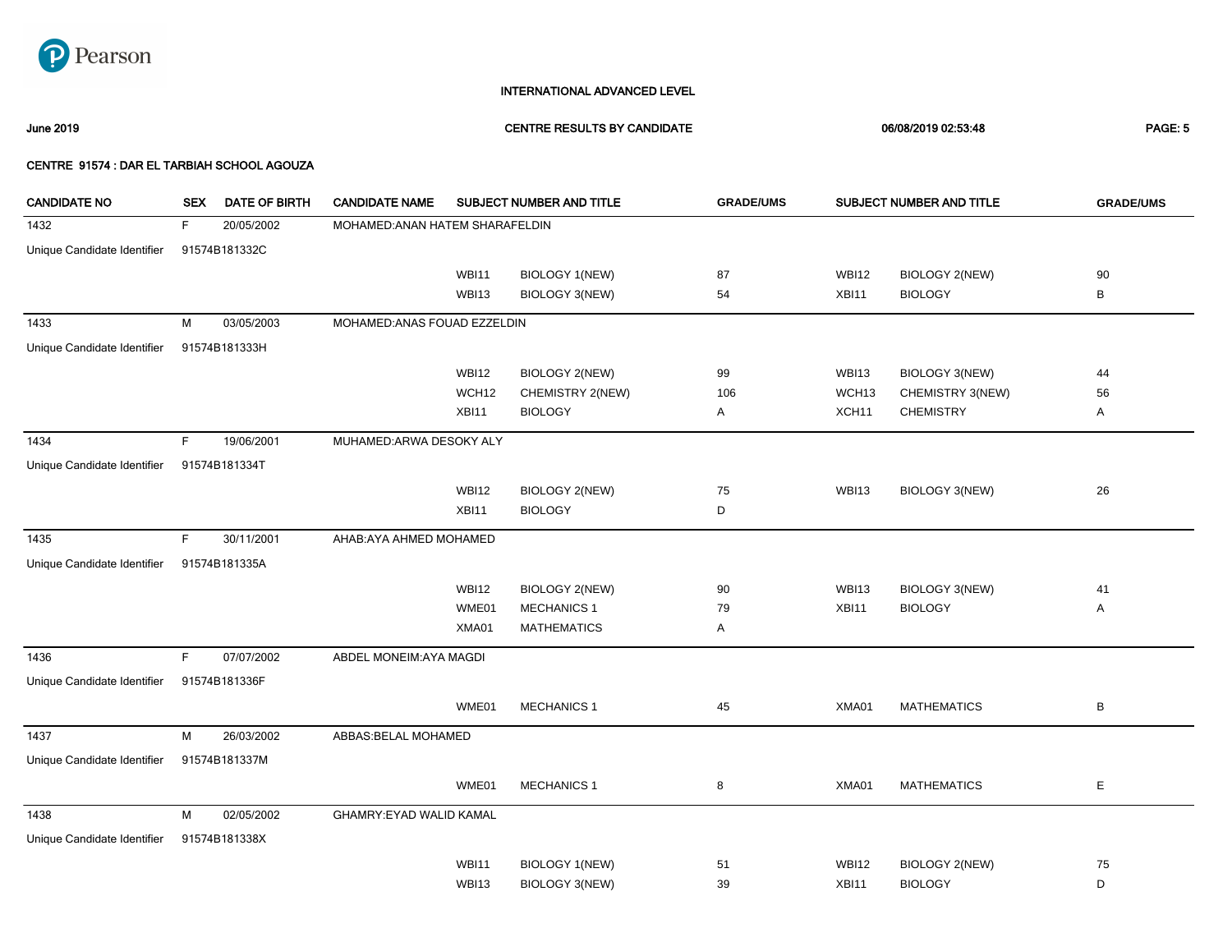

June 2019 CENTRE RESULTS BY CANDIDATE 06/08/2019 02:53:48 PAGE: 5

| <b>CANDIDATE NO</b>         | <b>SEX</b> | DATE OF BIRTH | <b>CANDIDATE NAME</b>           |                   | SUBJECT NUMBER AND TITLE | <b>GRADE/UMS</b> |                   | SUBJECT NUMBER AND TITLE | <b>GRADE/UMS</b> |
|-----------------------------|------------|---------------|---------------------------------|-------------------|--------------------------|------------------|-------------------|--------------------------|------------------|
| 1432                        | F.         | 20/05/2002    | MOHAMED: ANAN HATEM SHARAFELDIN |                   |                          |                  |                   |                          |                  |
| Unique Candidate Identifier |            | 91574B181332C |                                 |                   |                          |                  |                   |                          |                  |
|                             |            |               |                                 | <b>WBI11</b>      | <b>BIOLOGY 1(NEW)</b>    | 87               | <b>WBI12</b>      | BIOLOGY 2(NEW)           | 90               |
|                             |            |               |                                 | <b>WBI13</b>      | <b>BIOLOGY 3(NEW)</b>    | 54               | XBI11             | <b>BIOLOGY</b>           | В                |
| 1433                        | M          | 03/05/2003    | MOHAMED: ANAS FOUAD EZZELDIN    |                   |                          |                  |                   |                          |                  |
| Unique Candidate Identifier |            | 91574B181333H |                                 |                   |                          |                  |                   |                          |                  |
|                             |            |               |                                 |                   |                          |                  |                   |                          |                  |
|                             |            |               |                                 | <b>WBI12</b>      | <b>BIOLOGY 2(NEW)</b>    | 99               | WBI13             | <b>BIOLOGY 3(NEW)</b>    | 44               |
|                             |            |               |                                 | WCH <sub>12</sub> | CHEMISTRY 2(NEW)         | 106              | WCH <sub>13</sub> | CHEMISTRY 3(NEW)         | 56               |
|                             |            |               |                                 | XBI11             | <b>BIOLOGY</b>           | Α                | XCH <sub>11</sub> | <b>CHEMISTRY</b>         | Α                |
| 1434                        | F          | 19/06/2001    | MUHAMED: ARWA DESOKY ALY        |                   |                          |                  |                   |                          |                  |
| Unique Candidate Identifier |            | 91574B181334T |                                 |                   |                          |                  |                   |                          |                  |
|                             |            |               |                                 | <b>WBI12</b>      | <b>BIOLOGY 2(NEW)</b>    | 75               | <b>WBI13</b>      | BIOLOGY 3(NEW)           | 26               |
|                             |            |               |                                 | XBI11             | <b>BIOLOGY</b>           | D                |                   |                          |                  |
| 1435                        | F          | 30/11/2001    | AHAB: AYA AHMED MOHAMED         |                   |                          |                  |                   |                          |                  |
| Unique Candidate Identifier |            | 91574B181335A |                                 |                   |                          |                  |                   |                          |                  |
|                             |            |               |                                 |                   |                          |                  |                   |                          |                  |
|                             |            |               |                                 | <b>WBI12</b>      | <b>BIOLOGY 2(NEW)</b>    | 90               | <b>WBI13</b>      | BIOLOGY 3(NEW)           | 41               |
|                             |            |               |                                 | WME01             | <b>MECHANICS 1</b>       | 79               | XBI11             | <b>BIOLOGY</b>           | Α                |
|                             |            |               |                                 | XMA01             | <b>MATHEMATICS</b>       | Α                |                   |                          |                  |
| 1436                        | F          | 07/07/2002    | ABDEL MONEIM: AYA MAGDI         |                   |                          |                  |                   |                          |                  |
| Unique Candidate Identifier |            | 91574B181336F |                                 |                   |                          |                  |                   |                          |                  |
|                             |            |               |                                 | WME01             | <b>MECHANICS 1</b>       | 45               | XMA01             | <b>MATHEMATICS</b>       | В                |
| 1437                        | M          | 26/03/2002    | ABBAS: BELAL MOHAMED            |                   |                          |                  |                   |                          |                  |
| Unique Candidate Identifier |            | 91574B181337M |                                 |                   |                          |                  |                   |                          |                  |
|                             |            |               |                                 |                   |                          |                  |                   |                          |                  |
|                             |            |               |                                 | WME01             | <b>MECHANICS 1</b>       | 8                | XMA01             | <b>MATHEMATICS</b>       | E                |
| 1438                        | M          | 02/05/2002    | GHAMRY: EYAD WALID KAMAL        |                   |                          |                  |                   |                          |                  |
| Unique Candidate Identifier |            | 91574B181338X |                                 |                   |                          |                  |                   |                          |                  |
|                             |            |               |                                 | <b>WBI11</b>      | <b>BIOLOGY 1(NEW)</b>    | 51               | <b>WBI12</b>      | <b>BIOLOGY 2(NEW)</b>    | 75               |
|                             |            |               |                                 | WBI13             | <b>BIOLOGY 3(NEW)</b>    | 39               | XBI11             | <b>BIOLOGY</b>           | D                |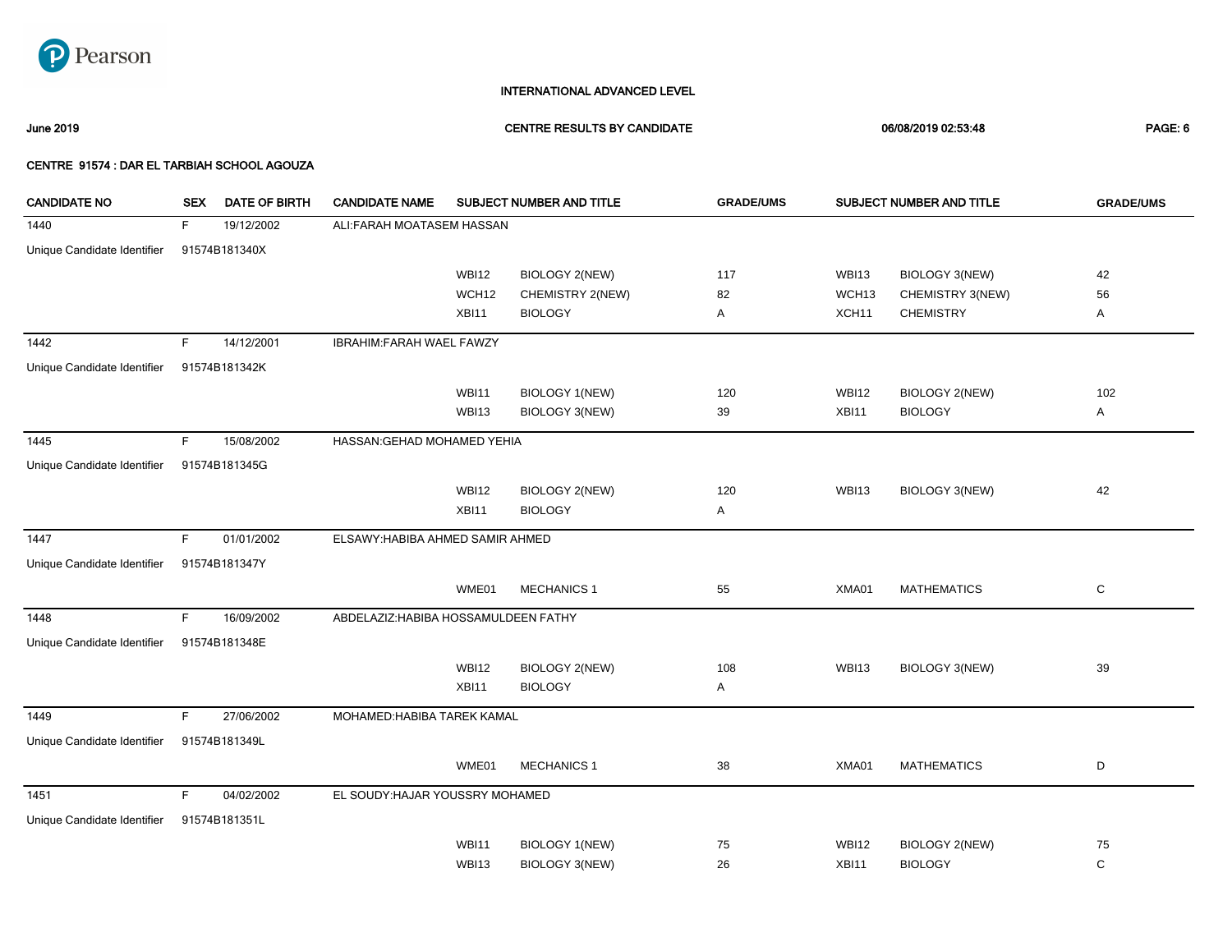

June 2019 CENTRE RESULTS BY CANDIDATE 06/08/2019 02:53:48 PAGE: 6

| <b>CANDIDATE NO</b>         | <b>SEX</b> | <b>DATE OF BIRTH</b> | <b>CANDIDATE NAME</b>                |              | SUBJECT NUMBER AND TITLE | <b>GRADE/UMS</b> | SUBJECT NUMBER AND TITLE |                    | <b>GRADE/UMS</b> |
|-----------------------------|------------|----------------------|--------------------------------------|--------------|--------------------------|------------------|--------------------------|--------------------|------------------|
| 1440                        | F.         | 19/12/2002           | ALI: FARAH MOATASEM HASSAN           |              |                          |                  |                          |                    |                  |
| Unique Candidate Identifier |            | 91574B181340X        |                                      |              |                          |                  |                          |                    |                  |
|                             |            |                      |                                      | <b>WBI12</b> | <b>BIOLOGY 2(NEW)</b>    | 117              | <b>WBI13</b>             | BIOLOGY 3(NEW)     | 42               |
|                             |            |                      |                                      | WCH12        | CHEMISTRY 2(NEW)         | 82               | WCH <sub>13</sub>        | CHEMISTRY 3(NEW)   | 56               |
|                             |            |                      |                                      | XBI11        | <b>BIOLOGY</b>           | Α                | XCH <sub>11</sub>        | <b>CHEMISTRY</b>   | Α                |
| 1442                        | F.         | 14/12/2001           | IBRAHIM: FARAH WAEL FAWZY            |              |                          |                  |                          |                    |                  |
| Unique Candidate Identifier |            | 91574B181342K        |                                      |              |                          |                  |                          |                    |                  |
|                             |            |                      |                                      | <b>WBI11</b> | <b>BIOLOGY 1(NEW)</b>    | 120              | <b>WBI12</b>             | BIOLOGY 2(NEW)     | 102              |
|                             |            |                      |                                      | WBI13        | BIOLOGY 3(NEW)           | 39               | XBI11                    | <b>BIOLOGY</b>     | Α                |
| 1445                        | F.         | 15/08/2002           | HASSAN: GEHAD MOHAMED YEHIA          |              |                          |                  |                          |                    |                  |
| Unique Candidate Identifier |            | 91574B181345G        |                                      |              |                          |                  |                          |                    |                  |
|                             |            |                      |                                      | <b>WBI12</b> | <b>BIOLOGY 2(NEW)</b>    | 120              | <b>WBI13</b>             | BIOLOGY 3(NEW)     | 42               |
|                             |            |                      |                                      | XBI11        | <b>BIOLOGY</b>           | Α                |                          |                    |                  |
| 1447                        | F.         | 01/01/2002           | ELSAWY: HABIBA AHMED SAMIR AHMED     |              |                          |                  |                          |                    |                  |
| Unique Candidate Identifier |            | 91574B181347Y        |                                      |              |                          |                  |                          |                    |                  |
|                             |            |                      |                                      | WME01        | <b>MECHANICS 1</b>       | 55               | XMA01                    | <b>MATHEMATICS</b> | $\mathsf C$      |
| 1448                        | F.         | 16/09/2002           | ABDELAZIZ: HABIBA HOSSAMULDEEN FATHY |              |                          |                  |                          |                    |                  |
| Unique Candidate Identifier |            | 91574B181348E        |                                      |              |                          |                  |                          |                    |                  |
|                             |            |                      |                                      | <b>WBI12</b> | <b>BIOLOGY 2(NEW)</b>    | 108              | <b>WBI13</b>             | BIOLOGY 3(NEW)     | 39               |
|                             |            |                      |                                      | XBI11        | <b>BIOLOGY</b>           | Α                |                          |                    |                  |
| 1449                        | F.         | 27/06/2002           | MOHAMED: HABIBA TAREK KAMAL          |              |                          |                  |                          |                    |                  |
| Unique Candidate Identifier |            | 91574B181349L        |                                      |              |                          |                  |                          |                    |                  |
|                             |            |                      |                                      | WME01        | <b>MECHANICS 1</b>       | 38               | XMA01                    | <b>MATHEMATICS</b> | D                |
| 1451                        | F.         | 04/02/2002           | EL SOUDY: HAJAR YOUSSRY MOHAMED      |              |                          |                  |                          |                    |                  |
| Unique Candidate Identifier |            | 91574B181351L        |                                      |              |                          |                  |                          |                    |                  |
|                             |            |                      |                                      | <b>WBI11</b> | BIOLOGY 1(NEW)           | 75               | <b>WBI12</b>             | BIOLOGY 2(NEW)     | 75               |
|                             |            |                      |                                      | <b>WBI13</b> | BIOLOGY 3(NEW)           | 26               | XBI11                    | <b>BIOLOGY</b>     | $\mathbf C$      |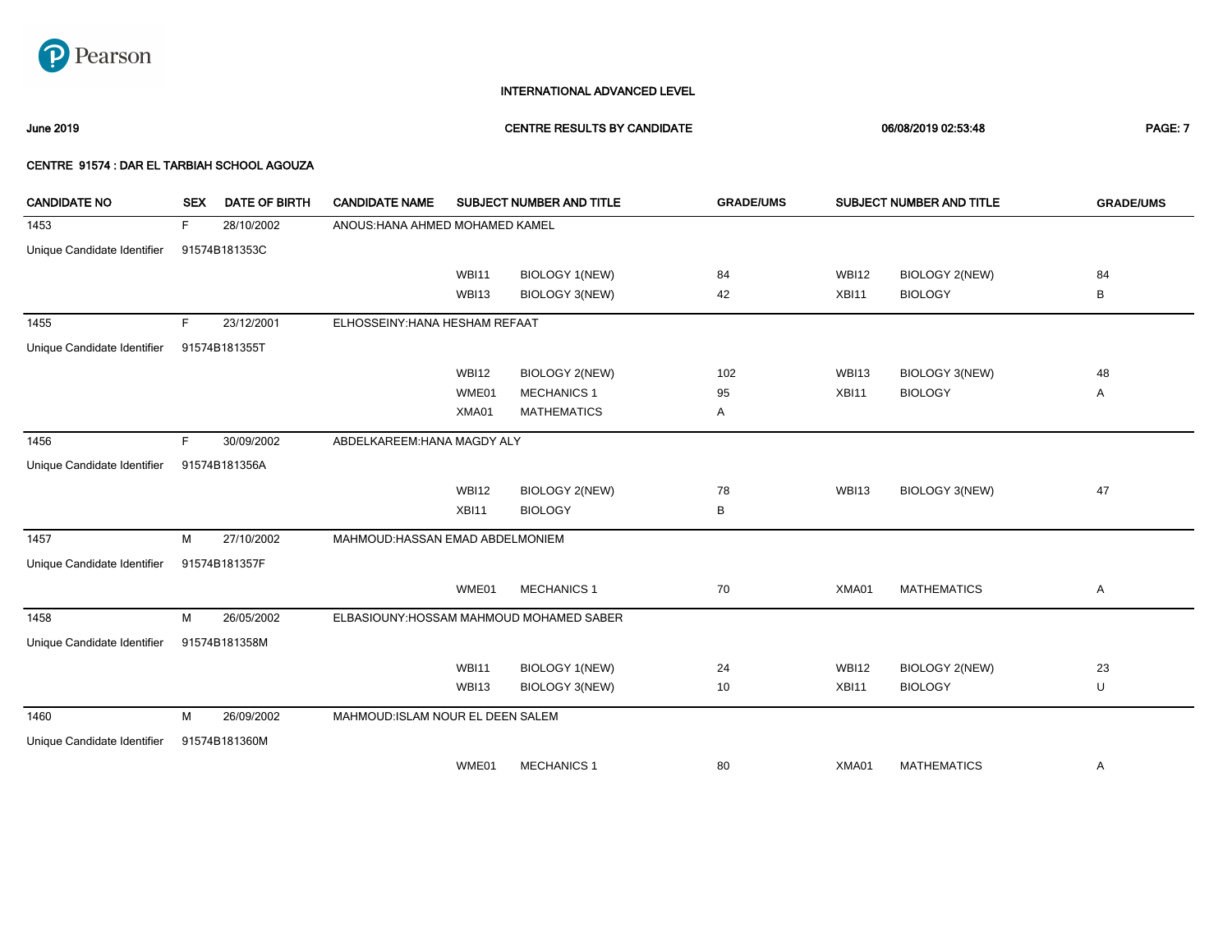

June 2019 CENTRE RESULTS BY CANDIDATE 06/08/2019 02:53:48 PAGE: 7

| <b>CANDIDATE NO</b>         | <b>SEX</b> | <b>DATE OF BIRTH</b> | <b>CANDIDATE NAME</b>             |              | SUBJECT NUMBER AND TITLE                 | <b>GRADE/UMS</b> |              | SUBJECT NUMBER AND TITLE | <b>GRADE/UMS</b> |
|-----------------------------|------------|----------------------|-----------------------------------|--------------|------------------------------------------|------------------|--------------|--------------------------|------------------|
| 1453                        | F          | 28/10/2002           | ANOUS: HANA AHMED MOHAMED KAMEL   |              |                                          |                  |              |                          |                  |
| Unique Candidate Identifier |            | 91574B181353C        |                                   |              |                                          |                  |              |                          |                  |
|                             |            |                      |                                   | <b>WBI11</b> | BIOLOGY 1(NEW)                           | 84               | <b>WBI12</b> | <b>BIOLOGY 2(NEW)</b>    | 84               |
|                             |            |                      |                                   | <b>WBI13</b> | <b>BIOLOGY 3(NEW)</b>                    | 42               | XBI11        | <b>BIOLOGY</b>           | B                |
| 1455                        | F.         | 23/12/2001           | ELHOSSEINY: HANA HESHAM REFAAT    |              |                                          |                  |              |                          |                  |
| Unique Candidate Identifier |            | 91574B181355T        |                                   |              |                                          |                  |              |                          |                  |
|                             |            |                      |                                   | <b>WBI12</b> | <b>BIOLOGY 2(NEW)</b>                    | 102              | <b>WBI13</b> | <b>BIOLOGY 3(NEW)</b>    | 48               |
|                             |            |                      |                                   | WME01        | <b>MECHANICS 1</b>                       | 95               | XBI11        | <b>BIOLOGY</b>           | Α                |
|                             |            |                      |                                   | XMA01        | <b>MATHEMATICS</b>                       | Α                |              |                          |                  |
| 1456                        | F.         | 30/09/2002           | ABDELKAREEM: HANA MAGDY ALY       |              |                                          |                  |              |                          |                  |
| Unique Candidate Identifier |            | 91574B181356A        |                                   |              |                                          |                  |              |                          |                  |
|                             |            |                      |                                   | WBI12        | <b>BIOLOGY 2(NEW)</b>                    | 78               | WBI13        | <b>BIOLOGY 3(NEW)</b>    | 47               |
|                             |            |                      |                                   | XBI11        | <b>BIOLOGY</b>                           | В                |              |                          |                  |
| 1457                        | М          | 27/10/2002           | MAHMOUD: HASSAN EMAD ABDELMONIEM  |              |                                          |                  |              |                          |                  |
| Unique Candidate Identifier |            | 91574B181357F        |                                   |              |                                          |                  |              |                          |                  |
|                             |            |                      |                                   | WME01        | <b>MECHANICS 1</b>                       | 70               | XMA01        | <b>MATHEMATICS</b>       | Α                |
| 1458                        | M          | 26/05/2002           |                                   |              | ELBASIOUNY: HOSSAM MAHMOUD MOHAMED SABER |                  |              |                          |                  |
| Unique Candidate Identifier |            | 91574B181358M        |                                   |              |                                          |                  |              |                          |                  |
|                             |            |                      |                                   | <b>WBI11</b> | BIOLOGY 1(NEW)                           | 24               | <b>WBI12</b> | <b>BIOLOGY 2(NEW)</b>    | 23               |
|                             |            |                      |                                   | WBI13        | BIOLOGY 3(NEW)                           | 10               | XBI11        | <b>BIOLOGY</b>           | U                |
| 1460                        | м          | 26/09/2002           | MAHMOUD: ISLAM NOUR EL DEEN SALEM |              |                                          |                  |              |                          |                  |
| Unique Candidate Identifier |            | 91574B181360M        |                                   |              |                                          |                  |              |                          |                  |
|                             |            |                      |                                   | WME01        | <b>MECHANICS 1</b>                       | 80               | XMA01        | <b>MATHEMATICS</b>       | Α                |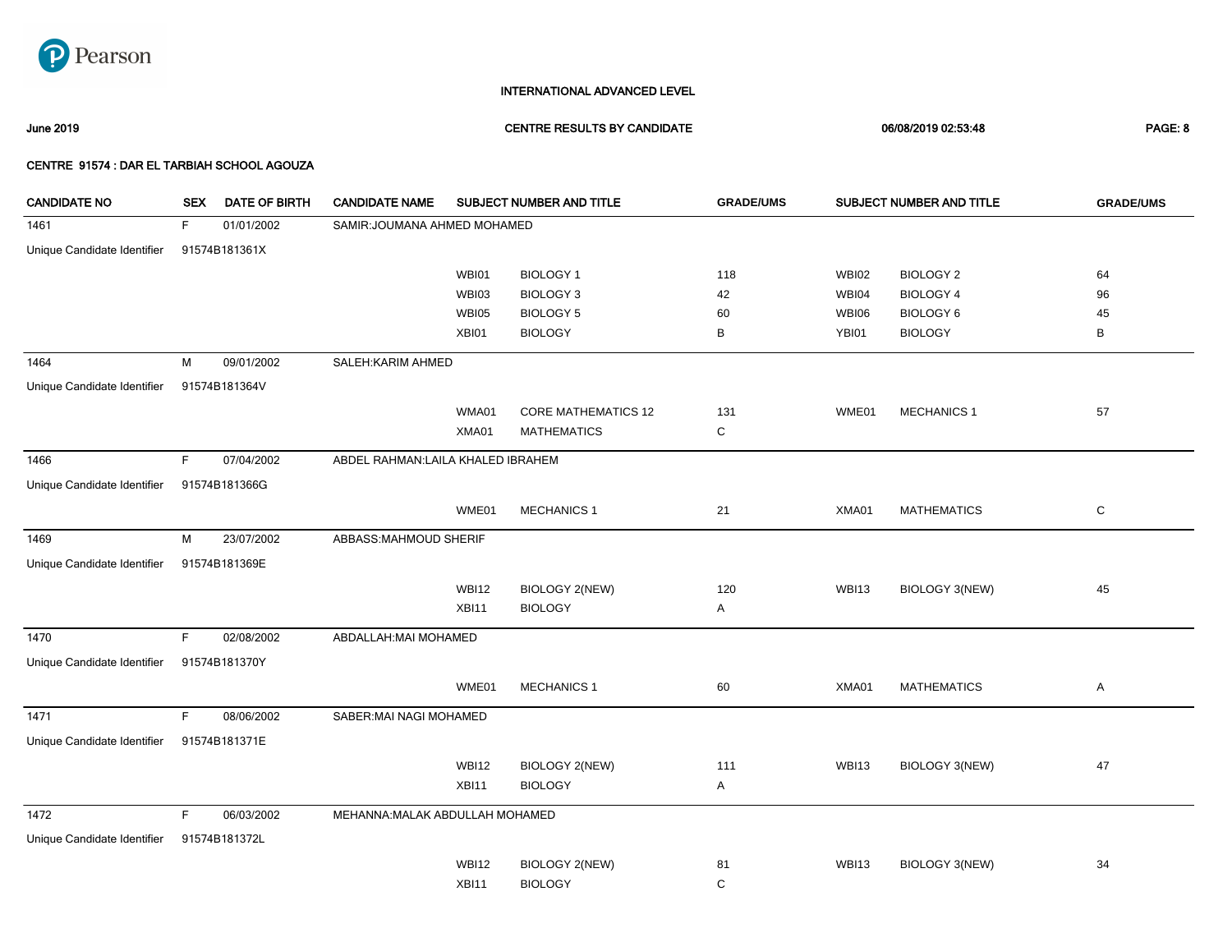

June 2019 CENTRE RESULTS BY CANDIDATE 06/08/2019 02:53:48 PAGE: 8

| <b>CANDIDATE NO</b>         | <b>SEX</b>  | DATE OF BIRTH | <b>CANDIDATE NAME</b>              |              | SUBJECT NUMBER AND TITLE   | <b>GRADE/UMS</b> |              | SUBJECT NUMBER AND TITLE | <b>GRADE/UMS</b> |
|-----------------------------|-------------|---------------|------------------------------------|--------------|----------------------------|------------------|--------------|--------------------------|------------------|
| 1461                        | F           | 01/01/2002    | SAMIR: JOUMANA AHMED MOHAMED       |              |                            |                  |              |                          |                  |
| Unique Candidate Identifier |             | 91574B181361X |                                    |              |                            |                  |              |                          |                  |
|                             |             |               |                                    | WBI01        | <b>BIOLOGY 1</b>           | 118              | <b>WBI02</b> | <b>BIOLOGY 2</b>         | 64               |
|                             |             |               |                                    | WBI03        | <b>BIOLOGY 3</b>           | 42               | WBI04        | <b>BIOLOGY 4</b>         | 96               |
|                             |             |               |                                    | WBI05        | <b>BIOLOGY 5</b>           | 60               | <b>WBI06</b> | <b>BIOLOGY 6</b>         | 45               |
|                             |             |               |                                    | XBI01        | <b>BIOLOGY</b>             | в                | YBI01        | <b>BIOLOGY</b>           | B                |
| 1464                        | M           | 09/01/2002    | SALEH: KARIM AHMED                 |              |                            |                  |              |                          |                  |
| Unique Candidate Identifier |             | 91574B181364V |                                    |              |                            |                  |              |                          |                  |
|                             |             |               |                                    | WMA01        | <b>CORE MATHEMATICS 12</b> | 131              | WME01        | <b>MECHANICS 1</b>       | 57               |
|                             |             |               |                                    | XMA01        | <b>MATHEMATICS</b>         | C                |              |                          |                  |
| 1466                        | F.          | 07/04/2002    | ABDEL RAHMAN: LAILA KHALED IBRAHEM |              |                            |                  |              |                          |                  |
| Unique Candidate Identifier |             | 91574B181366G |                                    |              |                            |                  |              |                          |                  |
|                             |             |               |                                    | WME01        | <b>MECHANICS 1</b>         | 21               | XMA01        | <b>MATHEMATICS</b>       | C                |
| 1469                        | M           | 23/07/2002    | ABBASS:MAHMOUD SHERIF              |              |                            |                  |              |                          |                  |
| Unique Candidate Identifier |             | 91574B181369E |                                    |              |                            |                  |              |                          |                  |
|                             |             |               |                                    | <b>WBI12</b> | <b>BIOLOGY 2(NEW)</b>      | 120              | <b>WBI13</b> | <b>BIOLOGY 3(NEW)</b>    | 45               |
|                             |             |               |                                    | XBI11        | <b>BIOLOGY</b>             | Α                |              |                          |                  |
| 1470                        | F.          | 02/08/2002    | ABDALLAH: MAI MOHAMED              |              |                            |                  |              |                          |                  |
| Unique Candidate Identifier |             | 91574B181370Y |                                    |              |                            |                  |              |                          |                  |
|                             |             |               |                                    | WME01        | <b>MECHANICS 1</b>         | 60               | XMA01        | <b>MATHEMATICS</b>       | Α                |
| 1471                        | $\mathsf F$ | 08/06/2002    | SABER: MAI NAGI MOHAMED            |              |                            |                  |              |                          |                  |
| Unique Candidate Identifier |             | 91574B181371E |                                    |              |                            |                  |              |                          |                  |
|                             |             |               |                                    | <b>WBI12</b> | <b>BIOLOGY 2(NEW)</b>      | 111              | <b>WBI13</b> | <b>BIOLOGY 3(NEW)</b>    | 47               |
|                             |             |               |                                    | XBI11        | <b>BIOLOGY</b>             | Α                |              |                          |                  |
| 1472                        | F.          | 06/03/2002    | MEHANNA: MALAK ABDULLAH MOHAMED    |              |                            |                  |              |                          |                  |
| Unique Candidate Identifier |             | 91574B181372L |                                    |              |                            |                  |              |                          |                  |
|                             |             |               |                                    | <b>WBI12</b> | BIOLOGY 2(NEW)             | 81               | <b>WBI13</b> | <b>BIOLOGY 3(NEW)</b>    | 34               |
|                             |             |               |                                    | XBI11        | <b>BIOLOGY</b>             | C                |              |                          |                  |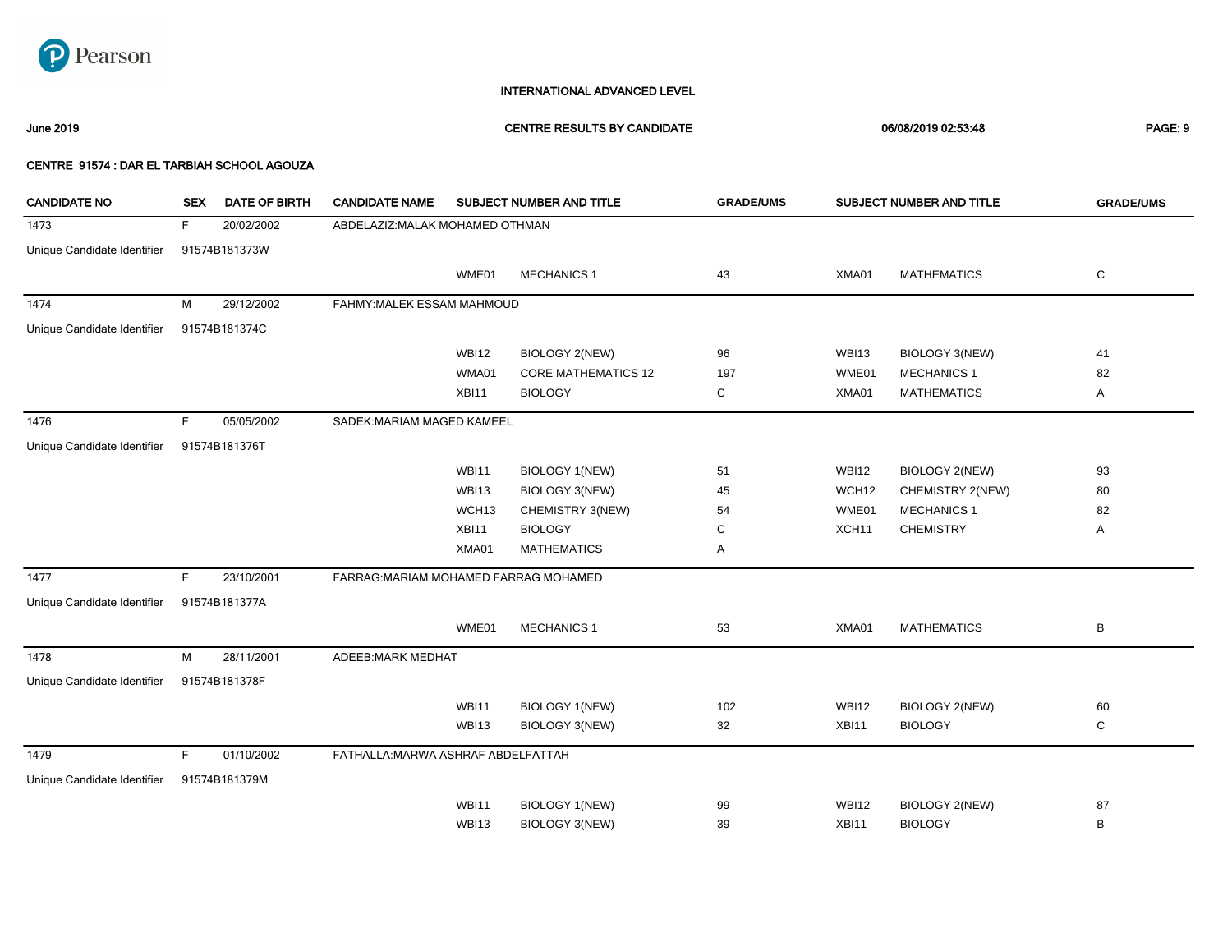

June 2019 CENTRE RESULTS BY CANDIDATE 06/08/2019 02:53:48 PAGE: 9

| <b>CANDIDATE NO</b>         | <b>SEX</b> | <b>DATE OF BIRTH</b> | <b>CANDIDATE NAME</b>                 |                   | SUBJECT NUMBER AND TITLE   | <b>GRADE/UMS</b> |              | SUBJECT NUMBER AND TITLE | <b>GRADE/UMS</b> |
|-----------------------------|------------|----------------------|---------------------------------------|-------------------|----------------------------|------------------|--------------|--------------------------|------------------|
| 1473                        | F.         | 20/02/2002           | ABDELAZIZ: MALAK MOHAMED OTHMAN       |                   |                            |                  |              |                          |                  |
| Unique Candidate Identifier |            | 91574B181373W        |                                       |                   |                            |                  |              |                          |                  |
|                             |            |                      |                                       | WME01             | <b>MECHANICS 1</b>         | 43               | XMA01        | <b>MATHEMATICS</b>       | C                |
| 1474                        | м          | 29/12/2002           | FAHMY: MALEK ESSAM MAHMOUD            |                   |                            |                  |              |                          |                  |
| Unique Candidate Identifier |            | 91574B181374C        |                                       |                   |                            |                  |              |                          |                  |
|                             |            |                      |                                       | <b>WBI12</b>      | <b>BIOLOGY 2(NEW)</b>      | 96               | <b>WBI13</b> | BIOLOGY 3(NEW)           | 41               |
|                             |            |                      |                                       | WMA01             | <b>CORE MATHEMATICS 12</b> | 197              | WME01        | <b>MECHANICS 1</b>       | 82               |
|                             |            |                      |                                       | XBI11             | <b>BIOLOGY</b>             | С                | XMA01        | <b>MATHEMATICS</b>       | A                |
| 1476                        | F          | 05/05/2002           | SADEK: MARIAM MAGED KAMEEL            |                   |                            |                  |              |                          |                  |
| Unique Candidate Identifier |            | 91574B181376T        |                                       |                   |                            |                  |              |                          |                  |
|                             |            |                      |                                       | <b>WBI11</b>      | <b>BIOLOGY 1(NEW)</b>      | 51               | <b>WBI12</b> | <b>BIOLOGY 2(NEW)</b>    | 93               |
|                             |            |                      |                                       | WBI13             | BIOLOGY 3(NEW)             | 45               | WCH12        | CHEMISTRY 2(NEW)         | 80               |
|                             |            |                      |                                       | WCH <sub>13</sub> | CHEMISTRY 3(NEW)           | 54               | WME01        | <b>MECHANICS 1</b>       | 82               |
|                             |            |                      |                                       | XBI11             | <b>BIOLOGY</b>             | С                | XCH11        | <b>CHEMISTRY</b>         | A                |
|                             |            |                      |                                       | XMA01             | <b>MATHEMATICS</b>         | Α                |              |                          |                  |
| 1477                        | F          | 23/10/2001           | FARRAG: MARIAM MOHAMED FARRAG MOHAMED |                   |                            |                  |              |                          |                  |
| Unique Candidate Identifier |            | 91574B181377A        |                                       |                   |                            |                  |              |                          |                  |
|                             |            |                      |                                       | WME01             | <b>MECHANICS 1</b>         | 53               | XMA01        | <b>MATHEMATICS</b>       | В                |
| 1478                        | М          | 28/11/2001           | ADEEB: MARK MEDHAT                    |                   |                            |                  |              |                          |                  |
| Unique Candidate Identifier |            | 91574B181378F        |                                       |                   |                            |                  |              |                          |                  |
|                             |            |                      |                                       | <b>WBI11</b>      | <b>BIOLOGY 1(NEW)</b>      | 102              | <b>WBI12</b> | BIOLOGY 2(NEW)           | 60               |
|                             |            |                      |                                       | WBI13             | BIOLOGY 3(NEW)             | 32               | XBI11        | <b>BIOLOGY</b>           | C                |
| 1479                        | F          | 01/10/2002           | FATHALLA: MARWA ASHRAF ABDELFATTAH    |                   |                            |                  |              |                          |                  |
| Unique Candidate Identifier |            | 91574B181379M        |                                       |                   |                            |                  |              |                          |                  |
|                             |            |                      |                                       | <b>WBI11</b>      | <b>BIOLOGY 1(NEW)</b>      | 99               | <b>WBI12</b> | <b>BIOLOGY 2(NEW)</b>    | 87               |
|                             |            |                      |                                       | WBI13             | BIOLOGY 3(NEW)             | 39               | XBI11        | <b>BIOLOGY</b>           | B                |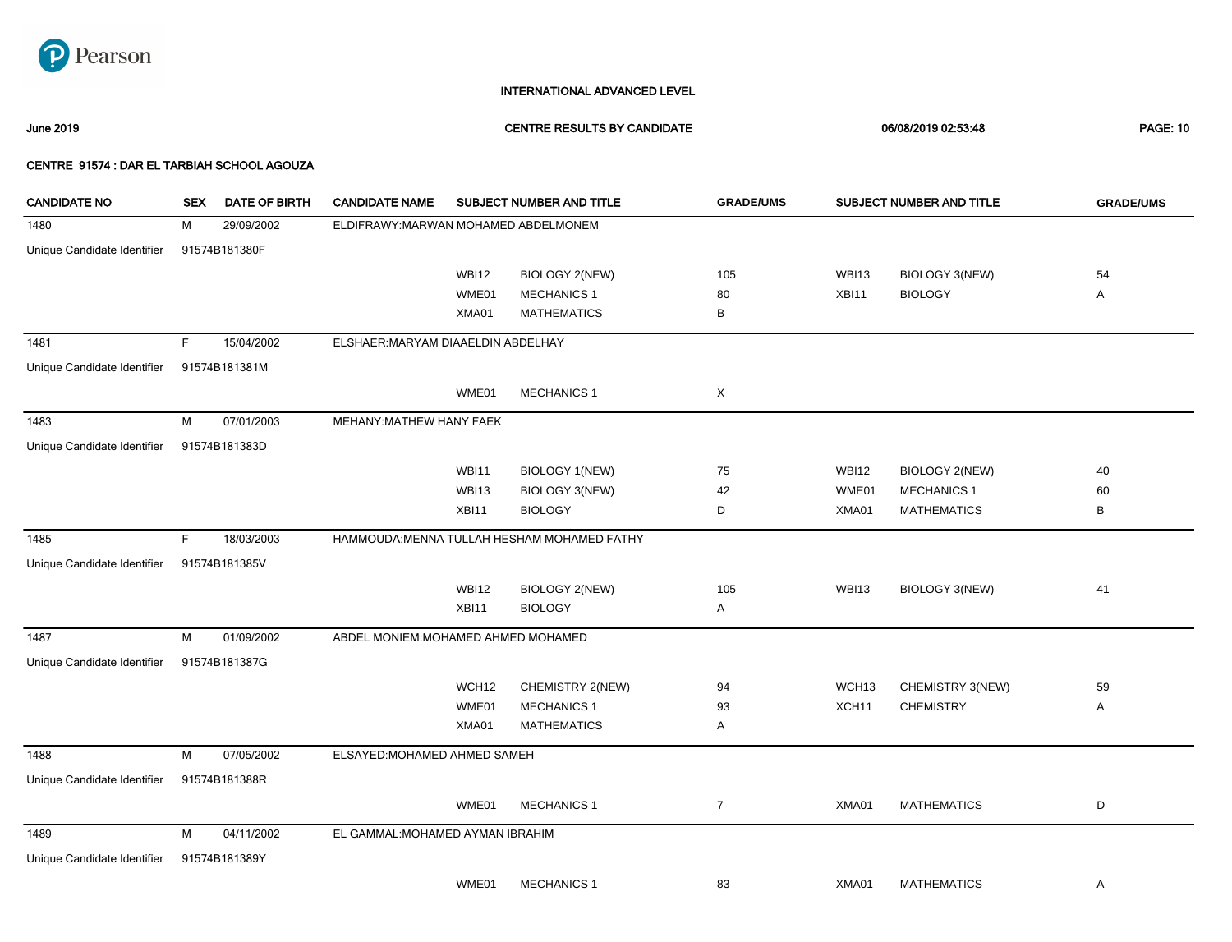

### June 2019 CENTRE RESULTS BY CANDIDATE 06/08/2019 02:53:48 PAGE: 10

| <b>CANDIDATE NO</b>         | <b>SEX</b> | DATE OF BIRTH | <b>CANDIDATE NAME</b>                |                   | SUBJECT NUMBER AND TITLE                    | <b>GRADE/UMS</b> |                   | SUBJECT NUMBER AND TITLE | <b>GRADE/UMS</b> |
|-----------------------------|------------|---------------|--------------------------------------|-------------------|---------------------------------------------|------------------|-------------------|--------------------------|------------------|
| 1480                        | M          | 29/09/2002    | ELDIFRAWY: MARWAN MOHAMED ABDELMONEM |                   |                                             |                  |                   |                          |                  |
| Unique Candidate Identifier |            | 91574B181380F |                                      |                   |                                             |                  |                   |                          |                  |
|                             |            |               |                                      | WBI12             | BIOLOGY 2(NEW)                              | 105              | WBI13             | BIOLOGY 3(NEW)           | 54               |
|                             |            |               |                                      | WME01             | <b>MECHANICS 1</b>                          | 80               | XBI11             | <b>BIOLOGY</b>           | Α                |
|                             |            |               |                                      | XMA01             | <b>MATHEMATICS</b>                          | В                |                   |                          |                  |
| 1481                        | F          | 15/04/2002    | ELSHAER: MARYAM DIAAELDIN ABDELHAY   |                   |                                             |                  |                   |                          |                  |
| Unique Candidate Identifier |            | 91574B181381M |                                      |                   |                                             |                  |                   |                          |                  |
|                             |            |               |                                      | WME01             | <b>MECHANICS 1</b>                          | X                |                   |                          |                  |
| 1483                        | M          | 07/01/2003    | MEHANY: MATHEW HANY FAEK             |                   |                                             |                  |                   |                          |                  |
| Unique Candidate Identifier |            | 91574B181383D |                                      |                   |                                             |                  |                   |                          |                  |
|                             |            |               |                                      | <b>WBI11</b>      | <b>BIOLOGY 1(NEW)</b>                       | 75               | <b>WBI12</b>      | BIOLOGY 2(NEW)           | 40               |
|                             |            |               |                                      | WBI13             | BIOLOGY 3(NEW)                              | 42               | WME01             | <b>MECHANICS 1</b>       | 60               |
|                             |            |               |                                      | XBI11             | <b>BIOLOGY</b>                              | D                | XMA01             | <b>MATHEMATICS</b>       | В                |
| 1485                        | F.         | 18/03/2003    |                                      |                   | HAMMOUDA: MENNA TULLAH HESHAM MOHAMED FATHY |                  |                   |                          |                  |
| Unique Candidate Identifier |            | 91574B181385V |                                      |                   |                                             |                  |                   |                          |                  |
|                             |            |               |                                      | <b>WBI12</b>      | <b>BIOLOGY 2(NEW)</b>                       | 105              | <b>WBI13</b>      | BIOLOGY 3(NEW)           | 41               |
|                             |            |               |                                      | XBI11             | <b>BIOLOGY</b>                              | Α                |                   |                          |                  |
| 1487                        | M          | 01/09/2002    | ABDEL MONIEM: MOHAMED AHMED MOHAMED  |                   |                                             |                  |                   |                          |                  |
| Unique Candidate Identifier |            | 91574B181387G |                                      |                   |                                             |                  |                   |                          |                  |
|                             |            |               |                                      | WCH <sub>12</sub> | CHEMISTRY 2(NEW)                            | 94               | WCH13             | CHEMISTRY 3(NEW)         | 59               |
|                             |            |               |                                      | WME01             | <b>MECHANICS 1</b>                          | 93               | XCH <sub>11</sub> | <b>CHEMISTRY</b>         | Α                |
|                             |            |               |                                      | XMA01             | <b>MATHEMATICS</b>                          | Α                |                   |                          |                  |
| 1488                        | M          | 07/05/2002    | ELSAYED: MOHAMED AHMED SAMEH         |                   |                                             |                  |                   |                          |                  |
| Unique Candidate Identifier |            | 91574B181388R |                                      |                   |                                             |                  |                   |                          |                  |
|                             |            |               |                                      | WME01             | <b>MECHANICS 1</b>                          | $\overline{7}$   | XMA01             | <b>MATHEMATICS</b>       | D                |
| 1489                        | M          | 04/11/2002    | EL GAMMAL: MOHAMED AYMAN IBRAHIM     |                   |                                             |                  |                   |                          |                  |
| Unique Candidate Identifier |            | 91574B181389Y |                                      |                   |                                             |                  |                   |                          |                  |
|                             |            |               |                                      | WME01             | <b>MECHANICS 1</b>                          | 83               | XMA01             | <b>MATHEMATICS</b>       | Α                |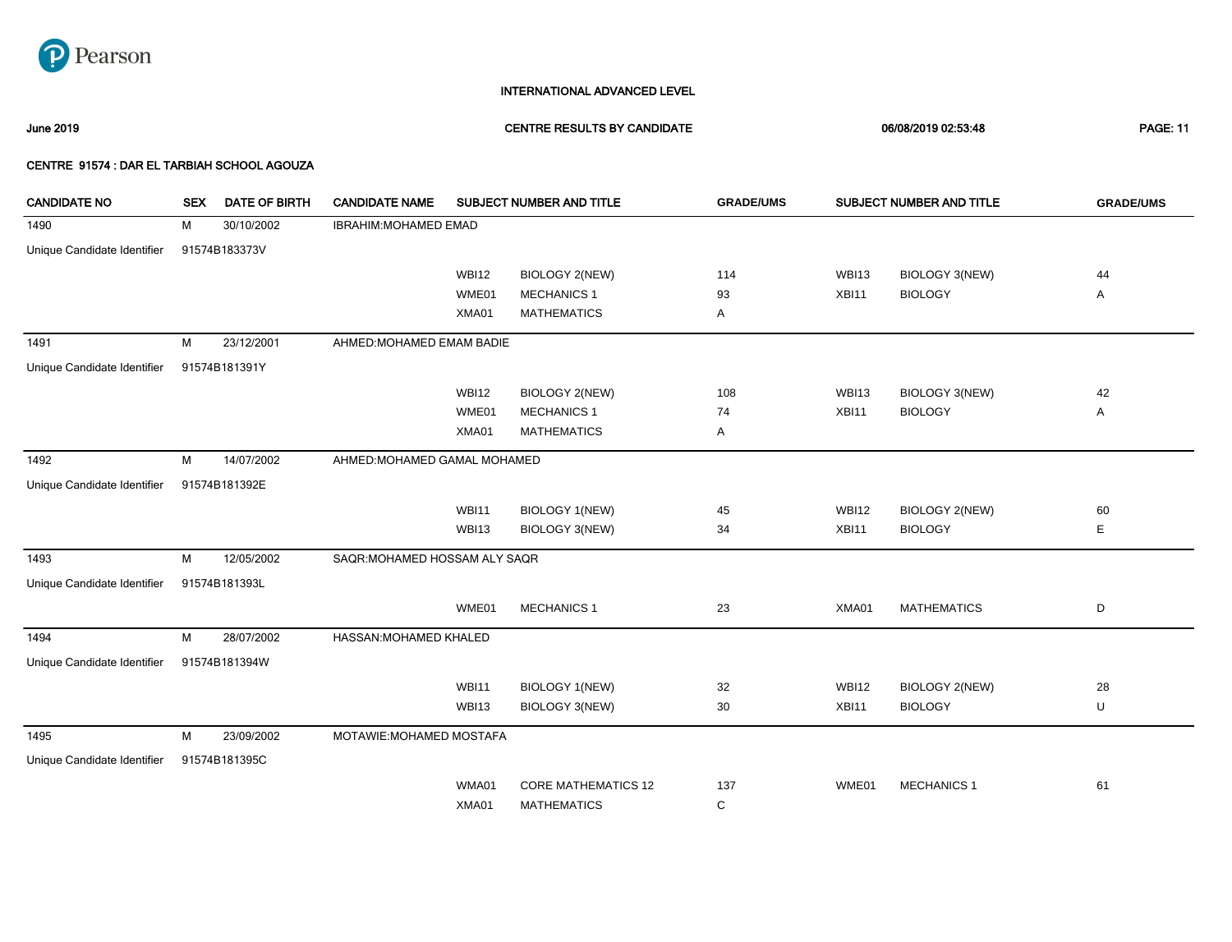

June 2019 CENTRE RESULTS BY CANDIDATE 06/08/2019 02:53:48 PAGE: 11

| <b>CANDIDATE NO</b>         | <b>SEX</b> | <b>DATE OF BIRTH</b> | <b>CANDIDATE NAME</b>         |              | SUBJECT NUMBER AND TITLE   | <b>GRADE/UMS</b> |              | SUBJECT NUMBER AND TITLE | <b>GRADE/UMS</b> |
|-----------------------------|------------|----------------------|-------------------------------|--------------|----------------------------|------------------|--------------|--------------------------|------------------|
| 1490                        | м          | 30/10/2002           | IBRAHIM: MOHAMED EMAD         |              |                            |                  |              |                          |                  |
| Unique Candidate Identifier |            | 91574B183373V        |                               |              |                            |                  |              |                          |                  |
|                             |            |                      |                               | <b>WBI12</b> | <b>BIOLOGY 2(NEW)</b>      | 114              | <b>WBI13</b> | BIOLOGY 3(NEW)           | 44               |
|                             |            |                      |                               | WME01        | <b>MECHANICS 1</b>         | 93               | XBI11        | <b>BIOLOGY</b>           | Α                |
|                             |            |                      |                               | XMA01        | <b>MATHEMATICS</b>         | Α                |              |                          |                  |
| 1491                        | М          | 23/12/2001           | AHMED: MOHAMED EMAM BADIE     |              |                            |                  |              |                          |                  |
| Unique Candidate Identifier |            | 91574B181391Y        |                               |              |                            |                  |              |                          |                  |
|                             |            |                      |                               | <b>WBI12</b> | <b>BIOLOGY 2(NEW)</b>      | 108              | <b>WBI13</b> | <b>BIOLOGY 3(NEW)</b>    | 42               |
|                             |            |                      |                               | WME01        | <b>MECHANICS 1</b>         | 74               | XBI11        | <b>BIOLOGY</b>           | Α                |
|                             |            |                      |                               | XMA01        | <b>MATHEMATICS</b>         | Α                |              |                          |                  |
| 1492                        | М          | 14/07/2002           | AHMED: MOHAMED GAMAL MOHAMED  |              |                            |                  |              |                          |                  |
| Unique Candidate Identifier |            | 91574B181392E        |                               |              |                            |                  |              |                          |                  |
|                             |            |                      |                               | <b>WBI11</b> | <b>BIOLOGY 1(NEW)</b>      | 45               | <b>WBI12</b> | <b>BIOLOGY 2(NEW)</b>    | 60               |
|                             |            |                      |                               | <b>WBI13</b> | BIOLOGY 3(NEW)             | 34               | XBI11        | <b>BIOLOGY</b>           | Е                |
| 1493                        | м          | 12/05/2002           | SAQR: MOHAMED HOSSAM ALY SAQR |              |                            |                  |              |                          |                  |
| Unique Candidate Identifier |            | 91574B181393L        |                               |              |                            |                  |              |                          |                  |
|                             |            |                      |                               | WME01        | <b>MECHANICS 1</b>         | 23               | XMA01        | <b>MATHEMATICS</b>       | D                |
| 1494                        | M          | 28/07/2002           | HASSAN: MOHAMED KHALED        |              |                            |                  |              |                          |                  |
| Unique Candidate Identifier |            | 91574B181394W        |                               |              |                            |                  |              |                          |                  |
|                             |            |                      |                               | <b>WBI11</b> | BIOLOGY 1(NEW)             | 32               | <b>WBI12</b> | <b>BIOLOGY 2(NEW)</b>    | 28               |
|                             |            |                      |                               | WBI13        | BIOLOGY 3(NEW)             | 30               | XBI11        | <b>BIOLOGY</b>           | U                |
| 1495                        | м          | 23/09/2002           | MOTAWIE: MOHAMED MOSTAFA      |              |                            |                  |              |                          |                  |
| Unique Candidate Identifier |            | 91574B181395C        |                               |              |                            |                  |              |                          |                  |
|                             |            |                      |                               | WMA01        | <b>CORE MATHEMATICS 12</b> | 137              | WME01        | <b>MECHANICS 1</b>       | 61               |
|                             |            |                      |                               | XMA01        | <b>MATHEMATICS</b>         | С                |              |                          |                  |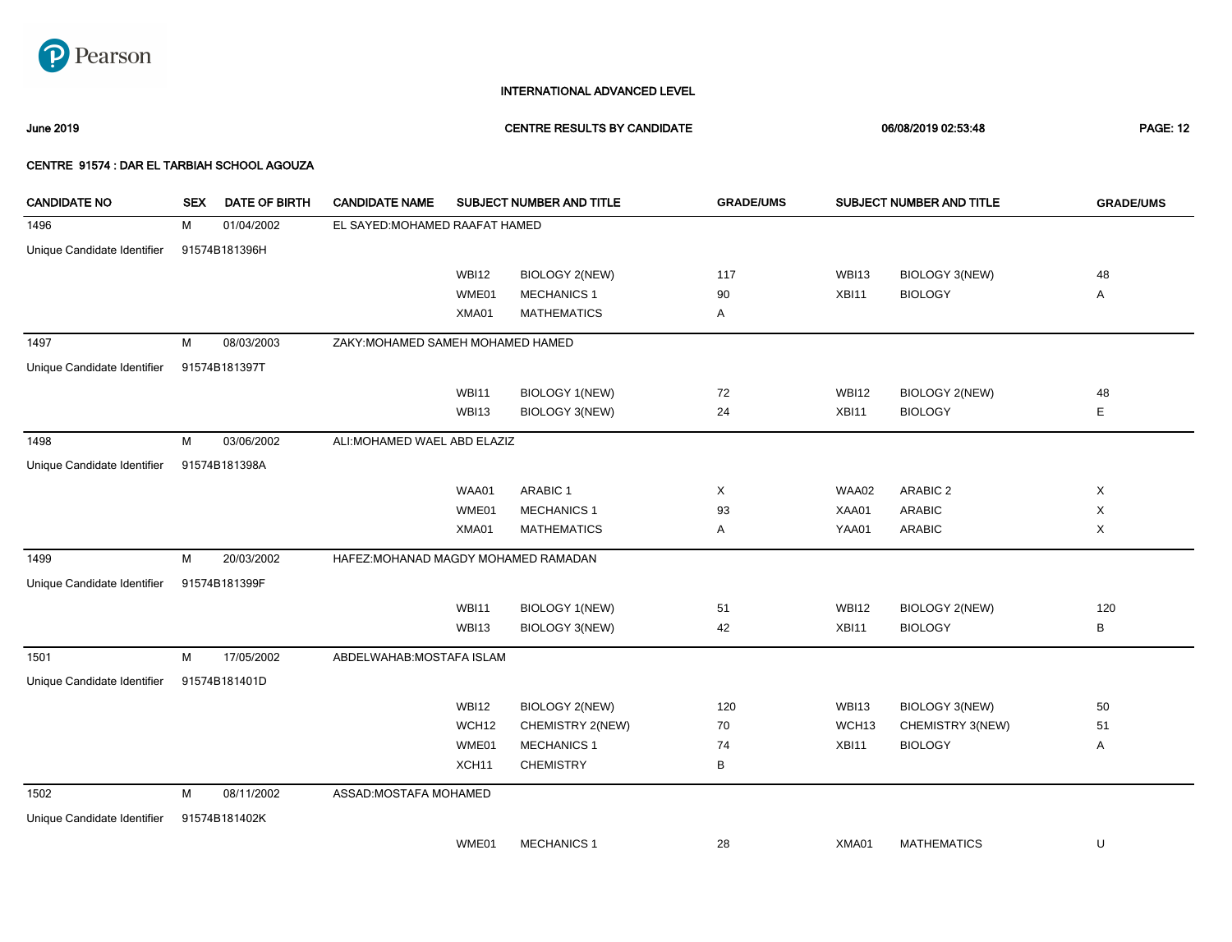

June 2019 CENTRE RESULTS BY CANDIDATE 06/08/2019 02:53:48 PAGE: 12

| <b>CANDIDATE NO</b>         | <b>SEX</b> | <b>DATE OF BIRTH</b> | <b>CANDIDATE NAME</b>                |                   | SUBJECT NUMBER AND TITLE | <b>GRADE/UMS</b> |                   | SUBJECT NUMBER AND TITLE | <b>GRADE/UMS</b> |
|-----------------------------|------------|----------------------|--------------------------------------|-------------------|--------------------------|------------------|-------------------|--------------------------|------------------|
| 1496                        | м          | 01/04/2002           | EL SAYED: MOHAMED RAAFAT HAMED       |                   |                          |                  |                   |                          |                  |
| Unique Candidate Identifier |            | 91574B181396H        |                                      |                   |                          |                  |                   |                          |                  |
|                             |            |                      |                                      | <b>WBI12</b>      | <b>BIOLOGY 2(NEW)</b>    | 117              | <b>WBI13</b>      | BIOLOGY 3(NEW)           | 48               |
|                             |            |                      |                                      | WME01             | <b>MECHANICS 1</b>       | 90               | XBI11             | <b>BIOLOGY</b>           | Α                |
|                             |            |                      |                                      | XMA01             | <b>MATHEMATICS</b>       | Α                |                   |                          |                  |
| 1497                        | M          | 08/03/2003           | ZAKY: MOHAMED SAMEH MOHAMED HAMED    |                   |                          |                  |                   |                          |                  |
| Unique Candidate Identifier |            | 91574B181397T        |                                      |                   |                          |                  |                   |                          |                  |
|                             |            |                      |                                      | <b>WBI11</b>      | <b>BIOLOGY 1(NEW)</b>    | 72               | <b>WBI12</b>      | <b>BIOLOGY 2(NEW)</b>    | 48               |
|                             |            |                      |                                      | WBI13             | BIOLOGY 3(NEW)           | 24               | XBI11             | <b>BIOLOGY</b>           | Е                |
| 1498                        | м          | 03/06/2002           | ALI: MOHAMED WAEL ABD ELAZIZ         |                   |                          |                  |                   |                          |                  |
| Unique Candidate Identifier |            | 91574B181398A        |                                      |                   |                          |                  |                   |                          |                  |
|                             |            |                      |                                      | WAA01             | ARABIC 1                 | Χ                | WAA02             | ARABIC <sub>2</sub>      | X                |
|                             |            |                      |                                      | WME01             | <b>MECHANICS 1</b>       | 93               | XAA01             | <b>ARABIC</b>            | X                |
|                             |            |                      |                                      | XMA01             | <b>MATHEMATICS</b>       | Α                | YAA01             | <b>ARABIC</b>            | X                |
| 1499                        | М          | 20/03/2002           | HAFEZ: MOHANAD MAGDY MOHAMED RAMADAN |                   |                          |                  |                   |                          |                  |
| Unique Candidate Identifier |            | 91574B181399F        |                                      |                   |                          |                  |                   |                          |                  |
|                             |            |                      |                                      | <b>WBI11</b>      | <b>BIOLOGY 1(NEW)</b>    | 51               | <b>WBI12</b>      | <b>BIOLOGY 2(NEW)</b>    | 120              |
|                             |            |                      |                                      | WBI13             | BIOLOGY 3(NEW)           | 42               | XBI11             | <b>BIOLOGY</b>           | В                |
| 1501                        | M          | 17/05/2002           | ABDELWAHAB: MOSTAFA ISLAM            |                   |                          |                  |                   |                          |                  |
| Unique Candidate Identifier |            | 91574B181401D        |                                      |                   |                          |                  |                   |                          |                  |
|                             |            |                      |                                      | <b>WBI12</b>      | <b>BIOLOGY 2(NEW)</b>    | 120              | <b>WBI13</b>      | <b>BIOLOGY 3(NEW)</b>    | 50               |
|                             |            |                      |                                      | WCH12             | CHEMISTRY 2(NEW)         | 70               | WCH <sub>13</sub> | CHEMISTRY 3(NEW)         | 51               |
|                             |            |                      |                                      | WME01             | <b>MECHANICS 1</b>       | 74               | XBI11             | <b>BIOLOGY</b>           | Α                |
|                             |            |                      |                                      | XCH <sub>11</sub> | <b>CHEMISTRY</b>         | В                |                   |                          |                  |
| 1502                        | M          | 08/11/2002           | ASSAD: MOSTAFA MOHAMED               |                   |                          |                  |                   |                          |                  |
| Unique Candidate Identifier |            | 91574B181402K        |                                      |                   |                          |                  |                   |                          |                  |
|                             |            |                      |                                      | WME01             | <b>MECHANICS 1</b>       | 28               | XMA01             | <b>MATHEMATICS</b>       | U                |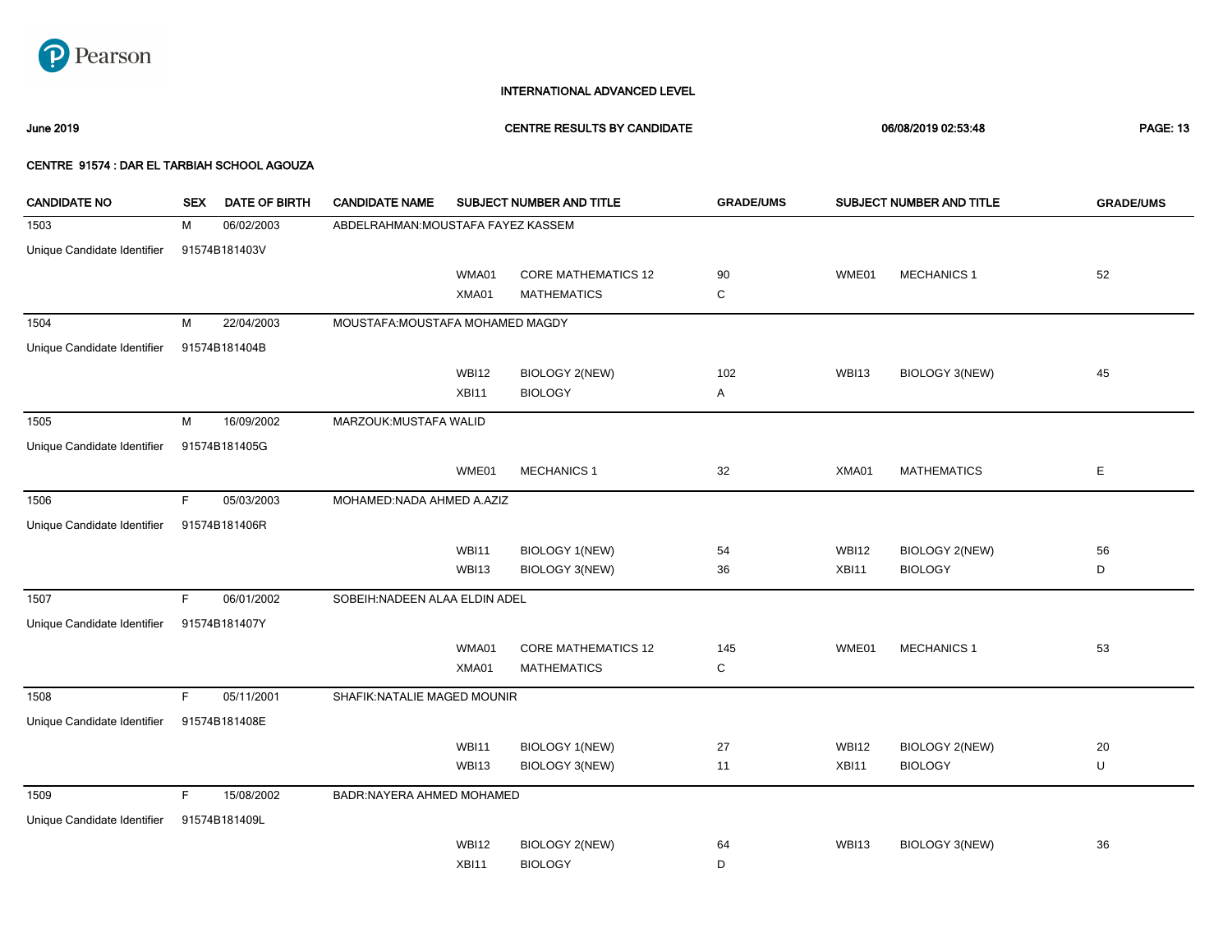

### June 2019 CENTRE RESULTS BY CANDIDATE 06/08/2019 02:53:48 PAGE: 13

| <b>CANDIDATE NO</b>         | <b>SEX</b> | <b>DATE OF BIRTH</b> | <b>CANDIDATE NAME</b>              |              | SUBJECT NUMBER AND TITLE                         | <b>GRADE/UMS</b> |              | SUBJECT NUMBER AND TITLE | <b>GRADE/UMS</b> |
|-----------------------------|------------|----------------------|------------------------------------|--------------|--------------------------------------------------|------------------|--------------|--------------------------|------------------|
| 1503                        | М          | 06/02/2003           | ABDELRAHMAN: MOUSTAFA FAYEZ KASSEM |              |                                                  |                  |              |                          |                  |
| Unique Candidate Identifier |            | 91574B181403V        |                                    |              |                                                  |                  |              |                          |                  |
|                             |            |                      |                                    | WMA01        | <b>CORE MATHEMATICS 12</b>                       | 90               | WME01        | <b>MECHANICS 1</b>       | 52               |
|                             |            |                      |                                    | XMA01        | <b>MATHEMATICS</b>                               | С                |              |                          |                  |
| 1504                        | М          | 22/04/2003           | MOUSTAFA: MOUSTAFA MOHAMED MAGDY   |              |                                                  |                  |              |                          |                  |
| Unique Candidate Identifier |            | 91574B181404B        |                                    |              |                                                  |                  |              |                          |                  |
|                             |            |                      |                                    | <b>WBI12</b> | <b>BIOLOGY 2(NEW)</b>                            | 102              | WBI13        | <b>BIOLOGY 3(NEW)</b>    | 45               |
|                             |            |                      |                                    | XBI11        | <b>BIOLOGY</b>                                   | Α                |              |                          |                  |
| 1505                        | M          | 16/09/2002           | MARZOUK: MUSTAFA WALID             |              |                                                  |                  |              |                          |                  |
| Unique Candidate Identifier |            | 91574B181405G        |                                    |              |                                                  |                  |              |                          |                  |
|                             |            |                      |                                    | WME01        | <b>MECHANICS 1</b>                               | 32               | XMA01        | <b>MATHEMATICS</b>       | $\mathsf E$      |
| 1506                        | F.         | 05/03/2003           | MOHAMED:NADA AHMED A.AZIZ          |              |                                                  |                  |              |                          |                  |
| Unique Candidate Identifier |            | 91574B181406R        |                                    |              |                                                  |                  |              |                          |                  |
|                             |            |                      |                                    | <b>WBI11</b> | BIOLOGY 1(NEW)                                   | 54               | <b>WBI12</b> | <b>BIOLOGY 2(NEW)</b>    | 56               |
|                             |            |                      |                                    | WBI13        | <b>BIOLOGY 3(NEW)</b>                            | 36               | XBI11        | <b>BIOLOGY</b>           | D                |
| 1507                        | F.         | 06/01/2002           | SOBEIH: NADEEN ALAA ELDIN ADEL     |              |                                                  |                  |              |                          |                  |
|                             |            |                      |                                    |              |                                                  |                  |              |                          |                  |
| Unique Candidate Identifier |            | 91574B181407Y        |                                    |              |                                                  |                  |              |                          |                  |
|                             |            |                      |                                    | WMA01        | <b>CORE MATHEMATICS 12</b><br><b>MATHEMATICS</b> | 145              | WME01        | <b>MECHANICS 1</b>       | 53               |
|                             |            |                      |                                    | XMA01        |                                                  | С                |              |                          |                  |
| 1508                        | F.         | 05/11/2001           | SHAFIK: NATALIE MAGED MOUNIR       |              |                                                  |                  |              |                          |                  |
| Unique Candidate Identifier |            | 91574B181408E        |                                    |              |                                                  |                  |              |                          |                  |
|                             |            |                      |                                    | <b>WBI11</b> | BIOLOGY 1(NEW)                                   | 27               | <b>WBI12</b> | <b>BIOLOGY 2(NEW)</b>    | 20               |
|                             |            |                      |                                    | WBI13        | <b>BIOLOGY 3(NEW)</b>                            | 11               | XBI11        | <b>BIOLOGY</b>           | U                |
| 1509                        | F.         | 15/08/2002           | <b>BADR:NAYERA AHMED MOHAMED</b>   |              |                                                  |                  |              |                          |                  |
| Unique Candidate Identifier |            | 91574B181409L        |                                    |              |                                                  |                  |              |                          |                  |
|                             |            |                      |                                    | <b>WBI12</b> | <b>BIOLOGY 2(NEW)</b>                            | 64               | <b>WBI13</b> | <b>BIOLOGY 3(NEW)</b>    | 36               |
|                             |            |                      |                                    | XBI11        | <b>BIOLOGY</b>                                   | D                |              |                          |                  |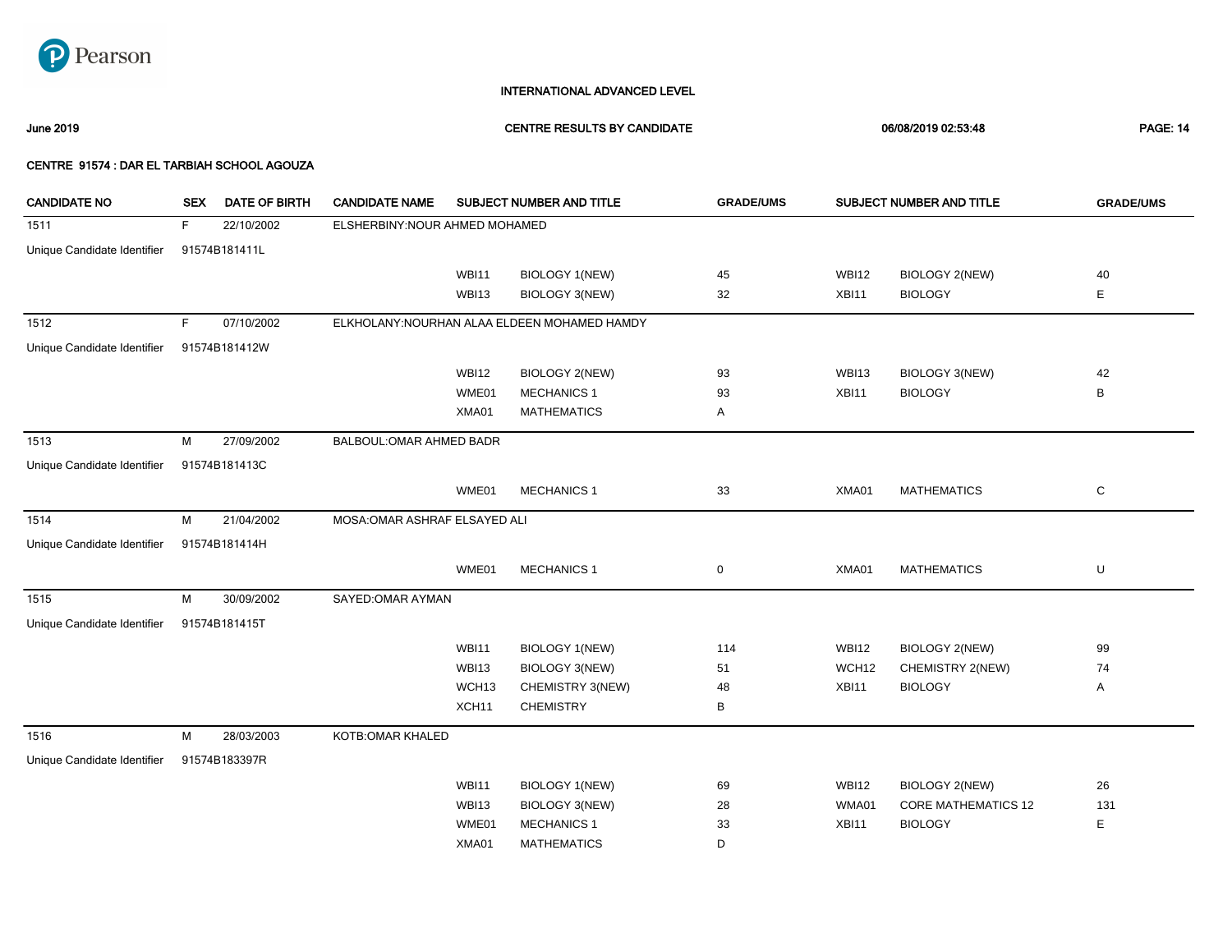

June 2019 CENTRE RESULTS BY CANDIDATE 06/08/2019 02:53:48 PAGE: 14

| <b>CANDIDATE NO</b>         | <b>SEX</b> | <b>DATE OF BIRTH</b> | <b>CANDIDATE NAME</b>          |                   | SUBJECT NUMBER AND TITLE                     | <b>GRADE/UMS</b> |              | SUBJECT NUMBER AND TITLE   | <b>GRADE/UMS</b> |
|-----------------------------|------------|----------------------|--------------------------------|-------------------|----------------------------------------------|------------------|--------------|----------------------------|------------------|
| 1511                        | F.         | 22/10/2002           | ELSHERBINY: NOUR AHMED MOHAMED |                   |                                              |                  |              |                            |                  |
| Unique Candidate Identifier |            | 91574B181411L        |                                |                   |                                              |                  |              |                            |                  |
|                             |            |                      |                                | <b>WBI11</b>      | <b>BIOLOGY 1(NEW)</b>                        | 45               | <b>WBI12</b> | <b>BIOLOGY 2(NEW)</b>      | 40               |
|                             |            |                      |                                | WBI13             | <b>BIOLOGY 3(NEW)</b>                        | 32               | XBI11        | <b>BIOLOGY</b>             | Е                |
| 1512                        | F          | 07/10/2002           |                                |                   | ELKHOLANY: NOURHAN ALAA ELDEEN MOHAMED HAMDY |                  |              |                            |                  |
| Unique Candidate Identifier |            | 91574B181412W        |                                |                   |                                              |                  |              |                            |                  |
|                             |            |                      |                                | <b>WBI12</b>      | <b>BIOLOGY 2(NEW)</b>                        | 93               | <b>WBI13</b> | BIOLOGY 3(NEW)             | 42               |
|                             |            |                      |                                | WME01             | <b>MECHANICS 1</b>                           | 93               | XBI11        | <b>BIOLOGY</b>             | B                |
|                             |            |                      |                                | XMA01             | <b>MATHEMATICS</b>                           | Α                |              |                            |                  |
| 1513                        | M          | 27/09/2002           | BALBOUL: OMAR AHMED BADR       |                   |                                              |                  |              |                            |                  |
| Unique Candidate Identifier |            | 91574B181413C        |                                |                   |                                              |                  |              |                            |                  |
|                             |            |                      |                                | WME01             | <b>MECHANICS 1</b>                           | 33               | XMA01        | <b>MATHEMATICS</b>         | C                |
| 1514                        | M          | 21/04/2002           | MOSA: OMAR ASHRAF ELSAYED ALI  |                   |                                              |                  |              |                            |                  |
| Unique Candidate Identifier |            | 91574B181414H        |                                |                   |                                              |                  |              |                            |                  |
|                             |            |                      |                                | WME01             | <b>MECHANICS 1</b>                           | $\mathbf 0$      | XMA01        | <b>MATHEMATICS</b>         | U                |
| 1515                        | M          | 30/09/2002           | SAYED: OMAR AYMAN              |                   |                                              |                  |              |                            |                  |
| Unique Candidate Identifier |            | 91574B181415T        |                                |                   |                                              |                  |              |                            |                  |
|                             |            |                      |                                | <b>WBI11</b>      | <b>BIOLOGY 1(NEW)</b>                        | 114              | <b>WBI12</b> | BIOLOGY 2(NEW)             | 99               |
|                             |            |                      |                                | WBI13             | <b>BIOLOGY 3(NEW)</b>                        | 51               | WCH12        | CHEMISTRY 2(NEW)           | 74               |
|                             |            |                      |                                | WCH <sub>13</sub> | CHEMISTRY 3(NEW)                             | 48               | XBI11        | <b>BIOLOGY</b>             | Α                |
|                             |            |                      |                                | XCH <sub>11</sub> | <b>CHEMISTRY</b>                             | В                |              |                            |                  |
| 1516                        | M          | 28/03/2003           | KOTB: OMAR KHALED              |                   |                                              |                  |              |                            |                  |
| Unique Candidate Identifier |            | 91574B183397R        |                                |                   |                                              |                  |              |                            |                  |
|                             |            |                      |                                | <b>WBI11</b>      | <b>BIOLOGY 1(NEW)</b>                        | 69               | <b>WBI12</b> | BIOLOGY 2(NEW)             | 26               |
|                             |            |                      |                                | WBI13             | <b>BIOLOGY 3(NEW)</b>                        | 28               | WMA01        | <b>CORE MATHEMATICS 12</b> | 131              |
|                             |            |                      |                                | WME01             | <b>MECHANICS 1</b>                           | 33               | XBI11        | <b>BIOLOGY</b>             | Е                |
|                             |            |                      |                                | XMA01             | <b>MATHEMATICS</b>                           | D                |              |                            |                  |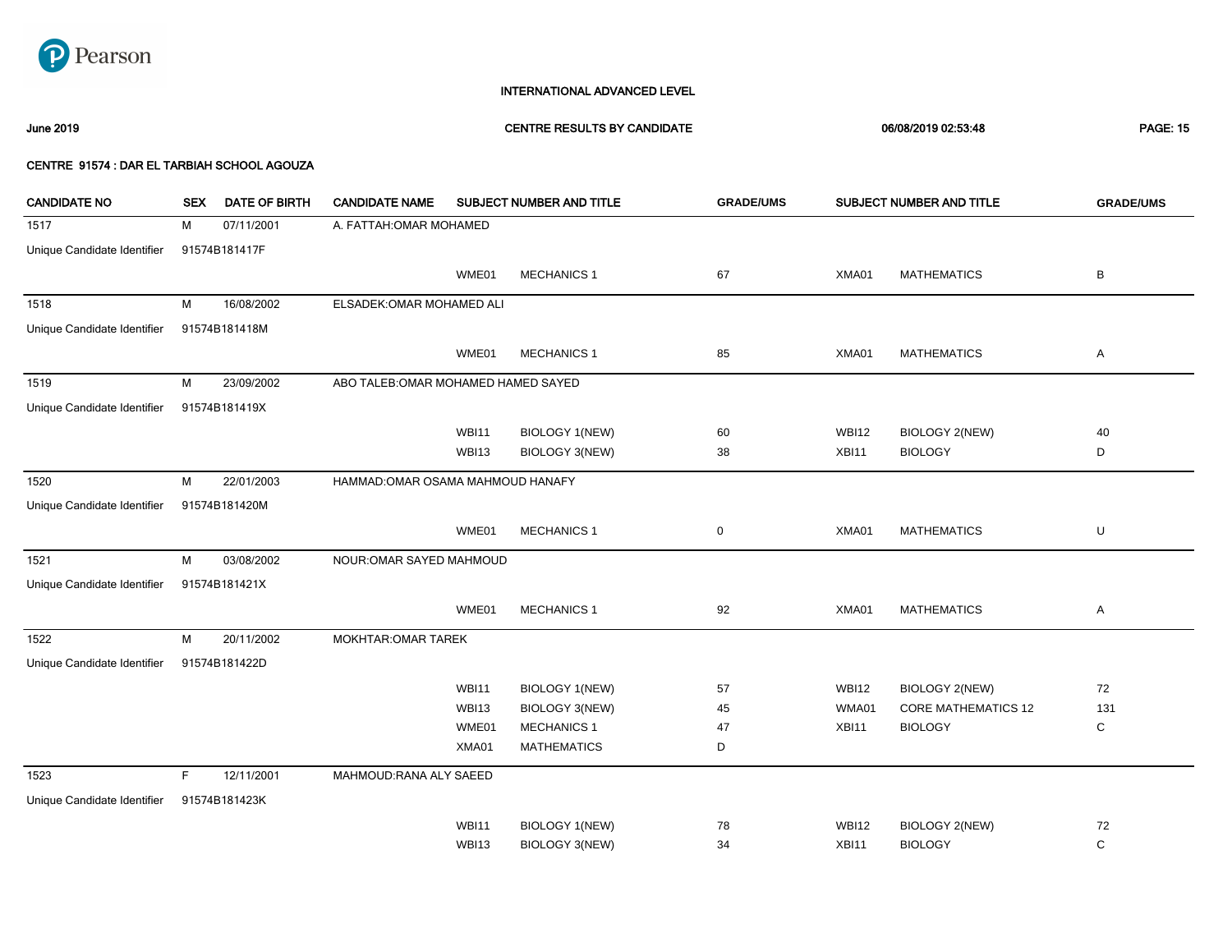

### June 2019 CENTRE RESULTS BY CANDIDATE 06/08/2019 02:53:48 PAGE: 15

| <b>CANDIDATE NO</b>         | <b>SEX</b> | <b>DATE OF BIRTH</b> | <b>CANDIDATE NAME</b>               |              | SUBJECT NUMBER AND TITLE | <b>GRADE/UMS</b> |              | SUBJECT NUMBER AND TITLE   | <b>GRADE/UMS</b> |
|-----------------------------|------------|----------------------|-------------------------------------|--------------|--------------------------|------------------|--------------|----------------------------|------------------|
| 1517                        | М          | 07/11/2001           | A. FATTAH: OMAR MOHAMED             |              |                          |                  |              |                            |                  |
| Unique Candidate Identifier |            | 91574B181417F        |                                     |              |                          |                  |              |                            |                  |
|                             |            |                      |                                     | WME01        | <b>MECHANICS 1</b>       | 67               | XMA01        | <b>MATHEMATICS</b>         | B                |
| 1518                        | М          | 16/08/2002           | ELSADEK: OMAR MOHAMED ALI           |              |                          |                  |              |                            |                  |
| Unique Candidate Identifier |            | 91574B181418M        |                                     |              |                          |                  |              |                            |                  |
|                             |            |                      |                                     | WME01        | <b>MECHANICS 1</b>       | 85               | XMA01        | <b>MATHEMATICS</b>         | Α                |
| 1519                        | М          | 23/09/2002           | ABO TALEB: OMAR MOHAMED HAMED SAYED |              |                          |                  |              |                            |                  |
| Unique Candidate Identifier |            | 91574B181419X        |                                     |              |                          |                  |              |                            |                  |
|                             |            |                      |                                     | <b>WBI11</b> | <b>BIOLOGY 1(NEW)</b>    | 60               | <b>WBI12</b> | <b>BIOLOGY 2(NEW)</b>      | 40               |
|                             |            |                      |                                     | WBI13        | BIOLOGY 3(NEW)           | 38               | XBI11        | <b>BIOLOGY</b>             | D                |
| 1520                        | М          | 22/01/2003           | HAMMAD: OMAR OSAMA MAHMOUD HANAFY   |              |                          |                  |              |                            |                  |
| Unique Candidate Identifier |            | 91574B181420M        |                                     |              |                          |                  |              |                            |                  |
|                             |            |                      |                                     | WME01        | <b>MECHANICS 1</b>       | $\pmb{0}$        | XMA01        | <b>MATHEMATICS</b>         | U                |
| 1521                        | М          | 03/08/2002           | NOUR: OMAR SAYED MAHMOUD            |              |                          |                  |              |                            |                  |
| Unique Candidate Identifier |            | 91574B181421X        |                                     |              |                          |                  |              |                            |                  |
|                             |            |                      |                                     | WME01        | <b>MECHANICS 1</b>       | 92               | XMA01        | <b>MATHEMATICS</b>         | Α                |
| 1522                        | М          | 20/11/2002           | <b>MOKHTAR: OMAR TAREK</b>          |              |                          |                  |              |                            |                  |
| Unique Candidate Identifier |            | 91574B181422D        |                                     |              |                          |                  |              |                            |                  |
|                             |            |                      |                                     | <b>WBI11</b> | <b>BIOLOGY 1(NEW)</b>    | 57               | <b>WBI12</b> | BIOLOGY 2(NEW)             | 72               |
|                             |            |                      |                                     | WBI13        | BIOLOGY 3(NEW)           | 45               | WMA01        | <b>CORE MATHEMATICS 12</b> | 131              |
|                             |            |                      |                                     | WME01        | <b>MECHANICS 1</b>       | 47               | XBI11        | <b>BIOLOGY</b>             | С                |
|                             |            |                      |                                     | XMA01        | <b>MATHEMATICS</b>       | D                |              |                            |                  |
| 1523                        | F.         | 12/11/2001           | MAHMOUD: RANA ALY SAEED             |              |                          |                  |              |                            |                  |
| Unique Candidate Identifier |            | 91574B181423K        |                                     |              |                          |                  |              |                            |                  |
|                             |            |                      |                                     | <b>WBI11</b> | <b>BIOLOGY 1(NEW)</b>    | 78               | <b>WBI12</b> | <b>BIOLOGY 2(NEW)</b>      | 72               |
|                             |            |                      |                                     | WBI13        | BIOLOGY 3(NEW)           | 34               | XBI11        | <b>BIOLOGY</b>             | C                |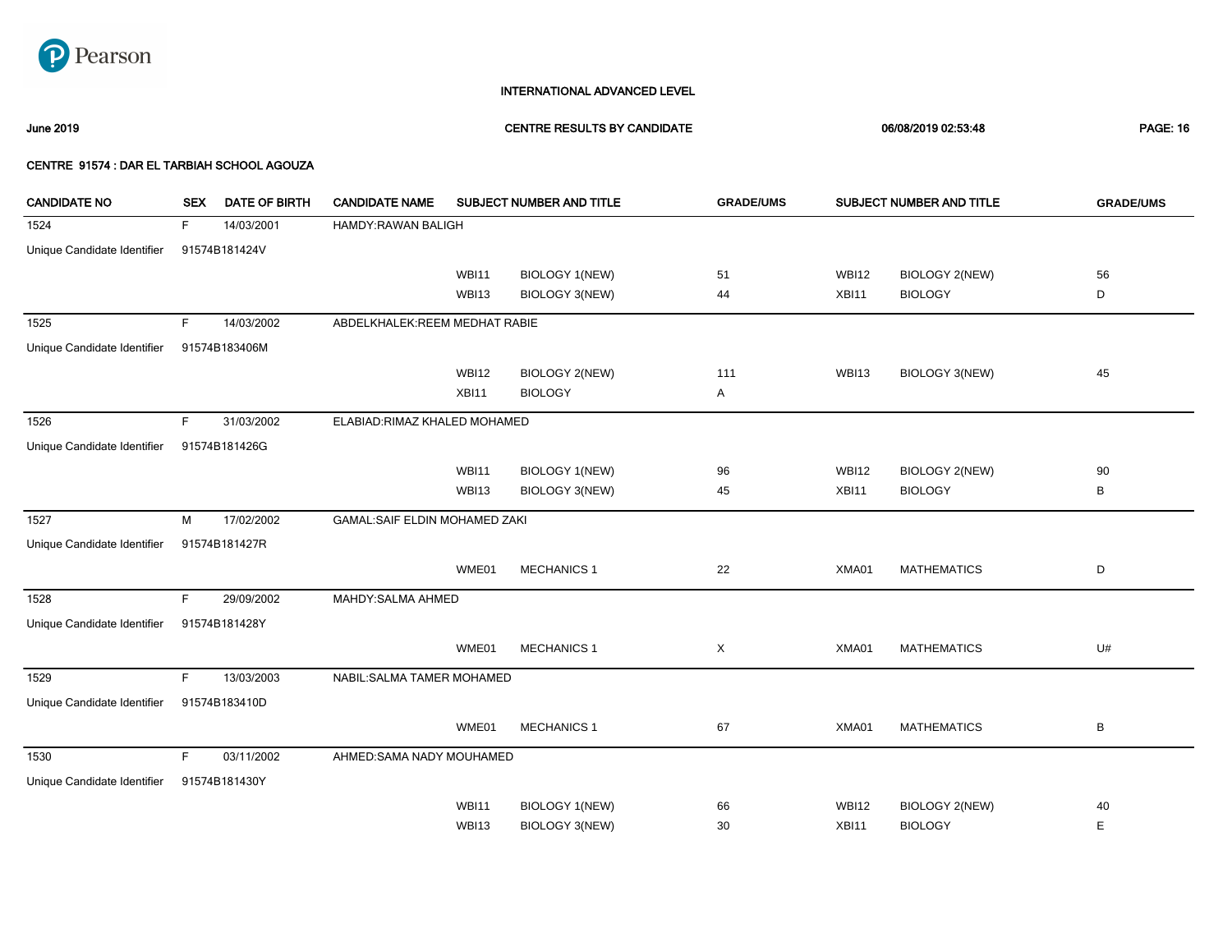

June 2019 CENTRE RESULTS BY CANDIDATE 06/08/2019 02:53:48 PAGE: 16

| <b>CANDIDATE NO</b>         | <b>SEX</b>  | <b>DATE OF BIRTH</b> | <b>CANDIDATE NAME</b>                |              | SUBJECT NUMBER AND TITLE | <b>GRADE/UMS</b> |              | SUBJECT NUMBER AND TITLE | <b>GRADE/UMS</b> |
|-----------------------------|-------------|----------------------|--------------------------------------|--------------|--------------------------|------------------|--------------|--------------------------|------------------|
| 1524                        | F.          | 14/03/2001           | <b>HAMDY:RAWAN BALIGH</b>            |              |                          |                  |              |                          |                  |
| Unique Candidate Identifier |             | 91574B181424V        |                                      |              |                          |                  |              |                          |                  |
|                             |             |                      |                                      | <b>WBI11</b> | <b>BIOLOGY 1(NEW)</b>    | 51               | <b>WBI12</b> | <b>BIOLOGY 2(NEW)</b>    | 56               |
|                             |             |                      |                                      | WBI13        | BIOLOGY 3(NEW)           | 44               | XBI11        | <b>BIOLOGY</b>           | D                |
| 1525                        | F.          | 14/03/2002           | ABDELKHALEK:REEM MEDHAT RABIE        |              |                          |                  |              |                          |                  |
| Unique Candidate Identifier |             | 91574B183406M        |                                      |              |                          |                  |              |                          |                  |
|                             |             |                      |                                      | <b>WBI12</b> | <b>BIOLOGY 2(NEW)</b>    | 111              | <b>WBI13</b> | <b>BIOLOGY 3(NEW)</b>    | 45               |
|                             |             |                      |                                      | XBI11        | <b>BIOLOGY</b>           | Α                |              |                          |                  |
| 1526                        | F           | 31/03/2002           | ELABIAD: RIMAZ KHALED MOHAMED        |              |                          |                  |              |                          |                  |
| Unique Candidate Identifier |             | 91574B181426G        |                                      |              |                          |                  |              |                          |                  |
|                             |             |                      |                                      | <b>WBI11</b> | <b>BIOLOGY 1(NEW)</b>    | 96               | <b>WBI12</b> | <b>BIOLOGY 2(NEW)</b>    | 90               |
|                             |             |                      |                                      | WBI13        | BIOLOGY 3(NEW)           | 45               | XBI11        | <b>BIOLOGY</b>           | B                |
| 1527                        | M           | 17/02/2002           | <b>GAMAL:SAIF ELDIN MOHAMED ZAKI</b> |              |                          |                  |              |                          |                  |
| Unique Candidate Identifier |             | 91574B181427R        |                                      |              |                          |                  |              |                          |                  |
|                             |             |                      |                                      | WME01        | <b>MECHANICS 1</b>       | 22               | XMA01        | <b>MATHEMATICS</b>       | D                |
| 1528                        | F.          | 29/09/2002           | MAHDY: SALMA AHMED                   |              |                          |                  |              |                          |                  |
| Unique Candidate Identifier |             | 91574B181428Y        |                                      |              |                          |                  |              |                          |                  |
|                             |             |                      |                                      | WME01        | <b>MECHANICS 1</b>       | X                | XMA01        | <b>MATHEMATICS</b>       | U#               |
| 1529                        | F           | 13/03/2003           | NABIL: SALMA TAMER MOHAMED           |              |                          |                  |              |                          |                  |
| Unique Candidate Identifier |             | 91574B183410D        |                                      |              |                          |                  |              |                          |                  |
|                             |             |                      |                                      | WME01        | <b>MECHANICS 1</b>       | 67               | XMA01        | <b>MATHEMATICS</b>       | В                |
| 1530                        | $\mathsf F$ | 03/11/2002           | AHMED:SAMA NADY MOUHAMED             |              |                          |                  |              |                          |                  |
| Unique Candidate Identifier |             | 91574B181430Y        |                                      |              |                          |                  |              |                          |                  |
|                             |             |                      |                                      | <b>WBI11</b> | BIOLOGY 1(NEW)           | 66               | <b>WBI12</b> | <b>BIOLOGY 2(NEW)</b>    | 40               |
|                             |             |                      |                                      | <b>WBI13</b> | <b>BIOLOGY 3(NEW)</b>    | 30               | <b>XBI11</b> | <b>BIOLOGY</b>           | Е                |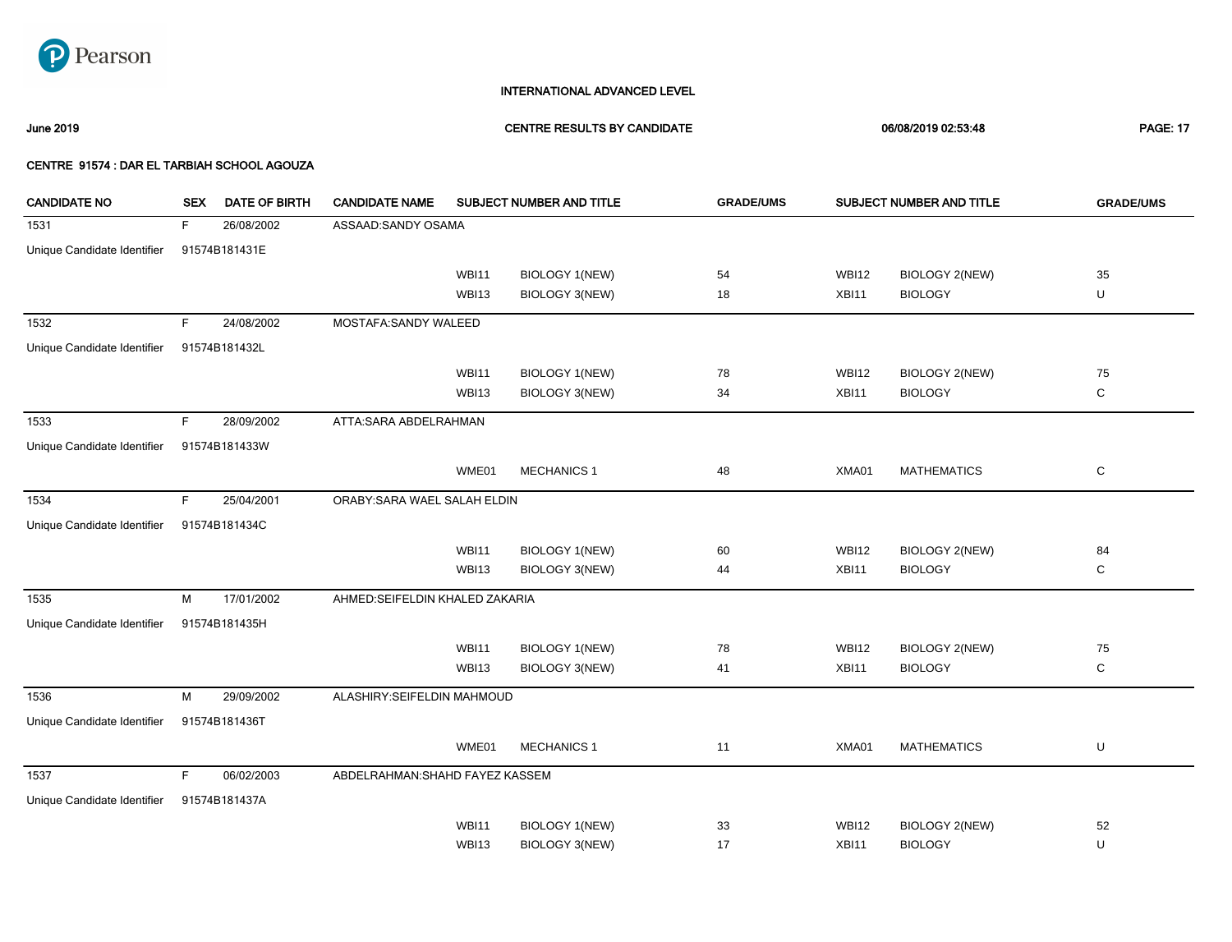

June 2019 CENTRE RESULTS BY CANDIDATE 06/08/2019 02:53:48 PAGE: 17

| <b>CANDIDATE NO</b>         | <b>SEX</b> | <b>DATE OF BIRTH</b> | <b>CANDIDATE NAME</b>           |              | SUBJECT NUMBER AND TITLE | <b>GRADE/UMS</b> |              | SUBJECT NUMBER AND TITLE | <b>GRADE/UMS</b> |
|-----------------------------|------------|----------------------|---------------------------------|--------------|--------------------------|------------------|--------------|--------------------------|------------------|
| 1531                        | F.         | 26/08/2002           | ASSAAD:SANDY OSAMA              |              |                          |                  |              |                          |                  |
| Unique Candidate Identifier |            | 91574B181431E        |                                 |              |                          |                  |              |                          |                  |
|                             |            |                      |                                 | <b>WBI11</b> | <b>BIOLOGY 1(NEW)</b>    | 54               | <b>WBI12</b> | <b>BIOLOGY 2(NEW)</b>    | 35               |
|                             |            |                      |                                 | WBI13        | BIOLOGY 3(NEW)           | 18               | XBI11        | <b>BIOLOGY</b>           | U                |
| 1532                        | F.         | 24/08/2002           | MOSTAFA:SANDY WALEED            |              |                          |                  |              |                          |                  |
| Unique Candidate Identifier |            | 91574B181432L        |                                 |              |                          |                  |              |                          |                  |
|                             |            |                      |                                 | WBI11        | <b>BIOLOGY 1(NEW)</b>    | 78               | <b>WBI12</b> | <b>BIOLOGY 2(NEW)</b>    | 75               |
|                             |            |                      |                                 | WBI13        | <b>BIOLOGY 3(NEW)</b>    | 34               | XBI11        | <b>BIOLOGY</b>           | $\mathbf C$      |
| 1533                        | F          | 28/09/2002           | ATTA:SARA ABDELRAHMAN           |              |                          |                  |              |                          |                  |
| Unique Candidate Identifier |            | 91574B181433W        |                                 |              |                          |                  |              |                          |                  |
|                             |            |                      |                                 | WME01        | <b>MECHANICS 1</b>       | 48               | XMA01        | <b>MATHEMATICS</b>       | С                |
| 1534                        | F          | 25/04/2001           | ORABY: SARA WAEL SALAH ELDIN    |              |                          |                  |              |                          |                  |
| Unique Candidate Identifier |            | 91574B181434C        |                                 |              |                          |                  |              |                          |                  |
|                             |            |                      |                                 | <b>WBI11</b> | <b>BIOLOGY 1(NEW)</b>    | 60               | <b>WBI12</b> | <b>BIOLOGY 2(NEW)</b>    | 84               |
|                             |            |                      |                                 | WBI13        | BIOLOGY 3(NEW)           | 44               | XBI11        | <b>BIOLOGY</b>           | С                |
| 1535                        | М          | 17/01/2002           | AHMED:SEIFELDIN KHALED ZAKARIA  |              |                          |                  |              |                          |                  |
| Unique Candidate Identifier |            | 91574B181435H        |                                 |              |                          |                  |              |                          |                  |
|                             |            |                      |                                 | <b>WBI11</b> | <b>BIOLOGY 1(NEW)</b>    | 78               | <b>WBI12</b> | <b>BIOLOGY 2(NEW)</b>    | 75               |
|                             |            |                      |                                 | WBI13        | BIOLOGY 3(NEW)           | 41               | XBI11        | <b>BIOLOGY</b>           | $\mathbf C$      |
| 1536                        | M          | 29/09/2002           | ALASHIRY:SEIFELDIN MAHMOUD      |              |                          |                  |              |                          |                  |
| Unique Candidate Identifier |            | 91574B181436T        |                                 |              |                          |                  |              |                          |                  |
|                             |            |                      |                                 | WME01        | <b>MECHANICS 1</b>       | 11               | XMA01        | <b>MATHEMATICS</b>       | U                |
| 1537                        | F          | 06/02/2003           | ABDELRAHMAN: SHAHD FAYEZ KASSEM |              |                          |                  |              |                          |                  |
| Unique Candidate Identifier |            | 91574B181437A        |                                 |              |                          |                  |              |                          |                  |
|                             |            |                      |                                 | <b>WBI11</b> | <b>BIOLOGY 1(NEW)</b>    | 33               | <b>WBI12</b> | <b>BIOLOGY 2(NEW)</b>    | 52               |
|                             |            |                      |                                 | WBI13        | <b>BIOLOGY 3(NEW)</b>    | 17               | XBI11        | <b>BIOLOGY</b>           | U                |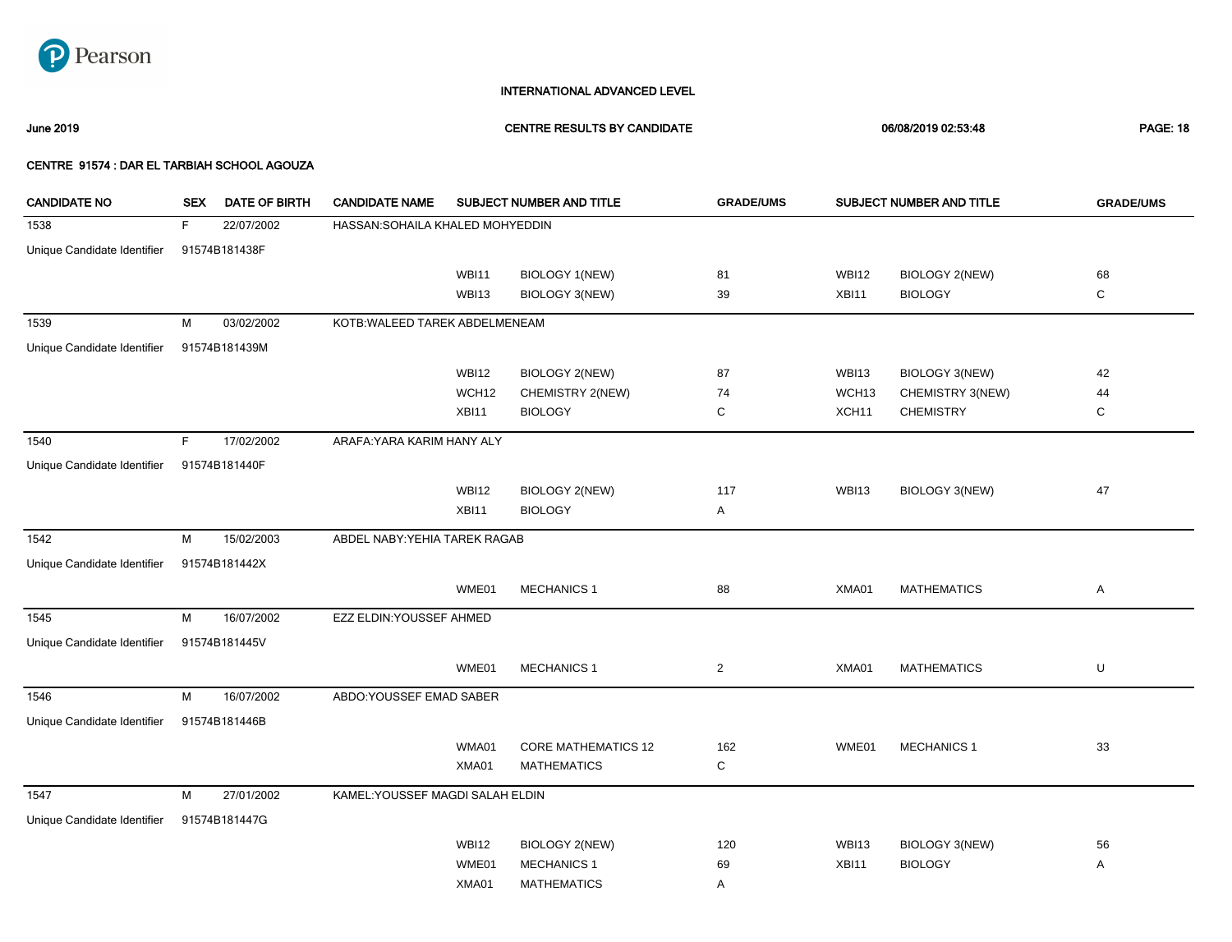

June 2019 CENTRE RESULTS BY CANDIDATE 06/08/2019 02:53:48 PAGE: 18

| <b>CANDIDATE NO</b>         | <b>SEX</b> | DATE OF BIRTH | <b>CANDIDATE NAME</b>            |              | SUBJECT NUMBER AND TITLE   | <b>GRADE/UMS</b> |                   | SUBJECT NUMBER AND TITLE | <b>GRADE/UMS</b> |
|-----------------------------|------------|---------------|----------------------------------|--------------|----------------------------|------------------|-------------------|--------------------------|------------------|
| 1538                        | F          | 22/07/2002    | HASSAN: SOHAILA KHALED MOHYEDDIN |              |                            |                  |                   |                          |                  |
| Unique Candidate Identifier |            | 91574B181438F |                                  |              |                            |                  |                   |                          |                  |
|                             |            |               |                                  | <b>WBI11</b> | <b>BIOLOGY 1(NEW)</b>      | 81               | <b>WBI12</b>      | <b>BIOLOGY 2(NEW)</b>    | 68               |
|                             |            |               |                                  | <b>WBI13</b> | <b>BIOLOGY 3(NEW)</b>      | 39               | XBI11             | <b>BIOLOGY</b>           | C                |
| 1539                        | M          | 03/02/2002    | KOTB: WALEED TAREK ABDELMENEAM   |              |                            |                  |                   |                          |                  |
| Unique Candidate Identifier |            | 91574B181439M |                                  |              |                            |                  |                   |                          |                  |
|                             |            |               |                                  | <b>WBI12</b> | <b>BIOLOGY 2(NEW)</b>      | 87               | <b>WBI13</b>      | BIOLOGY 3(NEW)           | 42               |
|                             |            |               |                                  | WCH12        | CHEMISTRY 2(NEW)           | 74               | WCH <sub>13</sub> | CHEMISTRY 3(NEW)         | 44               |
|                             |            |               |                                  | XBI11        | <b>BIOLOGY</b>             | С                | XCH <sub>11</sub> | <b>CHEMISTRY</b>         | C                |
| 1540                        | F.         | 17/02/2002    | ARAFA: YARA KARIM HANY ALY       |              |                            |                  |                   |                          |                  |
| Unique Candidate Identifier |            | 91574B181440F |                                  |              |                            |                  |                   |                          |                  |
|                             |            |               |                                  | <b>WBI12</b> | <b>BIOLOGY 2(NEW)</b>      | 117              | <b>WBI13</b>      | <b>BIOLOGY 3(NEW)</b>    | 47               |
|                             |            |               |                                  | XBI11        | <b>BIOLOGY</b>             | Α                |                   |                          |                  |
| 1542                        | M          | 15/02/2003    | ABDEL NABY: YEHIA TAREK RAGAB    |              |                            |                  |                   |                          |                  |
| Unique Candidate Identifier |            | 91574B181442X |                                  |              |                            |                  |                   |                          |                  |
|                             |            |               |                                  | WME01        | <b>MECHANICS 1</b>         | 88               | XMA01             | <b>MATHEMATICS</b>       | Α                |
| 1545                        | М          | 16/07/2002    | EZZ ELDIN: YOUSSEF AHMED         |              |                            |                  |                   |                          |                  |
| Unique Candidate Identifier |            | 91574B181445V |                                  |              |                            |                  |                   |                          |                  |
|                             |            |               |                                  | WME01        | <b>MECHANICS 1</b>         | $\overline{2}$   | XMA01             | <b>MATHEMATICS</b>       | U                |
| 1546                        | M          | 16/07/2002    | ABDO:YOUSSEF EMAD SABER          |              |                            |                  |                   |                          |                  |
| Unique Candidate Identifier |            | 91574B181446B |                                  |              |                            |                  |                   |                          |                  |
|                             |            |               |                                  | WMA01        | <b>CORE MATHEMATICS 12</b> | 162              | WME01             | <b>MECHANICS 1</b>       | 33               |
|                             |            |               |                                  | XMA01        | <b>MATHEMATICS</b>         | С                |                   |                          |                  |
| 1547                        | М          | 27/01/2002    | KAMEL: YOUSSEF MAGDI SALAH ELDIN |              |                            |                  |                   |                          |                  |
| Unique Candidate Identifier |            | 91574B181447G |                                  |              |                            |                  |                   |                          |                  |
|                             |            |               |                                  | <b>WBI12</b> | <b>BIOLOGY 2(NEW)</b>      | 120              | <b>WBI13</b>      | <b>BIOLOGY 3(NEW)</b>    | 56               |
|                             |            |               |                                  | WME01        | <b>MECHANICS 1</b>         | 69               | XBI11             | <b>BIOLOGY</b>           | Α                |
|                             |            |               |                                  | XMA01        | <b>MATHEMATICS</b>         | Α                |                   |                          |                  |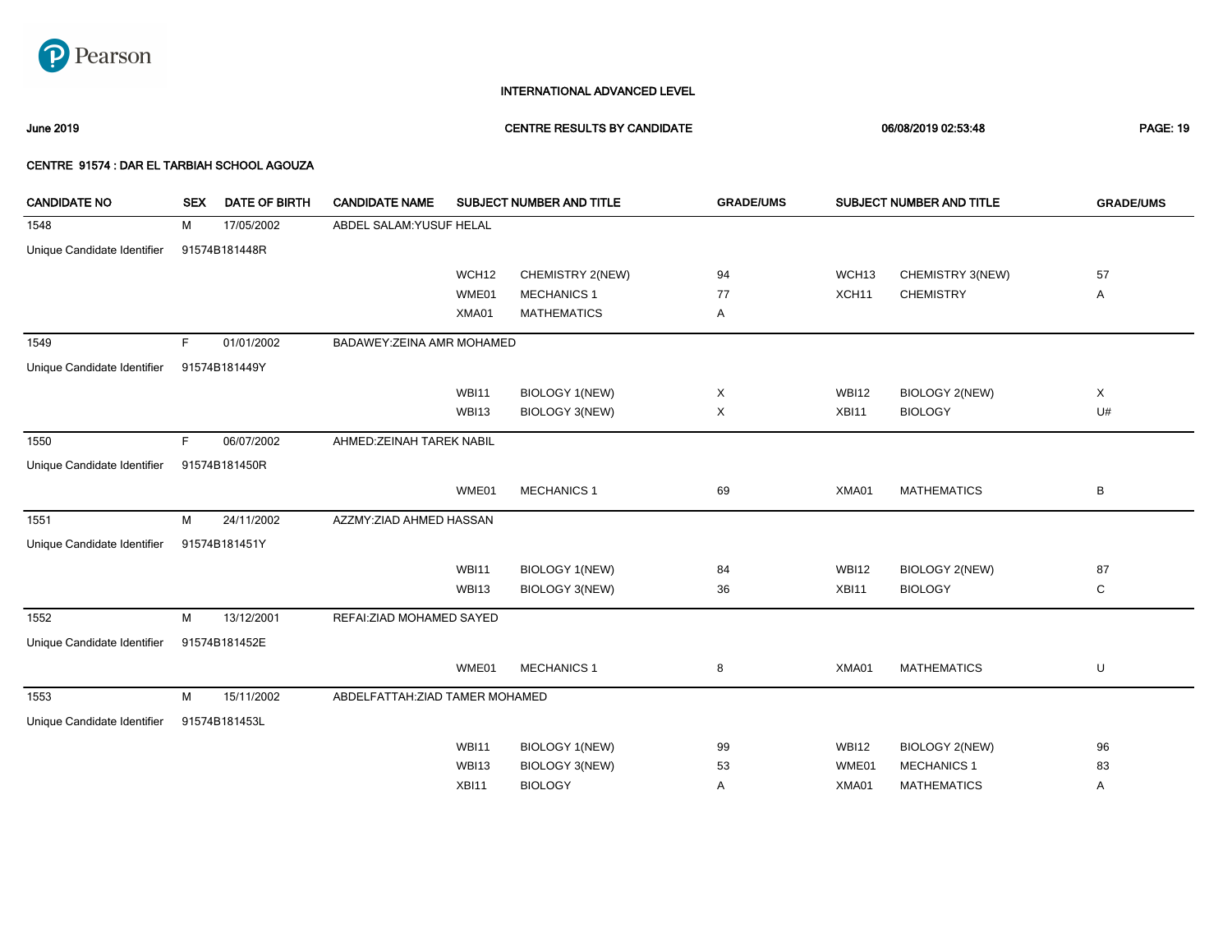

June 2019 CENTRE RESULTS BY CANDIDATE 06/08/2019 02:53:48 PAGE: 19

| <b>CANDIDATE NO</b>         | <b>SEX</b> | <b>DATE OF BIRTH</b> | <b>CANDIDATE NAME</b><br>SUBJECT NUMBER AND TITLE |              |                       | <b>GRADE/UMS</b> |                   | SUBJECT NUMBER AND TITLE | <b>GRADE/UMS</b> |
|-----------------------------|------------|----------------------|---------------------------------------------------|--------------|-----------------------|------------------|-------------------|--------------------------|------------------|
| 1548                        | М          | 17/05/2002           | ABDEL SALAM: YUSUF HELAL                          |              |                       |                  |                   |                          |                  |
| Unique Candidate Identifier |            | 91574B181448R        |                                                   |              |                       |                  |                   |                          |                  |
|                             |            |                      |                                                   | WCH12        | CHEMISTRY 2(NEW)      | 94               | WCH <sub>13</sub> | CHEMISTRY 3(NEW)         | 57               |
|                             |            |                      |                                                   | WME01        | <b>MECHANICS 1</b>    | 77               | XCH <sub>11</sub> | <b>CHEMISTRY</b>         | Α                |
|                             |            |                      |                                                   | XMA01        | <b>MATHEMATICS</b>    | Α                |                   |                          |                  |
| 1549                        | F.         | 01/01/2002           | BADAWEY: ZEINA AMR MOHAMED                        |              |                       |                  |                   |                          |                  |
| Unique Candidate Identifier |            | 91574B181449Y        |                                                   |              |                       |                  |                   |                          |                  |
|                             |            |                      |                                                   | <b>WBI11</b> | BIOLOGY 1(NEW)        | X                | <b>WBI12</b>      | <b>BIOLOGY 2(NEW)</b>    | X                |
|                             |            |                      |                                                   | WBI13        | BIOLOGY 3(NEW)        | Χ                | XBI11             | <b>BIOLOGY</b>           | U#               |
| 1550                        | E          | 06/07/2002           | AHMED: ZEINAH TAREK NABIL                         |              |                       |                  |                   |                          |                  |
| Unique Candidate Identifier |            | 91574B181450R        |                                                   |              |                       |                  |                   |                          |                  |
|                             |            |                      |                                                   | WME01        | <b>MECHANICS 1</b>    | 69               | XMA01             | <b>MATHEMATICS</b>       | B                |
| 1551                        | M          | 24/11/2002           | AZZMY:ZIAD AHMED HASSAN                           |              |                       |                  |                   |                          |                  |
| Unique Candidate Identifier |            | 91574B181451Y        |                                                   |              |                       |                  |                   |                          |                  |
|                             |            |                      |                                                   | <b>WBI11</b> | BIOLOGY 1(NEW)        | 84               | <b>WBI12</b>      | <b>BIOLOGY 2(NEW)</b>    | 87               |
|                             |            |                      |                                                   | <b>WBI13</b> | BIOLOGY 3(NEW)        | 36               | XBI11             | <b>BIOLOGY</b>           | C                |
| 1552                        | М          | 13/12/2001           | REFAI: ZIAD MOHAMED SAYED                         |              |                       |                  |                   |                          |                  |
| Unique Candidate Identifier |            | 91574B181452E        |                                                   |              |                       |                  |                   |                          |                  |
|                             |            |                      |                                                   | WME01        | <b>MECHANICS 1</b>    | 8                | XMA01             | <b>MATHEMATICS</b>       | U                |
| 1553                        | M          | 15/11/2002           | ABDELFATTAH: ZIAD TAMER MOHAMED                   |              |                       |                  |                   |                          |                  |
| Unique Candidate Identifier |            | 91574B181453L        |                                                   |              |                       |                  |                   |                          |                  |
|                             |            |                      |                                                   | WBI11        | <b>BIOLOGY 1(NEW)</b> | 99               | <b>WBI12</b>      | <b>BIOLOGY 2(NEW)</b>    | 96               |
|                             |            |                      |                                                   | WBI13        | BIOLOGY 3(NEW)        | 53               | WME01             | <b>MECHANICS 1</b>       | 83               |
|                             |            |                      |                                                   | XBI11        | <b>BIOLOGY</b>        | Α                | XMA01             | <b>MATHEMATICS</b>       | Α                |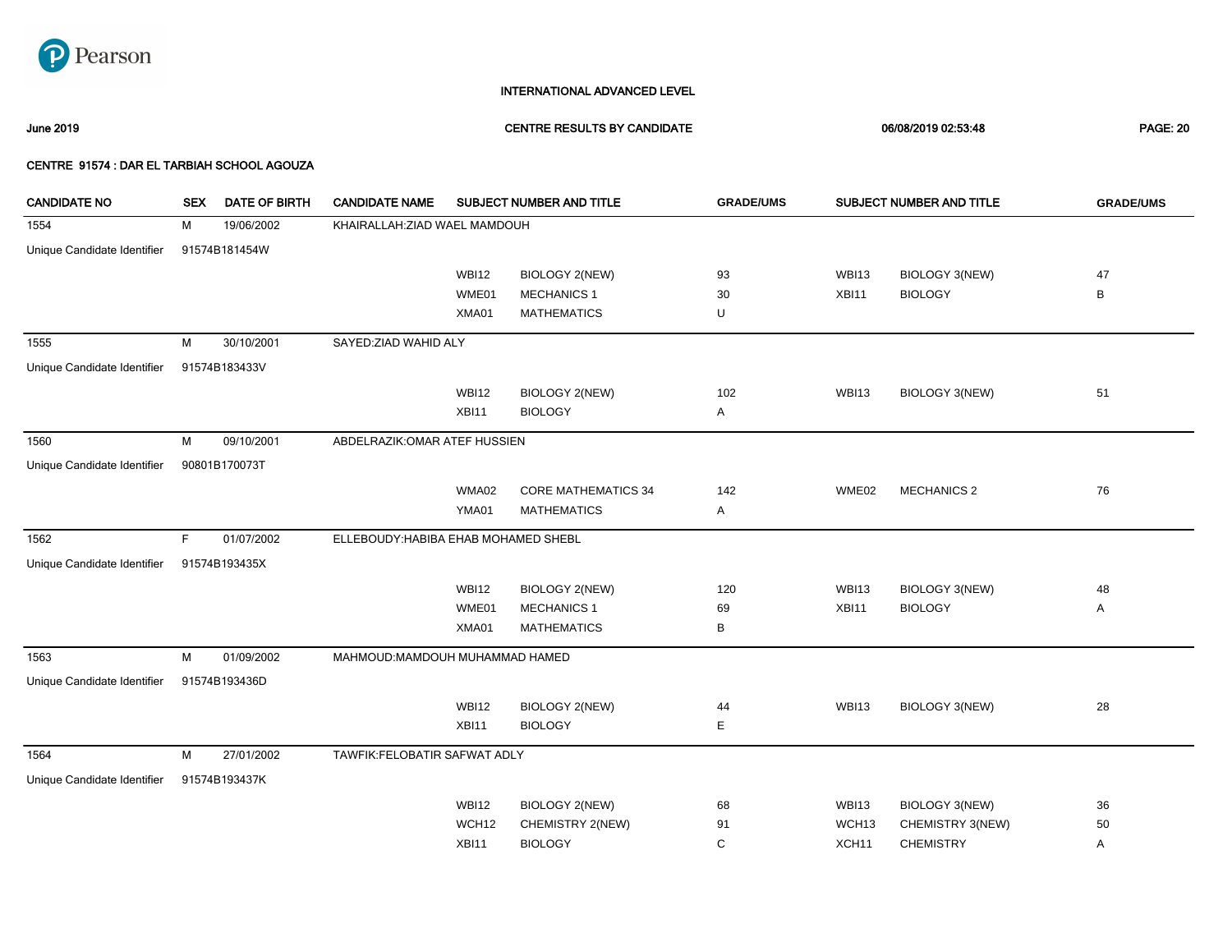

June 2019 CENTRE RESULTS BY CANDIDATE 06/08/2019 02:53:48 PAGE: 20

| <b>CANDIDATE NO</b>         | <b>SEX</b> | <b>DATE OF BIRTH</b> | <b>CANDIDATE NAME</b>                |              | SUBJECT NUMBER AND TITLE   | <b>GRADE/UMS</b> | SUBJECT NUMBER AND TITLE |                    | <b>GRADE/UMS</b> |
|-----------------------------|------------|----------------------|--------------------------------------|--------------|----------------------------|------------------|--------------------------|--------------------|------------------|
| 1554                        | м          | 19/06/2002           | KHAIRALLAH: ZIAD WAEL MAMDOUH        |              |                            |                  |                          |                    |                  |
| Unique Candidate Identifier |            | 91574B181454W        |                                      |              |                            |                  |                          |                    |                  |
|                             |            |                      |                                      | <b>WBI12</b> | <b>BIOLOGY 2(NEW)</b>      | 93               | WBI13                    | BIOLOGY 3(NEW)     | 47               |
|                             |            |                      |                                      | WME01        | <b>MECHANICS 1</b>         | 30               | XBI11                    | <b>BIOLOGY</b>     | В                |
|                             |            |                      |                                      | XMA01        | <b>MATHEMATICS</b>         | U                |                          |                    |                  |
| 1555                        | M          | 30/10/2001           | SAYED: ZIAD WAHID ALY                |              |                            |                  |                          |                    |                  |
| Unique Candidate Identifier |            | 91574B183433V        |                                      |              |                            |                  |                          |                    |                  |
|                             |            |                      |                                      | <b>WBI12</b> | <b>BIOLOGY 2(NEW)</b>      | 102              | WBI13                    | BIOLOGY 3(NEW)     | 51               |
|                             |            |                      |                                      | XBI11        | <b>BIOLOGY</b>             | Α                |                          |                    |                  |
| 1560                        | M          | 09/10/2001           | ABDELRAZIK: OMAR ATEF HUSSIEN        |              |                            |                  |                          |                    |                  |
| Unique Candidate Identifier |            | 90801B170073T        |                                      |              |                            |                  |                          |                    |                  |
|                             |            |                      |                                      | WMA02        | <b>CORE MATHEMATICS 34</b> | 142              | WME02                    | <b>MECHANICS 2</b> | 76               |
|                             |            |                      |                                      | YMA01        | <b>MATHEMATICS</b>         | Α                |                          |                    |                  |
| 1562                        | F          | 01/07/2002           | ELLEBOUDY: HABIBA EHAB MOHAMED SHEBL |              |                            |                  |                          |                    |                  |
| Unique Candidate Identifier |            | 91574B193435X        |                                      |              |                            |                  |                          |                    |                  |
|                             |            |                      |                                      | <b>WBI12</b> | <b>BIOLOGY 2(NEW)</b>      | 120              | WBI13                    | BIOLOGY 3(NEW)     | 48               |
|                             |            |                      |                                      | WME01        | <b>MECHANICS 1</b>         | 69               | XBI11                    | <b>BIOLOGY</b>     | Α                |
|                             |            |                      |                                      | XMA01        | <b>MATHEMATICS</b>         | В                |                          |                    |                  |
| 1563                        | M          | 01/09/2002           | MAHMOUD: MAMDOUH MUHAMMAD HAMED      |              |                            |                  |                          |                    |                  |
| Unique Candidate Identifier |            | 91574B193436D        |                                      |              |                            |                  |                          |                    |                  |
|                             |            |                      |                                      | <b>WBI12</b> | <b>BIOLOGY 2(NEW)</b>      | 44               | WBI13                    | BIOLOGY 3(NEW)     | 28               |
|                             |            |                      |                                      | XBI11        | <b>BIOLOGY</b>             | Е                |                          |                    |                  |
| 1564                        | M          | 27/01/2002           | TAWFIK:FELOBATIR SAFWAT ADLY         |              |                            |                  |                          |                    |                  |
| Unique Candidate Identifier |            | 91574B193437K        |                                      |              |                            |                  |                          |                    |                  |
|                             |            |                      |                                      | <b>WBI12</b> | <b>BIOLOGY 2(NEW)</b>      | 68               | <b>WBI13</b>             | BIOLOGY 3(NEW)     | 36               |
|                             |            |                      |                                      | WCH12        | CHEMISTRY 2(NEW)           | 91               | WCH <sub>13</sub>        | CHEMISTRY 3(NEW)   | 50               |
|                             |            |                      |                                      | XBI11        | <b>BIOLOGY</b>             | C                | XCH <sub>11</sub>        | <b>CHEMISTRY</b>   | Α                |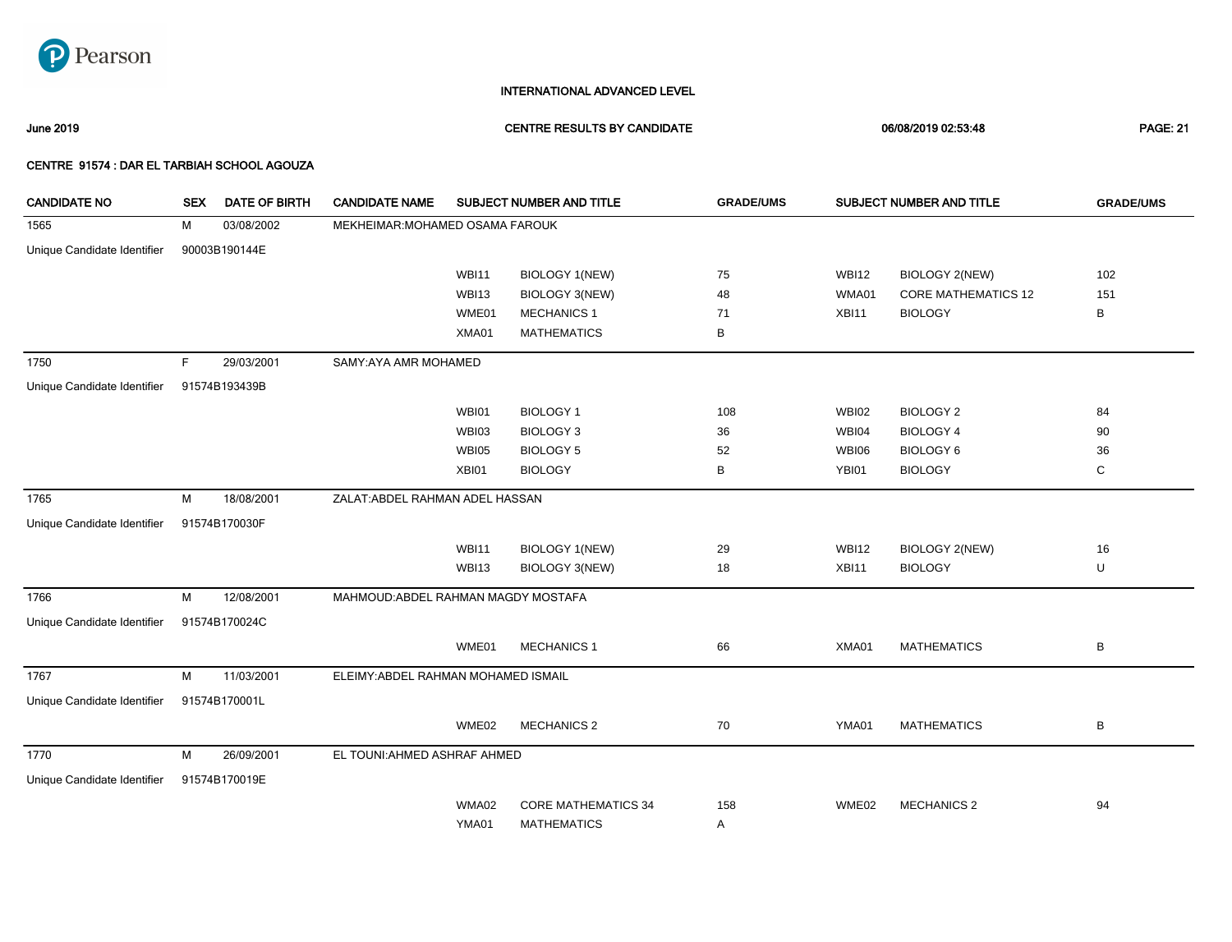

June 2019 CENTRE RESULTS BY CANDIDATE 06/08/2019 02:53:48 PAGE: 21

| <b>CANDIDATE NO</b>         | <b>SEX</b> | <b>DATE OF BIRTH</b> | <b>CANDIDATE NAME</b>               | SUBJECT NUMBER AND TITLE |                            | <b>GRADE/UMS</b> | SUBJECT NUMBER AND TITLE |                            | <b>GRADE/UMS</b> |
|-----------------------------|------------|----------------------|-------------------------------------|--------------------------|----------------------------|------------------|--------------------------|----------------------------|------------------|
| 1565                        | М          | 03/08/2002           | MEKHEIMAR: MOHAMED OSAMA FAROUK     |                          |                            |                  |                          |                            |                  |
| Unique Candidate Identifier |            | 90003B190144E        |                                     |                          |                            |                  |                          |                            |                  |
|                             |            |                      |                                     | <b>WBI11</b>             | BIOLOGY 1(NEW)             | 75               | <b>WBI12</b>             | BIOLOGY 2(NEW)             | 102              |
|                             |            |                      |                                     | WBI13                    | BIOLOGY 3(NEW)             | 48               | WMA01                    | <b>CORE MATHEMATICS 12</b> | 151              |
|                             |            |                      |                                     | WME01                    | <b>MECHANICS 1</b>         | 71               | XBI11                    | <b>BIOLOGY</b>             | В                |
|                             |            |                      |                                     | XMA01                    | <b>MATHEMATICS</b>         | В                |                          |                            |                  |
| 1750                        | F.         | 29/03/2001           | SAMY: AYA AMR MOHAMED               |                          |                            |                  |                          |                            |                  |
| Unique Candidate Identifier |            | 91574B193439B        |                                     |                          |                            |                  |                          |                            |                  |
|                             |            |                      |                                     | WBI01                    | <b>BIOLOGY 1</b>           | 108              | <b>WBI02</b>             | <b>BIOLOGY 2</b>           | 84               |
|                             |            |                      |                                     | WBI03                    | <b>BIOLOGY 3</b>           | 36               | <b>WBI04</b>             | <b>BIOLOGY 4</b>           | 90               |
|                             |            |                      |                                     | WBI05                    | <b>BIOLOGY 5</b>           | 52               | WBI06                    | BIOLOGY 6                  | 36               |
|                             |            |                      |                                     | XBI01                    | <b>BIOLOGY</b>             | В                | YBI01                    | <b>BIOLOGY</b>             | С                |
| 1765                        | M          | 18/08/2001           | ZALAT: ABDEL RAHMAN ADEL HASSAN     |                          |                            |                  |                          |                            |                  |
| Unique Candidate Identifier |            | 91574B170030F        |                                     |                          |                            |                  |                          |                            |                  |
|                             |            |                      |                                     | <b>WBI11</b>             | <b>BIOLOGY 1(NEW)</b>      | 29               | <b>WBI12</b>             | <b>BIOLOGY 2(NEW)</b>      | 16               |
|                             |            |                      |                                     | WBI13                    | BIOLOGY 3(NEW)             | 18               | XBI11                    | <b>BIOLOGY</b>             | U                |
| 1766                        | M          | 12/08/2001           | MAHMOUD: ABDEL RAHMAN MAGDY MOSTAFA |                          |                            |                  |                          |                            |                  |
| Unique Candidate Identifier |            | 91574B170024C        |                                     |                          |                            |                  |                          |                            |                  |
|                             |            |                      |                                     | WME01                    | <b>MECHANICS 1</b>         | 66               | XMA01                    | <b>MATHEMATICS</b>         | В                |
| 1767                        | М          | 11/03/2001           | ELEIMY: ABDEL RAHMAN MOHAMED ISMAIL |                          |                            |                  |                          |                            |                  |
| Unique Candidate Identifier |            | 91574B170001L        |                                     |                          |                            |                  |                          |                            |                  |
|                             |            |                      |                                     | WME02                    | <b>MECHANICS 2</b>         | 70               | YMA01                    | <b>MATHEMATICS</b>         | В                |
| 1770                        | M          | 26/09/2001           | EL TOUNI: AHMED ASHRAF AHMED        |                          |                            |                  |                          |                            |                  |
| Unique Candidate Identifier |            | 91574B170019E        |                                     |                          |                            |                  |                          |                            |                  |
|                             |            |                      |                                     | WMA02                    | <b>CORE MATHEMATICS 34</b> | 158              | WME02                    | <b>MECHANICS 2</b>         | 94               |
|                             |            |                      |                                     | YMA01                    | <b>MATHEMATICS</b>         | Α                |                          |                            |                  |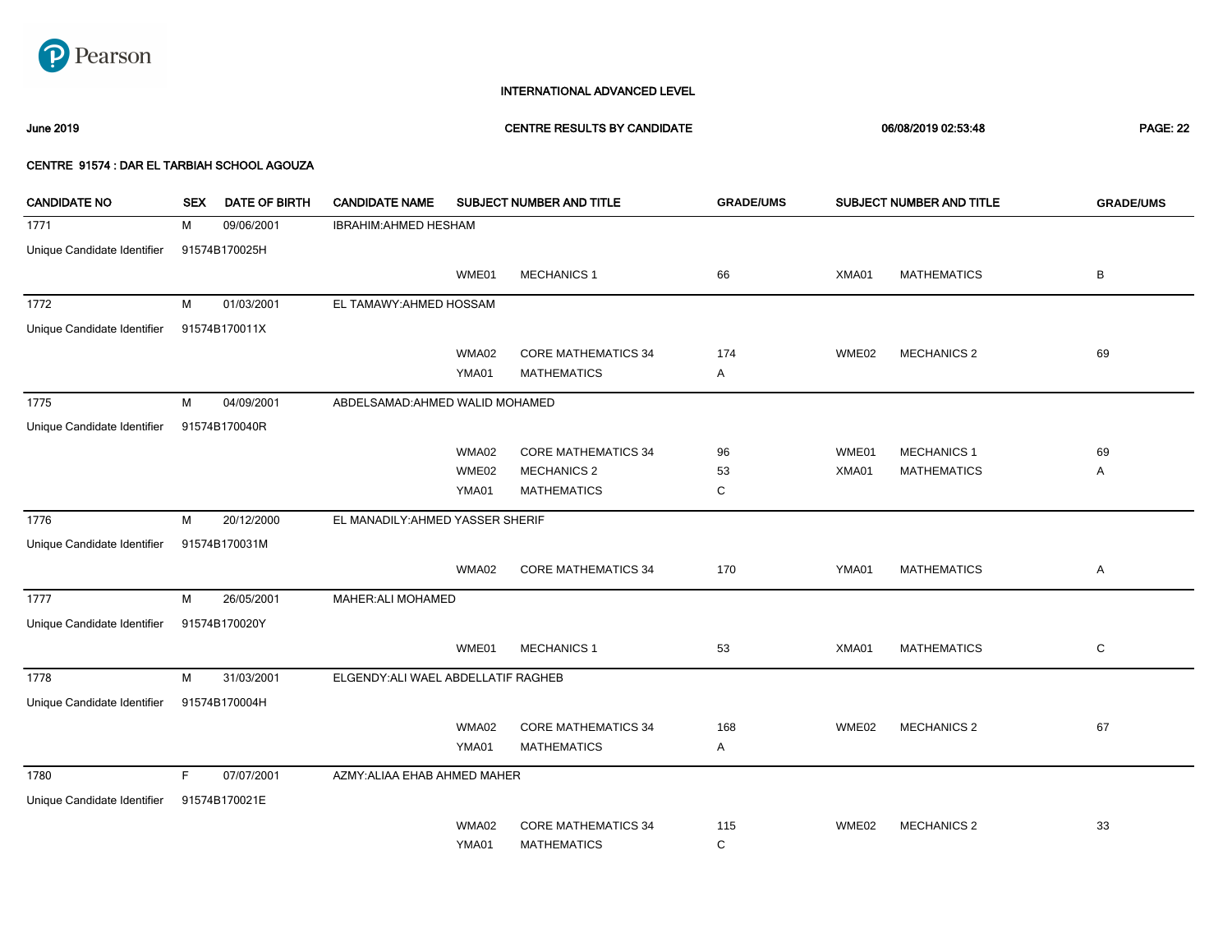

### June 2019 CENTRE RESULTS BY CANDIDATE 06/08/2019 02:53:48 PAGE: 22

| <b>CANDIDATE NO</b>         | <b>SEX</b> | <b>DATE OF BIRTH</b> | <b>CANDIDATE NAME</b>               |       | SUBJECT NUMBER AND TITLE   | <b>GRADE/UMS</b> |       | SUBJECT NUMBER AND TITLE | <b>GRADE/UMS</b> |
|-----------------------------|------------|----------------------|-------------------------------------|-------|----------------------------|------------------|-------|--------------------------|------------------|
| 1771                        | М          | 09/06/2001           | <b>IBRAHIM: AHMED HESHAM</b>        |       |                            |                  |       |                          |                  |
| Unique Candidate Identifier |            | 91574B170025H        |                                     |       |                            |                  |       |                          |                  |
|                             |            |                      |                                     | WME01 | <b>MECHANICS 1</b>         | 66               | XMA01 | <b>MATHEMATICS</b>       | В                |
| 1772                        | M          | 01/03/2001           | EL TAMAWY: AHMED HOSSAM             |       |                            |                  |       |                          |                  |
| Unique Candidate Identifier |            | 91574B170011X        |                                     |       |                            |                  |       |                          |                  |
|                             |            |                      |                                     | WMA02 | <b>CORE MATHEMATICS 34</b> | 174              | WME02 | <b>MECHANICS 2</b>       | 69               |
|                             |            |                      |                                     | YMA01 | <b>MATHEMATICS</b>         | Α                |       |                          |                  |
| 1775                        | M          | 04/09/2001           | ABDELSAMAD: AHMED WALID MOHAMED     |       |                            |                  |       |                          |                  |
| Unique Candidate Identifier |            | 91574B170040R        |                                     |       |                            |                  |       |                          |                  |
|                             |            |                      |                                     | WMA02 | <b>CORE MATHEMATICS 34</b> | 96               | WME01 | <b>MECHANICS 1</b>       | 69               |
|                             |            |                      |                                     | WME02 | <b>MECHANICS 2</b>         | 53               | XMA01 | <b>MATHEMATICS</b>       | Α                |
|                             |            |                      |                                     | YMA01 | <b>MATHEMATICS</b>         | С                |       |                          |                  |
| 1776                        | м          | 20/12/2000           | EL MANADILY: AHMED YASSER SHERIF    |       |                            |                  |       |                          |                  |
| Unique Candidate Identifier |            | 91574B170031M        |                                     |       |                            |                  |       |                          |                  |
|                             |            |                      |                                     | WMA02 | <b>CORE MATHEMATICS 34</b> | 170              | YMA01 | <b>MATHEMATICS</b>       | Α                |
| 1777                        | м          | 26/05/2001           | <b>MAHER: ALI MOHAMED</b>           |       |                            |                  |       |                          |                  |
| Unique Candidate Identifier |            | 91574B170020Y        |                                     |       |                            |                  |       |                          |                  |
|                             |            |                      |                                     | WME01 | <b>MECHANICS 1</b>         | 53               | XMA01 | <b>MATHEMATICS</b>       | С                |
| 1778                        | м          | 31/03/2001           | ELGENDY: ALI WAEL ABDELLATIF RAGHEB |       |                            |                  |       |                          |                  |
| Unique Candidate Identifier |            | 91574B170004H        |                                     |       |                            |                  |       |                          |                  |
|                             |            |                      |                                     | WMA02 | <b>CORE MATHEMATICS 34</b> | 168              | WME02 | <b>MECHANICS 2</b>       | 67               |
|                             |            |                      |                                     | YMA01 | <b>MATHEMATICS</b>         | Α                |       |                          |                  |
| 1780                        | F          | 07/07/2001           | AZMY: ALIAA EHAB AHMED MAHER        |       |                            |                  |       |                          |                  |
| Unique Candidate Identifier |            | 91574B170021E        |                                     |       |                            |                  |       |                          |                  |
|                             |            |                      |                                     | WMA02 | <b>CORE MATHEMATICS 34</b> | 115              | WME02 | <b>MECHANICS 2</b>       | 33               |
|                             |            |                      |                                     | YMA01 | <b>MATHEMATICS</b>         | C                |       |                          |                  |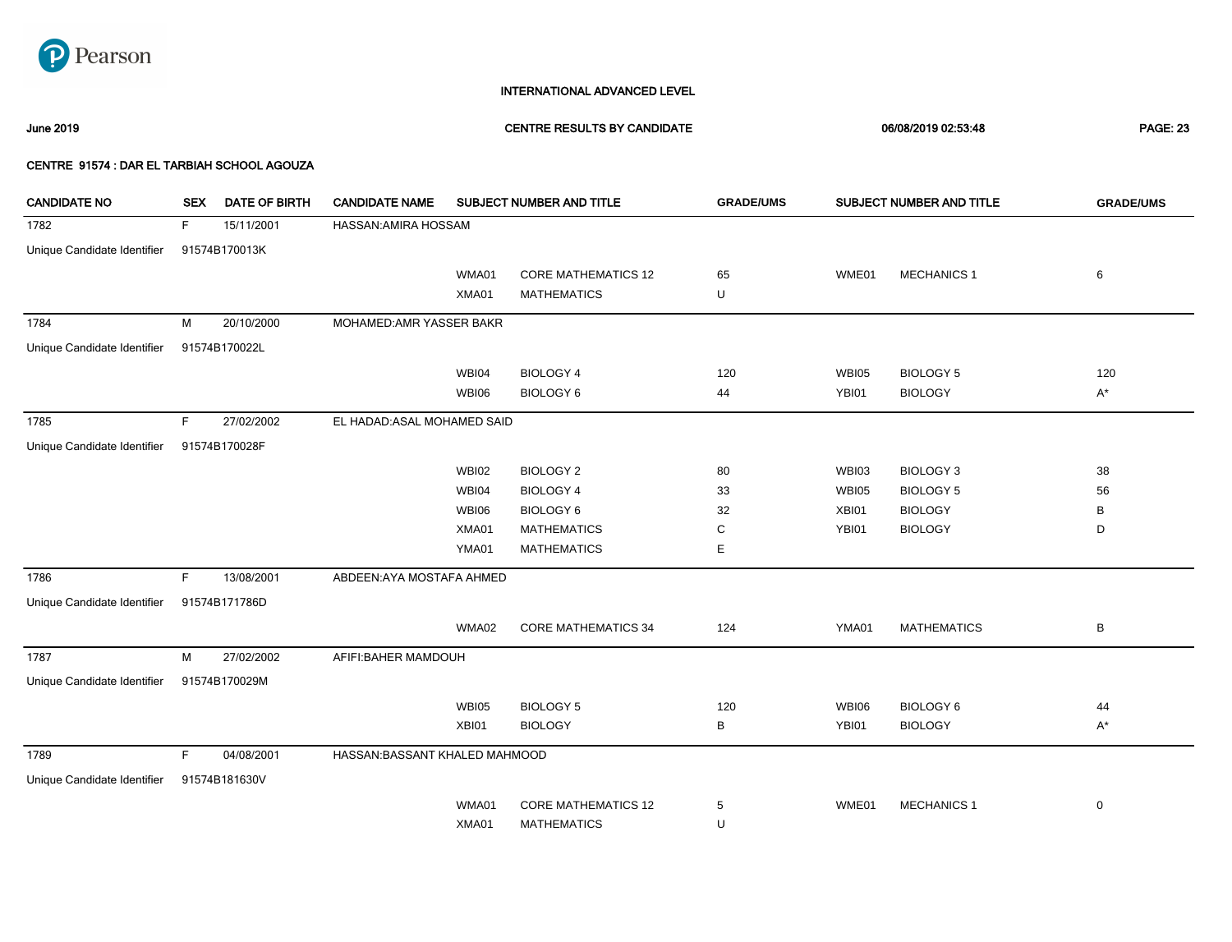

### June 2019 CENTRE RESULTS BY CANDIDATE 06/08/2019 02:53:48 PAGE: 23

| <b>CANDIDATE NO</b>         | <b>SEX</b> | <b>DATE OF BIRTH</b> | <b>CANDIDATE NAME</b>          |              | SUBJECT NUMBER AND TITLE   | <b>GRADE/UMS</b> |              | SUBJECT NUMBER AND TITLE | <b>GRADE/UMS</b> |
|-----------------------------|------------|----------------------|--------------------------------|--------------|----------------------------|------------------|--------------|--------------------------|------------------|
| 1782                        | F          | 15/11/2001           | HASSAN: AMIRA HOSSAM           |              |                            |                  |              |                          |                  |
| Unique Candidate Identifier |            | 91574B170013K        |                                |              |                            |                  |              |                          |                  |
|                             |            |                      |                                | WMA01        | <b>CORE MATHEMATICS 12</b> | 65               | WME01        | <b>MECHANICS 1</b>       | 6                |
|                             |            |                      |                                | XMA01        | <b>MATHEMATICS</b>         | U                |              |                          |                  |
| 1784                        | M          | 20/10/2000           | MOHAMED: AMR YASSER BAKR       |              |                            |                  |              |                          |                  |
| Unique Candidate Identifier |            | 91574B170022L        |                                |              |                            |                  |              |                          |                  |
|                             |            |                      |                                | WBI04        | <b>BIOLOGY 4</b>           | 120              | <b>WBI05</b> | <b>BIOLOGY 5</b>         | 120              |
|                             |            |                      |                                | WBI06        | <b>BIOLOGY 6</b>           | 44               | YBI01        | <b>BIOLOGY</b>           | $A^*$            |
| 1785                        | F          | 27/02/2002           | EL HADAD: ASAL MOHAMED SAID    |              |                            |                  |              |                          |                  |
| Unique Candidate Identifier |            | 91574B170028F        |                                |              |                            |                  |              |                          |                  |
|                             |            |                      |                                | <b>WBI02</b> | <b>BIOLOGY 2</b>           | 80               | <b>WBI03</b> | <b>BIOLOGY 3</b>         | 38               |
|                             |            |                      |                                | WBI04        | <b>BIOLOGY 4</b>           | 33               | <b>WBI05</b> | <b>BIOLOGY 5</b>         | 56               |
|                             |            |                      |                                | <b>WBI06</b> | <b>BIOLOGY 6</b>           | 32               | XBI01        | <b>BIOLOGY</b>           | В                |
|                             |            |                      |                                | XMA01        | <b>MATHEMATICS</b>         | С                | YBI01        | <b>BIOLOGY</b>           | D                |
|                             |            |                      |                                | YMA01        | <b>MATHEMATICS</b>         | E                |              |                          |                  |
| 1786                        | F          | 13/08/2001           | ABDEEN: AYA MOSTAFA AHMED      |              |                            |                  |              |                          |                  |
| Unique Candidate Identifier |            | 91574B171786D        |                                |              |                            |                  |              |                          |                  |
|                             |            |                      |                                | WMA02        | <b>CORE MATHEMATICS 34</b> | 124              | YMA01        | <b>MATHEMATICS</b>       | В                |
| 1787                        | М          | 27/02/2002           | AFIFI: BAHER MAMDOUH           |              |                            |                  |              |                          |                  |
| Unique Candidate Identifier |            | 91574B170029M        |                                |              |                            |                  |              |                          |                  |
|                             |            |                      |                                | <b>WBI05</b> | <b>BIOLOGY 5</b>           | 120              | <b>WBI06</b> | <b>BIOLOGY 6</b>         | 44               |
|                             |            |                      |                                | XBI01        | <b>BIOLOGY</b>             | В                | YBI01        | <b>BIOLOGY</b>           | A*               |
| 1789                        | F          | 04/08/2001           | HASSAN: BASSANT KHALED MAHMOOD |              |                            |                  |              |                          |                  |
| Unique Candidate Identifier |            | 91574B181630V        |                                |              |                            |                  |              |                          |                  |
|                             |            |                      |                                | WMA01        | <b>CORE MATHEMATICS 12</b> | 5                | WME01        | <b>MECHANICS 1</b>       | $\mathbf 0$      |
|                             |            |                      |                                | XMA01        | <b>MATHEMATICS</b>         | U                |              |                          |                  |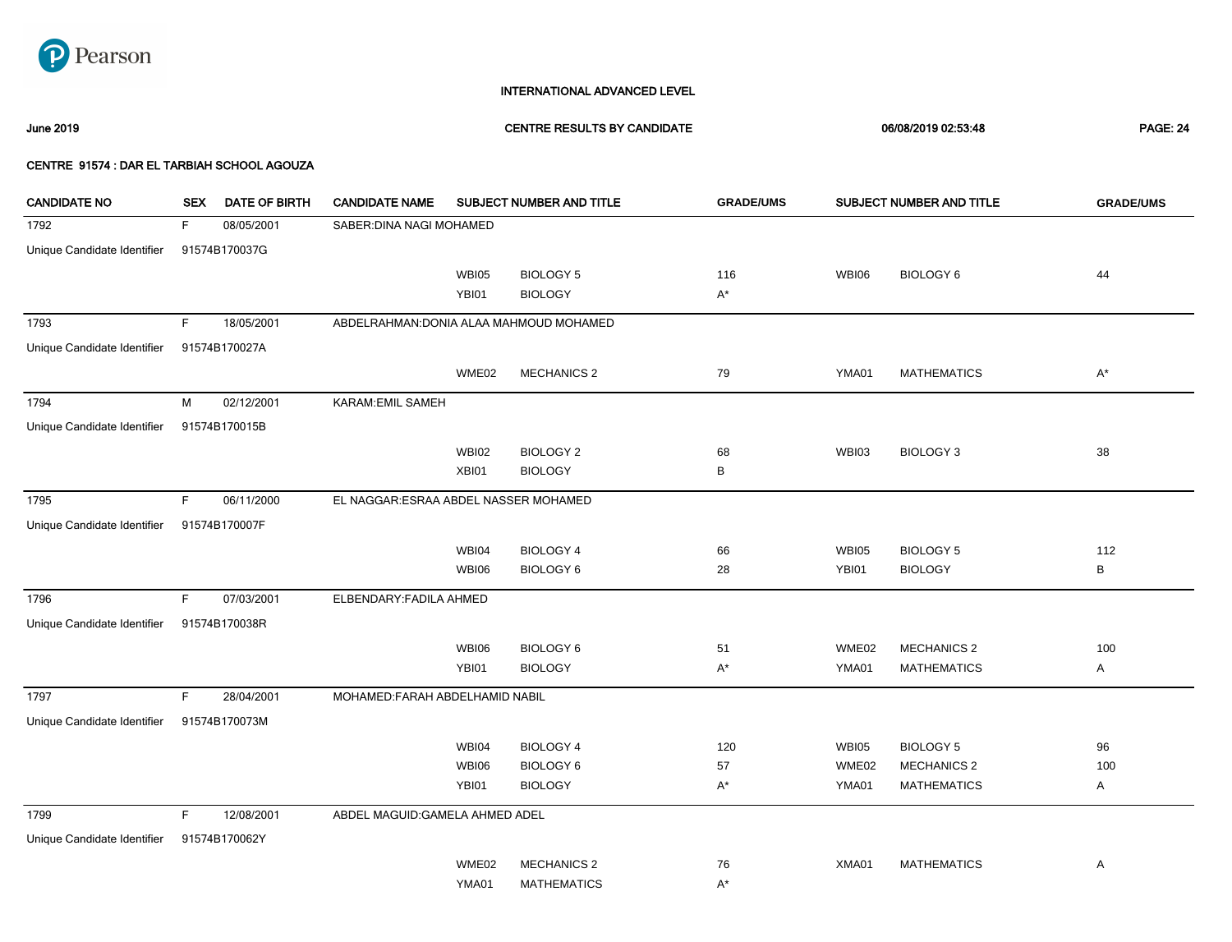

### June 2019 CENTRE RESULTS BY CANDIDATE 06/08/2019 02:53:48 PAGE: 24

| <b>CANDIDATE NO</b>         | <b>SEX</b> | DATE OF BIRTH | <b>CANDIDATE NAME</b>                   |              | SUBJECT NUMBER AND TITLE | <b>GRADE/UMS</b> |              | SUBJECT NUMBER AND TITLE | <b>GRADE/UMS</b> |
|-----------------------------|------------|---------------|-----------------------------------------|--------------|--------------------------|------------------|--------------|--------------------------|------------------|
| 1792                        | F.         | 08/05/2001    | SABER: DINA NAGI MOHAMED                |              |                          |                  |              |                          |                  |
| Unique Candidate Identifier |            | 91574B170037G |                                         |              |                          |                  |              |                          |                  |
|                             |            |               |                                         | WBI05        | <b>BIOLOGY 5</b>         | 116              | <b>WBI06</b> | BIOLOGY 6                | 44               |
|                             |            |               |                                         | YBI01        | <b>BIOLOGY</b>           | A*               |              |                          |                  |
| 1793                        | F.         | 18/05/2001    | ABDELRAHMAN: DONIA ALAA MAHMOUD MOHAMED |              |                          |                  |              |                          |                  |
| Unique Candidate Identifier |            | 91574B170027A |                                         |              |                          |                  |              |                          |                  |
|                             |            |               |                                         | WME02        | <b>MECHANICS 2</b>       | 79               | YMA01        | <b>MATHEMATICS</b>       | $A^*$            |
| 1794                        | M          | 02/12/2001    | KARAM: EMIL SAMEH                       |              |                          |                  |              |                          |                  |
| Unique Candidate Identifier |            | 91574B170015B |                                         |              |                          |                  |              |                          |                  |
|                             |            |               |                                         | <b>WBI02</b> | <b>BIOLOGY 2</b>         | 68               | WBI03        | <b>BIOLOGY 3</b>         | 38               |
|                             |            |               |                                         | XBI01        | <b>BIOLOGY</b>           | В                |              |                          |                  |
| 1795                        | F.         | 06/11/2000    | EL NAGGAR: ESRAA ABDEL NASSER MOHAMED   |              |                          |                  |              |                          |                  |
| Unique Candidate Identifier |            | 91574B170007F |                                         |              |                          |                  |              |                          |                  |
|                             |            |               |                                         | WBI04        | <b>BIOLOGY 4</b>         | 66               | <b>WBI05</b> | <b>BIOLOGY 5</b>         | 112              |
|                             |            |               |                                         | <b>WBI06</b> | <b>BIOLOGY 6</b>         | 28               | YBI01        | <b>BIOLOGY</b>           | В                |
| 1796                        | F.         | 07/03/2001    | ELBENDARY: FADILA AHMED                 |              |                          |                  |              |                          |                  |
| Unique Candidate Identifier |            | 91574B170038R |                                         |              |                          |                  |              |                          |                  |
|                             |            |               |                                         | <b>WBI06</b> | <b>BIOLOGY 6</b>         | 51               | WME02        | <b>MECHANICS 2</b>       | 100              |
|                             |            |               |                                         | YBI01        | <b>BIOLOGY</b>           | A*               | YMA01        | <b>MATHEMATICS</b>       | A                |
| 1797                        | F.         | 28/04/2001    | MOHAMED: FARAH ABDELHAMID NABIL         |              |                          |                  |              |                          |                  |
| Unique Candidate Identifier |            | 91574B170073M |                                         |              |                          |                  |              |                          |                  |
|                             |            |               |                                         | WBI04        | <b>BIOLOGY 4</b>         | 120              | <b>WBI05</b> | <b>BIOLOGY 5</b>         | 96               |
|                             |            |               |                                         | WBI06        | <b>BIOLOGY 6</b>         | 57               | WME02        | <b>MECHANICS 2</b>       | 100              |
|                             |            |               |                                         | YBI01        | <b>BIOLOGY</b>           | A*               | YMA01        | <b>MATHEMATICS</b>       | A                |
| 1799                        | F.         | 12/08/2001    | ABDEL MAGUID: GAMELA AHMED ADEL         |              |                          |                  |              |                          |                  |
| Unique Candidate Identifier |            | 91574B170062Y |                                         |              |                          |                  |              |                          |                  |
|                             |            |               |                                         | WME02        | <b>MECHANICS 2</b>       | 76               | XMA01        | <b>MATHEMATICS</b>       | Α                |
|                             |            |               |                                         | YMA01        | <b>MATHEMATICS</b>       | A*               |              |                          |                  |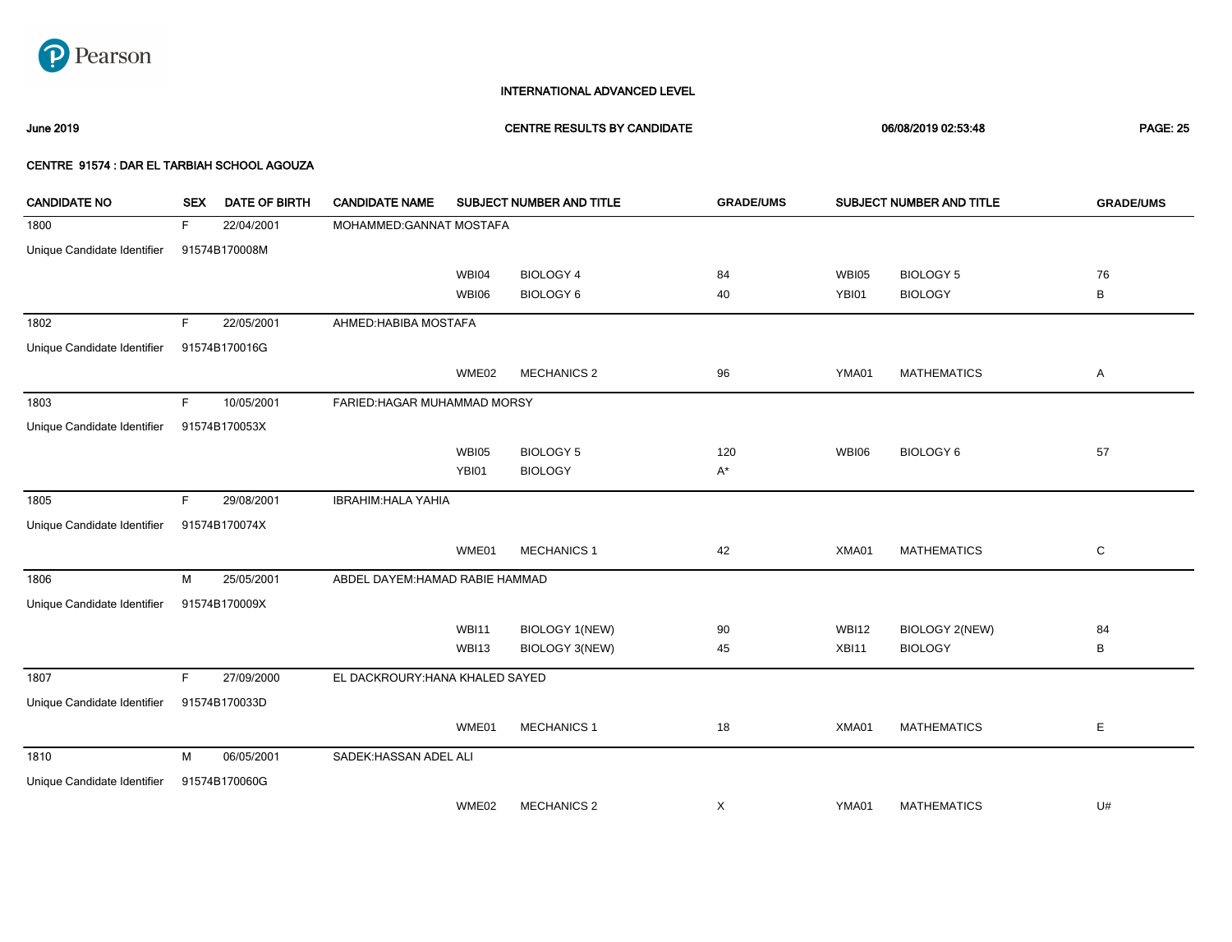

June 2019 CENTRE RESULTS BY CANDIDATE 06/08/2019 02:53:48 PAGE: 25

| <b>CANDIDATE NO</b>         | <b>SEX</b> | <b>DATE OF BIRTH</b> | <b>CANDIDATE NAME</b>           |              | SUBJECT NUMBER AND TITLE | <b>GRADE/UMS</b> |              | SUBJECT NUMBER AND TITLE | <b>GRADE/UMS</b> |
|-----------------------------|------------|----------------------|---------------------------------|--------------|--------------------------|------------------|--------------|--------------------------|------------------|
| 1800                        | F          | 22/04/2001           | MOHAMMED: GANNAT MOSTAFA        |              |                          |                  |              |                          |                  |
| Unique Candidate Identifier |            | 91574B170008M        |                                 |              |                          |                  |              |                          |                  |
|                             |            |                      |                                 | WBI04        | <b>BIOLOGY 4</b>         | 84               | WBI05        | <b>BIOLOGY 5</b>         | 76               |
|                             |            |                      |                                 | <b>WBI06</b> | <b>BIOLOGY 6</b>         | 40               | YBI01        | <b>BIOLOGY</b>           | B                |
| 1802                        | F          | 22/05/2001           | AHMED: HABIBA MOSTAFA           |              |                          |                  |              |                          |                  |
| Unique Candidate Identifier |            | 91574B170016G        |                                 |              |                          |                  |              |                          |                  |
|                             |            |                      |                                 | WME02        | <b>MECHANICS 2</b>       | 96               | YMA01        | <b>MATHEMATICS</b>       | Α                |
| 1803                        | F.         | 10/05/2001           | FARIED: HAGAR MUHAMMAD MORSY    |              |                          |                  |              |                          |                  |
| Unique Candidate Identifier |            | 91574B170053X        |                                 |              |                          |                  |              |                          |                  |
|                             |            |                      |                                 | <b>WBI05</b> | <b>BIOLOGY 5</b>         | 120              | <b>WBI06</b> | <b>BIOLOGY 6</b>         | 57               |
|                             |            |                      |                                 | YBI01        | <b>BIOLOGY</b>           | $A^*$            |              |                          |                  |
| 1805                        | F          | 29/08/2001           | <b>IBRAHIM: HALA YAHIA</b>      |              |                          |                  |              |                          |                  |
| Unique Candidate Identifier |            | 91574B170074X        |                                 |              |                          |                  |              |                          |                  |
|                             |            |                      |                                 | WME01        | <b>MECHANICS 1</b>       | 42               | XMA01        | <b>MATHEMATICS</b>       | $\mathbf C$      |
| 1806                        | М          | 25/05/2001           | ABDEL DAYEM: HAMAD RABIE HAMMAD |              |                          |                  |              |                          |                  |
| Unique Candidate Identifier |            | 91574B170009X        |                                 |              |                          |                  |              |                          |                  |
|                             |            |                      |                                 | <b>WBI11</b> | <b>BIOLOGY 1(NEW)</b>    | 90               | <b>WBI12</b> | <b>BIOLOGY 2(NEW)</b>    | 84               |
|                             |            |                      |                                 | <b>WBI13</b> | BIOLOGY 3(NEW)           | 45               | XBI11        | <b>BIOLOGY</b>           | B                |
| 1807                        | F          | 27/09/2000           | EL DACKROURY: HANA KHALED SAYED |              |                          |                  |              |                          |                  |
| Unique Candidate Identifier |            | 91574B170033D        |                                 |              |                          |                  |              |                          |                  |
|                             |            |                      |                                 | WME01        | <b>MECHANICS 1</b>       | 18               | XMA01        | <b>MATHEMATICS</b>       | E                |
| 1810                        | M          | 06/05/2001           | SADEK: HASSAN ADEL ALI          |              |                          |                  |              |                          |                  |
| Unique Candidate Identifier |            | 91574B170060G        |                                 |              |                          |                  |              |                          |                  |
|                             |            |                      |                                 | WME02        | <b>MECHANICS 2</b>       | X                | YMA01        | <b>MATHEMATICS</b>       | U#               |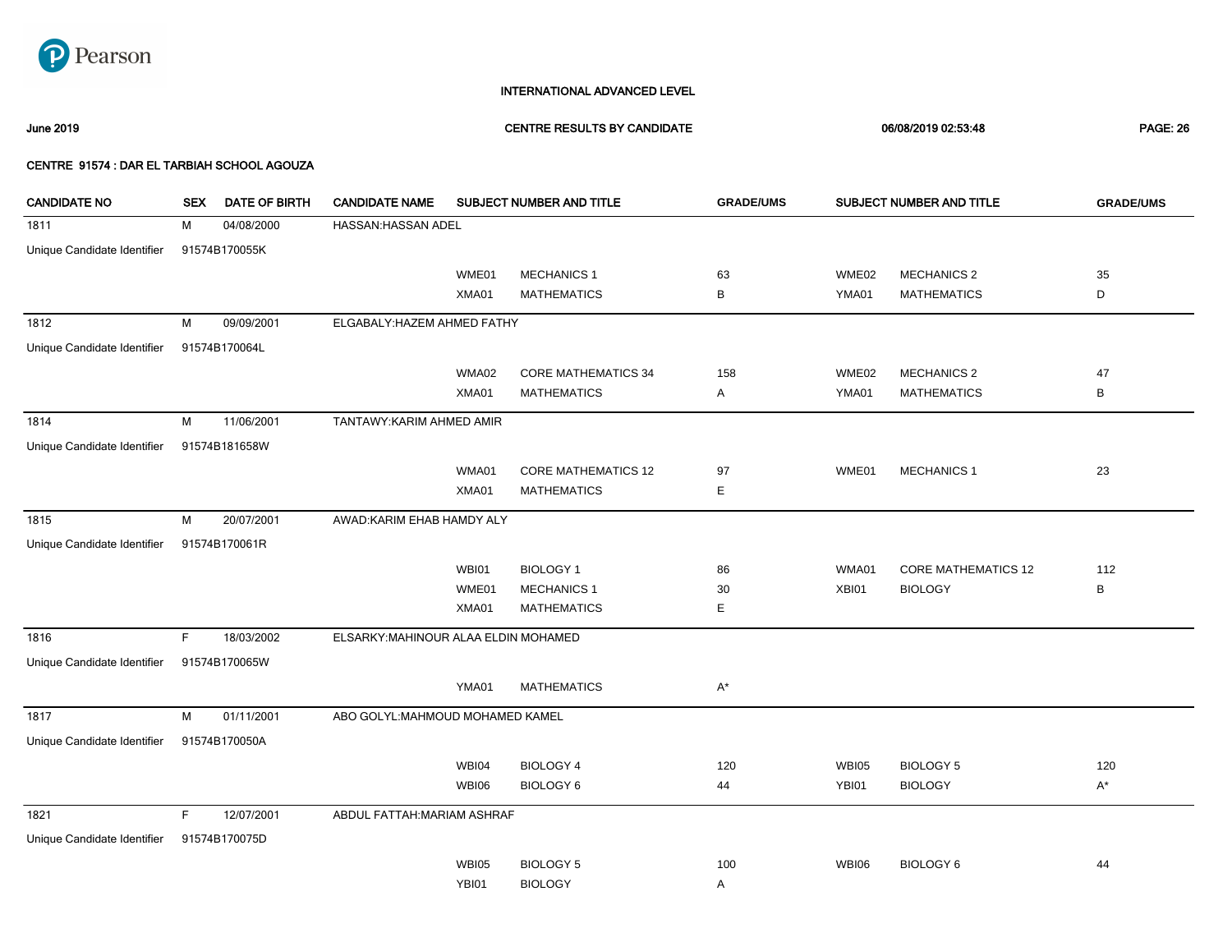

### June 2019 CENTRE RESULTS BY CANDIDATE 06/08/2019 02:53:48 PAGE: 26

| <b>CANDIDATE NO</b>         | <b>SEX</b> | DATE OF BIRTH | <b>CANDIDATE NAME</b>                |              | SUBJECT NUMBER AND TITLE   | <b>GRADE/UMS</b> |              | SUBJECT NUMBER AND TITLE   | <b>GRADE/UMS</b> |
|-----------------------------|------------|---------------|--------------------------------------|--------------|----------------------------|------------------|--------------|----------------------------|------------------|
| 1811                        | м          | 04/08/2000    | HASSAN: HASSAN ADEL                  |              |                            |                  |              |                            |                  |
| Unique Candidate Identifier |            | 91574B170055K |                                      |              |                            |                  |              |                            |                  |
|                             |            |               |                                      | WME01        | <b>MECHANICS 1</b>         | 63               | WME02        | <b>MECHANICS 2</b>         | 35               |
|                             |            |               |                                      | XMA01        | <b>MATHEMATICS</b>         | В                | YMA01        | <b>MATHEMATICS</b>         | D                |
| 1812                        | м          | 09/09/2001    | ELGABALY: HAZEM AHMED FATHY          |              |                            |                  |              |                            |                  |
| Unique Candidate Identifier |            | 91574B170064L |                                      |              |                            |                  |              |                            |                  |
|                             |            |               |                                      | WMA02        | <b>CORE MATHEMATICS 34</b> | 158              | WME02        | <b>MECHANICS 2</b>         | 47               |
|                             |            |               |                                      | XMA01        | <b>MATHEMATICS</b>         | Α                | YMA01        | <b>MATHEMATICS</b>         | $\, {\bf B}$     |
| 1814                        | M          | 11/06/2001    | TANTAWY: KARIM AHMED AMIR            |              |                            |                  |              |                            |                  |
| Unique Candidate Identifier |            | 91574B181658W |                                      |              |                            |                  |              |                            |                  |
|                             |            |               |                                      | WMA01        | <b>CORE MATHEMATICS 12</b> | 97               | WME01        | <b>MECHANICS 1</b>         | 23               |
|                             |            |               |                                      | XMA01        | <b>MATHEMATICS</b>         | E                |              |                            |                  |
| 1815                        | M          | 20/07/2001    | AWAD:KARIM EHAB HAMDY ALY            |              |                            |                  |              |                            |                  |
| Unique Candidate Identifier |            | 91574B170061R |                                      |              |                            |                  |              |                            |                  |
|                             |            |               |                                      | WBI01        | <b>BIOLOGY 1</b>           | 86               | WMA01        | <b>CORE MATHEMATICS 12</b> | 112              |
|                             |            |               |                                      | WME01        | <b>MECHANICS 1</b>         | 30               | XBI01        | <b>BIOLOGY</b>             | B                |
|                             |            |               |                                      | XMA01        | <b>MATHEMATICS</b>         | Е                |              |                            |                  |
| 1816                        | F          | 18/03/2002    | ELSARKY: MAHINOUR ALAA ELDIN MOHAMED |              |                            |                  |              |                            |                  |
| Unique Candidate Identifier |            | 91574B170065W |                                      |              |                            |                  |              |                            |                  |
|                             |            |               |                                      | YMA01        | <b>MATHEMATICS</b>         | $A^*$            |              |                            |                  |
| 1817                        | М          | 01/11/2001    | ABO GOLYL: MAHMOUD MOHAMED KAMEL     |              |                            |                  |              |                            |                  |
| Unique Candidate Identifier |            | 91574B170050A |                                      |              |                            |                  |              |                            |                  |
|                             |            |               |                                      | WBI04        | <b>BIOLOGY 4</b>           | 120              | <b>WBI05</b> | <b>BIOLOGY 5</b>           | 120              |
|                             |            |               |                                      | <b>WBI06</b> | <b>BIOLOGY 6</b>           | 44               | YBI01        | <b>BIOLOGY</b>             | $A^*$            |
| 1821                        | F          | 12/07/2001    | ABDUL FATTAH: MARIAM ASHRAF          |              |                            |                  |              |                            |                  |
| Unique Candidate Identifier |            | 91574B170075D |                                      |              |                            |                  |              |                            |                  |
|                             |            |               |                                      | <b>WBI05</b> | <b>BIOLOGY 5</b>           | 100              | <b>WBI06</b> | BIOLOGY 6                  | 44               |
|                             |            |               |                                      | YBI01        | <b>BIOLOGY</b>             | Α                |              |                            |                  |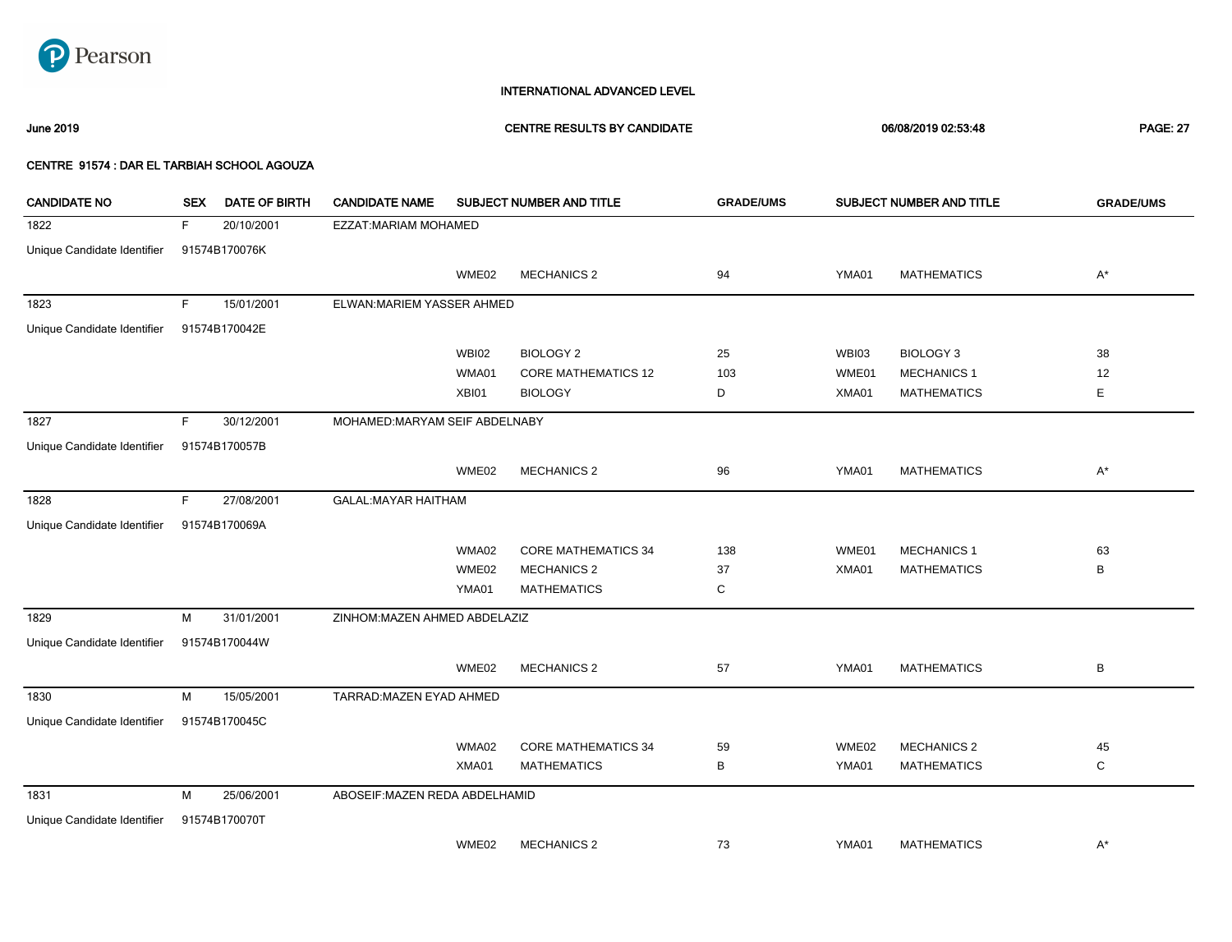

### June 2019 CENTRE RESULTS BY CANDIDATE 06/08/2019 02:53:48 PAGE: 27

| <b>CANDIDATE NO</b>         | <b>SEX</b> | <b>DATE OF BIRTH</b> | <b>CANDIDATE NAME</b>          |              | SUBJECT NUMBER AND TITLE   | <b>GRADE/UMS</b> |       | SUBJECT NUMBER AND TITLE | <b>GRADE/UMS</b>   |
|-----------------------------|------------|----------------------|--------------------------------|--------------|----------------------------|------------------|-------|--------------------------|--------------------|
| 1822                        | F.         | 20/10/2001           | EZZAT: MARIAM MOHAMED          |              |                            |                  |       |                          |                    |
| Unique Candidate Identifier |            | 91574B170076K        |                                |              |                            |                  |       |                          |                    |
|                             |            |                      |                                | WME02        | <b>MECHANICS 2</b>         | 94               | YMA01 | <b>MATHEMATICS</b>       | $A^*$              |
| 1823                        | F.         | 15/01/2001           | ELWAN: MARIEM YASSER AHMED     |              |                            |                  |       |                          |                    |
| Unique Candidate Identifier |            | 91574B170042E        |                                |              |                            |                  |       |                          |                    |
|                             |            |                      |                                | <b>WBI02</b> | <b>BIOLOGY 2</b>           | 25               | WBI03 | <b>BIOLOGY 3</b>         | 38                 |
|                             |            |                      |                                | WMA01        | <b>CORE MATHEMATICS 12</b> | 103              | WME01 | <b>MECHANICS 1</b>       | 12                 |
|                             |            |                      |                                | XBI01        | <b>BIOLOGY</b>             | D                | XMA01 | <b>MATHEMATICS</b>       | Е                  |
| 1827                        | F.         | 30/12/2001           | MOHAMED:MARYAM SEIF ABDELNABY  |              |                            |                  |       |                          |                    |
| Unique Candidate Identifier |            | 91574B170057B        |                                |              |                            |                  |       |                          |                    |
|                             |            |                      |                                | WME02        | <b>MECHANICS 2</b>         | 96               | YMA01 | <b>MATHEMATICS</b>       | $\mathsf{A}^\star$ |
| 1828                        | F.         | 27/08/2001           | <b>GALAL:MAYAR HAITHAM</b>     |              |                            |                  |       |                          |                    |
| Unique Candidate Identifier |            | 91574B170069A        |                                |              |                            |                  |       |                          |                    |
|                             |            |                      |                                | WMA02        | <b>CORE MATHEMATICS 34</b> | 138              | WME01 | <b>MECHANICS 1</b>       | 63                 |
|                             |            |                      |                                | WME02        | <b>MECHANICS 2</b>         | 37               | XMA01 | <b>MATHEMATICS</b>       | В                  |
|                             |            |                      |                                | YMA01        | <b>MATHEMATICS</b>         | C                |       |                          |                    |
| 1829                        | М          | 31/01/2001           | ZINHOM: MAZEN AHMED ABDELAZIZ  |              |                            |                  |       |                          |                    |
| Unique Candidate Identifier |            | 91574B170044W        |                                |              |                            |                  |       |                          |                    |
|                             |            |                      |                                | WME02        | <b>MECHANICS 2</b>         | 57               | YMA01 | <b>MATHEMATICS</b>       | В                  |
| 1830                        | M          | 15/05/2001           | TARRAD: MAZEN EYAD AHMED       |              |                            |                  |       |                          |                    |
| Unique Candidate Identifier |            | 91574B170045C        |                                |              |                            |                  |       |                          |                    |
|                             |            |                      |                                | WMA02        | <b>CORE MATHEMATICS 34</b> | 59               | WME02 | <b>MECHANICS 2</b>       | 45                 |
|                             |            |                      |                                | XMA01        | <b>MATHEMATICS</b>         | В                | YMA01 | <b>MATHEMATICS</b>       | С                  |
| 1831                        | M          | 25/06/2001           | ABOSEIF: MAZEN REDA ABDELHAMID |              |                            |                  |       |                          |                    |
| Unique Candidate Identifier |            | 91574B170070T        |                                |              |                            |                  |       |                          |                    |
|                             |            |                      |                                | WME02        | <b>MECHANICS 2</b>         | 73               | YMA01 | <b>MATHEMATICS</b>       | $A^*$              |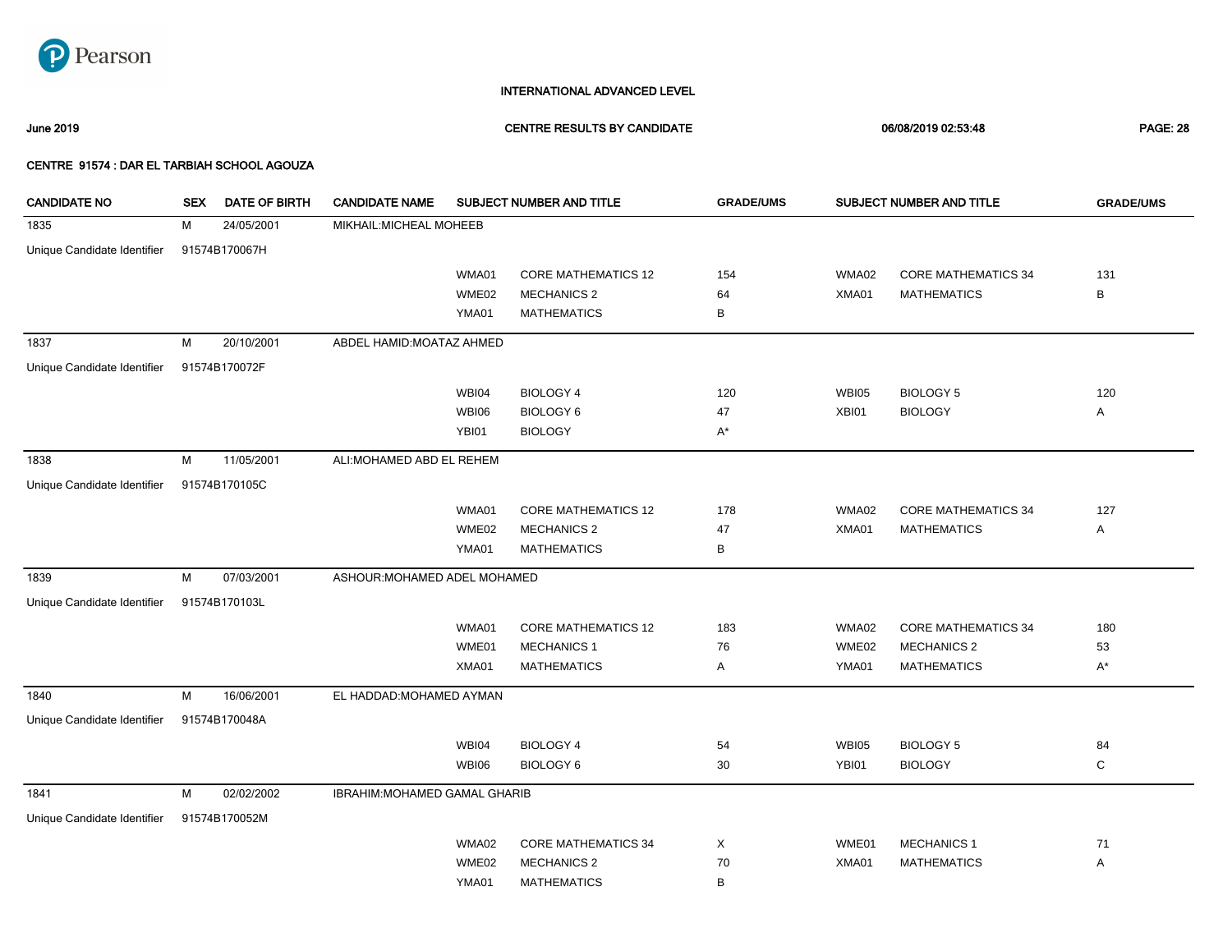

June 2019 CENTRE RESULTS BY CANDIDATE 06/08/2019 02:53:48 PAGE: 28

| <b>CANDIDATE NO</b>         | <b>SEX</b> | DATE OF BIRTH | <b>CANDIDATE NAME</b>         |              | SUBJECT NUMBER AND TITLE   | <b>GRADE/UMS</b> |              | SUBJECT NUMBER AND TITLE   | <b>GRADE/UMS</b> |
|-----------------------------|------------|---------------|-------------------------------|--------------|----------------------------|------------------|--------------|----------------------------|------------------|
| 1835                        | М          | 24/05/2001    | MIKHAIL: MICHEAL MOHEEB       |              |                            |                  |              |                            |                  |
| Unique Candidate Identifier |            | 91574B170067H |                               |              |                            |                  |              |                            |                  |
|                             |            |               |                               | WMA01        | <b>CORE MATHEMATICS 12</b> | 154              | WMA02        | <b>CORE MATHEMATICS 34</b> | 131              |
|                             |            |               |                               | WME02        | <b>MECHANICS 2</b>         | 64               | XMA01        | <b>MATHEMATICS</b>         | B                |
|                             |            |               |                               | YMA01        | <b>MATHEMATICS</b>         | в                |              |                            |                  |
| 1837                        | M          | 20/10/2001    | ABDEL HAMID: MOATAZ AHMED     |              |                            |                  |              |                            |                  |
| Unique Candidate Identifier |            | 91574B170072F |                               |              |                            |                  |              |                            |                  |
|                             |            |               |                               | WBI04        | <b>BIOLOGY 4</b>           | 120              | <b>WBI05</b> | <b>BIOLOGY 5</b>           | 120              |
|                             |            |               |                               | <b>WBI06</b> | <b>BIOLOGY 6</b>           | 47               | XBI01        | <b>BIOLOGY</b>             | Α                |
|                             |            |               |                               | YBI01        | <b>BIOLOGY</b>             | $A^*$            |              |                            |                  |
| 1838                        | M          | 11/05/2001    | ALI: MOHAMED ABD EL REHEM     |              |                            |                  |              |                            |                  |
| Unique Candidate Identifier |            | 91574B170105C |                               |              |                            |                  |              |                            |                  |
|                             |            |               |                               | WMA01        | <b>CORE MATHEMATICS 12</b> | 178              | WMA02        | <b>CORE MATHEMATICS 34</b> | 127              |
|                             |            |               |                               | WME02        | <b>MECHANICS 2</b>         | 47               | XMA01        | <b>MATHEMATICS</b>         | Α                |
|                             |            |               |                               | YMA01        | <b>MATHEMATICS</b>         | В                |              |                            |                  |
| 1839                        | M          | 07/03/2001    | ASHOUR: MOHAMED ADEL MOHAMED  |              |                            |                  |              |                            |                  |
| Unique Candidate Identifier |            | 91574B170103L |                               |              |                            |                  |              |                            |                  |
|                             |            |               |                               | WMA01        | <b>CORE MATHEMATICS 12</b> | 183              | WMA02        | <b>CORE MATHEMATICS 34</b> | 180              |
|                             |            |               |                               | WME01        | <b>MECHANICS 1</b>         | 76               | WME02        | <b>MECHANICS 2</b>         | 53               |
|                             |            |               |                               | XMA01        | <b>MATHEMATICS</b>         | Α                | YMA01        | <b>MATHEMATICS</b>         | $A^*$            |
| 1840                        | M          | 16/06/2001    | EL HADDAD: MOHAMED AYMAN      |              |                            |                  |              |                            |                  |
| Unique Candidate Identifier |            | 91574B170048A |                               |              |                            |                  |              |                            |                  |
|                             |            |               |                               | WBI04        | <b>BIOLOGY 4</b>           | 54               | <b>WBI05</b> | BIOLOGY 5                  | 84               |
|                             |            |               |                               | <b>WBI06</b> | <b>BIOLOGY 6</b>           | 30               | YBI01        | <b>BIOLOGY</b>             | $\mathbf C$      |
| 1841                        | M          | 02/02/2002    | IBRAHIM: MOHAMED GAMAL GHARIB |              |                            |                  |              |                            |                  |
| Unique Candidate Identifier |            | 91574B170052M |                               |              |                            |                  |              |                            |                  |
|                             |            |               |                               | WMA02        | <b>CORE MATHEMATICS 34</b> | Χ                | WME01        | <b>MECHANICS 1</b>         | 71               |
|                             |            |               |                               | WME02        | <b>MECHANICS 2</b>         | 70               | XMA01        | <b>MATHEMATICS</b>         | Α                |
|                             |            |               |                               | YMA01        | <b>MATHEMATICS</b>         | В                |              |                            |                  |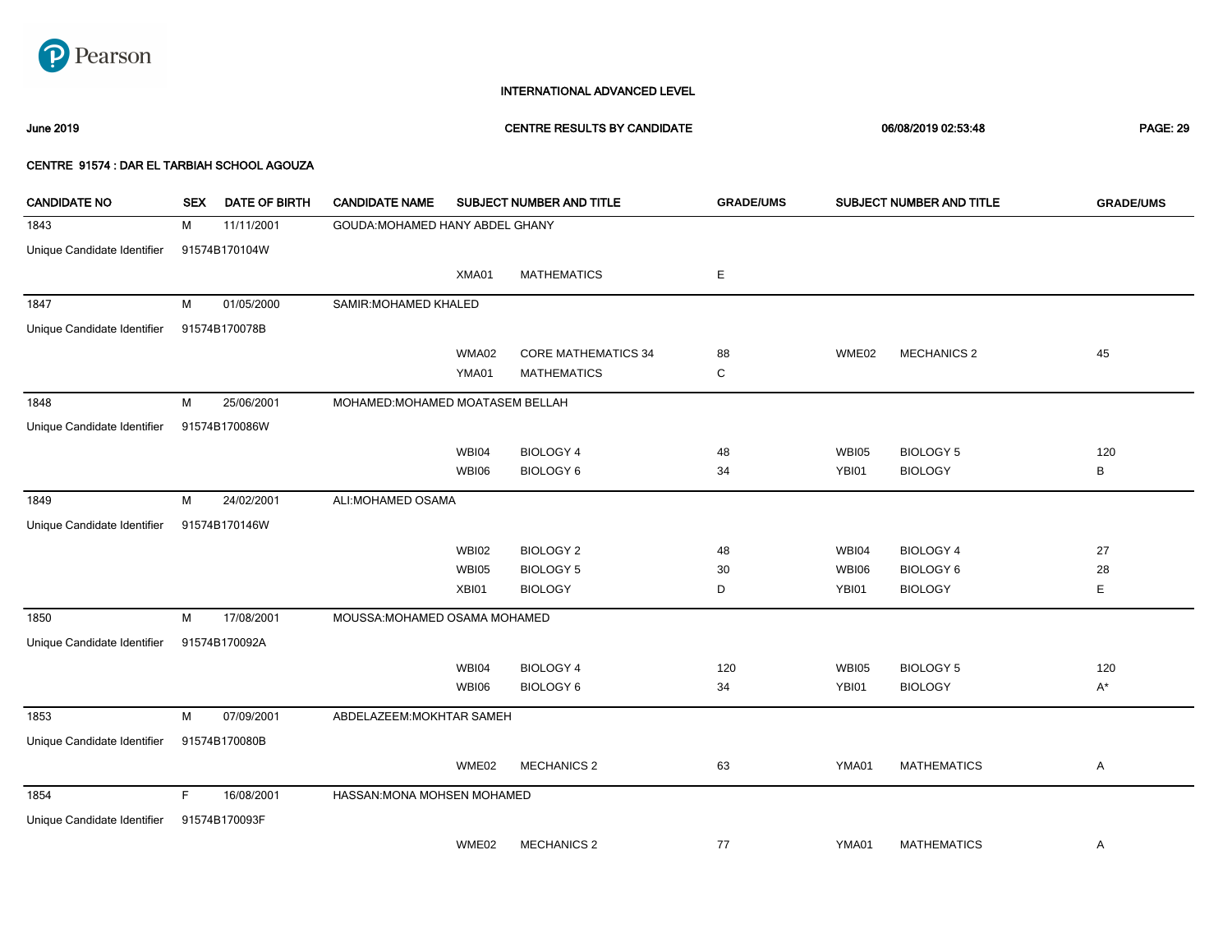

### June 2019 CENTRE RESULTS BY CANDIDATE 06/08/2019 02:53:48 PAGE: 29

| <b>CANDIDATE NO</b>         | <b>SEX</b> | <b>DATE OF BIRTH</b> | <b>CANDIDATE NAME</b>            |              | SUBJECT NUMBER AND TITLE   | <b>GRADE/UMS</b> |              | SUBJECT NUMBER AND TITLE | <b>GRADE/UMS</b> |
|-----------------------------|------------|----------------------|----------------------------------|--------------|----------------------------|------------------|--------------|--------------------------|------------------|
| 1843                        | М          | 11/11/2001           | GOUDA: MOHAMED HANY ABDEL GHANY  |              |                            |                  |              |                          |                  |
| Unique Candidate Identifier |            | 91574B170104W        |                                  |              |                            |                  |              |                          |                  |
|                             |            |                      |                                  | XMA01        | <b>MATHEMATICS</b>         | Ε                |              |                          |                  |
| 1847                        | М          | 01/05/2000           | SAMIR: MOHAMED KHALED            |              |                            |                  |              |                          |                  |
| Unique Candidate Identifier |            | 91574B170078B        |                                  |              |                            |                  |              |                          |                  |
|                             |            |                      |                                  | WMA02        | <b>CORE MATHEMATICS 34</b> | 88               | WME02        | <b>MECHANICS 2</b>       | 45               |
|                             |            |                      |                                  | YMA01        | <b>MATHEMATICS</b>         | C                |              |                          |                  |
| 1848                        | М          | 25/06/2001           | MOHAMED: MOHAMED MOATASEM BELLAH |              |                            |                  |              |                          |                  |
| Unique Candidate Identifier |            | 91574B170086W        |                                  |              |                            |                  |              |                          |                  |
|                             |            |                      |                                  | WBI04        | <b>BIOLOGY 4</b>           | 48               | <b>WBI05</b> | <b>BIOLOGY 5</b>         | 120              |
|                             |            |                      |                                  | WBI06        | <b>BIOLOGY 6</b>           | 34               | YBI01        | <b>BIOLOGY</b>           | B                |
| 1849                        | M          | 24/02/2001           | ALI:MOHAMED OSAMA                |              |                            |                  |              |                          |                  |
| Unique Candidate Identifier |            | 91574B170146W        |                                  |              |                            |                  |              |                          |                  |
|                             |            |                      |                                  | <b>WBI02</b> | <b>BIOLOGY 2</b>           | 48               | <b>WBI04</b> | BIOLOGY 4                | 27               |
|                             |            |                      |                                  | WBI05        | <b>BIOLOGY 5</b>           | 30               | <b>WBI06</b> | <b>BIOLOGY 6</b>         | 28               |
|                             |            |                      |                                  | XBI01        | <b>BIOLOGY</b>             | D                | YBI01        | <b>BIOLOGY</b>           | E                |
| 1850                        | M          | 17/08/2001           | MOUSSA: MOHAMED OSAMA MOHAMED    |              |                            |                  |              |                          |                  |
| Unique Candidate Identifier |            | 91574B170092A        |                                  |              |                            |                  |              |                          |                  |
|                             |            |                      |                                  | WBI04        | <b>BIOLOGY 4</b>           | 120              | <b>WBI05</b> | <b>BIOLOGY 5</b>         | 120              |
|                             |            |                      |                                  | WBI06        | <b>BIOLOGY 6</b>           | 34               | YBI01        | <b>BIOLOGY</b>           | $A^*$            |
| 1853                        | M          | 07/09/2001           | ABDELAZEEM: MOKHTAR SAMEH        |              |                            |                  |              |                          |                  |
| Unique Candidate Identifier |            | 91574B170080B        |                                  |              |                            |                  |              |                          |                  |
|                             |            |                      |                                  | WME02        | <b>MECHANICS 2</b>         | 63               | YMA01        | <b>MATHEMATICS</b>       | Α                |
| 1854                        | E          | 16/08/2001           | HASSAN: MONA MOHSEN MOHAMED      |              |                            |                  |              |                          |                  |
| Unique Candidate Identifier |            | 91574B170093F        |                                  |              |                            |                  |              |                          |                  |
|                             |            |                      |                                  | WME02        | <b>MECHANICS 2</b>         | 77               | YMA01        | <b>MATHEMATICS</b>       | Α                |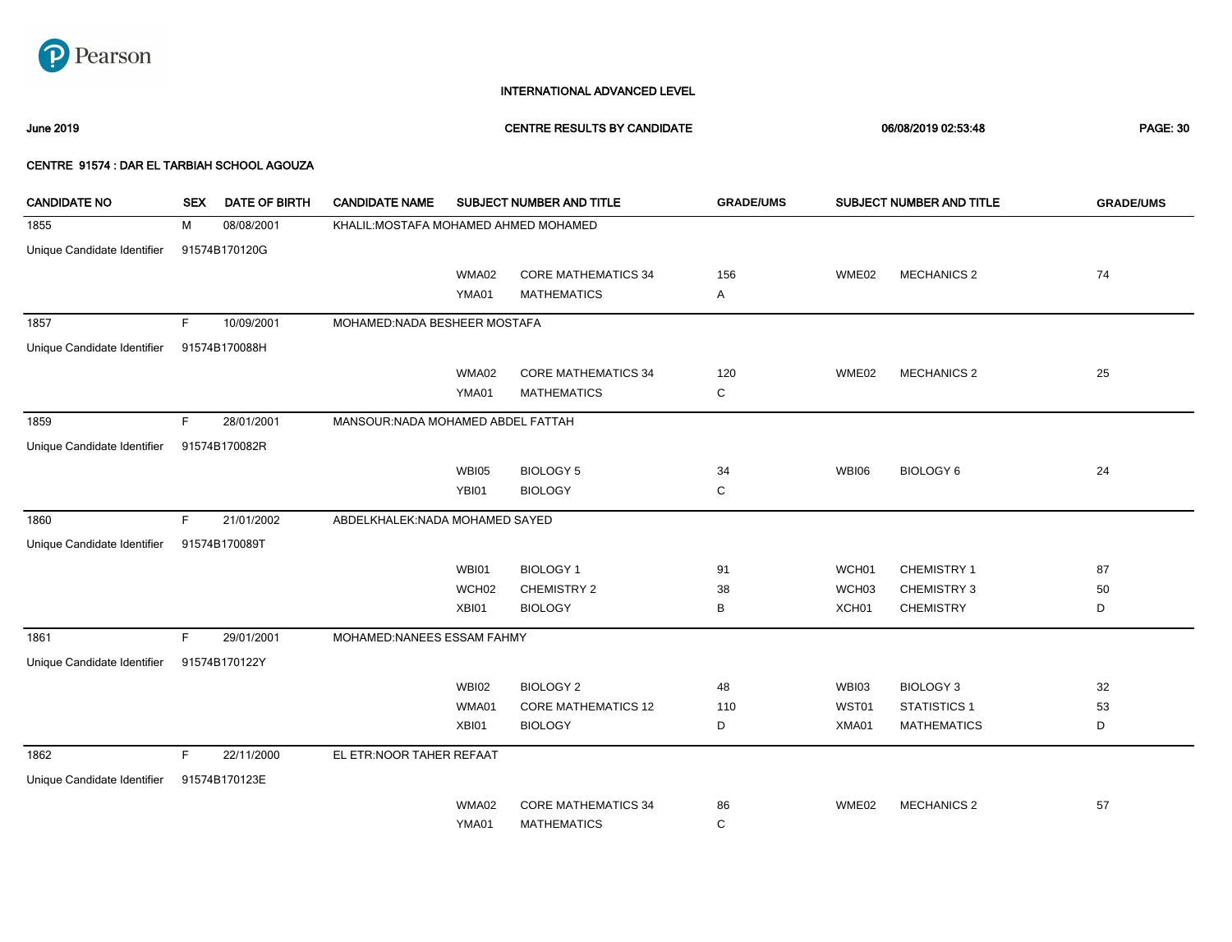

### June 2019 CENTRE RESULTS BY CANDIDATE 06/08/2019 02:53:48 PAGE: 30

| <b>CANDIDATE NO</b>         | <b>SEX</b> | <b>DATE OF BIRTH</b> | <b>CANDIDATE NAME</b>                 |                   | SUBJECT NUMBER AND TITLE   | <b>GRADE/UMS</b> | SUBJECT NUMBER AND TITLE |                    | <b>GRADE/UMS</b> |
|-----------------------------|------------|----------------------|---------------------------------------|-------------------|----------------------------|------------------|--------------------------|--------------------|------------------|
| 1855                        | М          | 08/08/2001           | KHALIL: MOSTAFA MOHAMED AHMED MOHAMED |                   |                            |                  |                          |                    |                  |
| Unique Candidate Identifier |            | 91574B170120G        |                                       |                   |                            |                  |                          |                    |                  |
|                             |            |                      |                                       | WMA02             | <b>CORE MATHEMATICS 34</b> | 156              | WME02                    | <b>MECHANICS 2</b> | 74               |
|                             |            |                      |                                       | YMA01             | <b>MATHEMATICS</b>         | Α                |                          |                    |                  |
| 1857                        | F.         | 10/09/2001           | MOHAMED:NADA BESHEER MOSTAFA          |                   |                            |                  |                          |                    |                  |
| Unique Candidate Identifier |            | 91574B170088H        |                                       |                   |                            |                  |                          |                    |                  |
|                             |            |                      |                                       | WMA02             | <b>CORE MATHEMATICS 34</b> | 120              | WME02                    | <b>MECHANICS 2</b> | 25               |
|                             |            |                      |                                       | YMA01             | <b>MATHEMATICS</b>         | С                |                          |                    |                  |
| 1859                        | F.         | 28/01/2001           | MANSOUR: NADA MOHAMED ABDEL FATTAH    |                   |                            |                  |                          |                    |                  |
| Unique Candidate Identifier |            | 91574B170082R        |                                       |                   |                            |                  |                          |                    |                  |
|                             |            |                      |                                       | <b>WBI05</b>      | <b>BIOLOGY 5</b>           | 34               | <b>WBI06</b>             | <b>BIOLOGY 6</b>   | 24               |
|                             |            |                      |                                       | YBI01             | <b>BIOLOGY</b>             | C                |                          |                    |                  |
| 1860                        | F.         | 21/01/2002           | ABDELKHALEK: NADA MOHAMED SAYED       |                   |                            |                  |                          |                    |                  |
| Unique Candidate Identifier |            | 91574B170089T        |                                       |                   |                            |                  |                          |                    |                  |
|                             |            |                      |                                       | WBI01             | <b>BIOLOGY 1</b>           | 91               | WCH01                    | CHEMISTRY 1        | 87               |
|                             |            |                      |                                       | WCH <sub>02</sub> | CHEMISTRY 2                | 38               | WCH03                    | CHEMISTRY 3        | 50               |
|                             |            |                      |                                       | XBI01             | <b>BIOLOGY</b>             | В                | XCH01                    | <b>CHEMISTRY</b>   | D                |
| 1861                        | F.         | 29/01/2001           | MOHAMED:NANEES ESSAM FAHMY            |                   |                            |                  |                          |                    |                  |
| Unique Candidate Identifier |            | 91574B170122Y        |                                       |                   |                            |                  |                          |                    |                  |
|                             |            |                      |                                       | <b>WBI02</b>      | <b>BIOLOGY 2</b>           | 48               | WBI03                    | <b>BIOLOGY 3</b>   | 32               |
|                             |            |                      |                                       | WMA01             | <b>CORE MATHEMATICS 12</b> | 110              | WST01                    | STATISTICS 1       | 53               |
|                             |            |                      |                                       | XBI01             | <b>BIOLOGY</b>             | D                | XMA01                    | <b>MATHEMATICS</b> | D                |
| 1862                        | F.         | 22/11/2000           | EL ETR:NOOR TAHER REFAAT              |                   |                            |                  |                          |                    |                  |
| Unique Candidate Identifier |            | 91574B170123E        |                                       |                   |                            |                  |                          |                    |                  |
|                             |            |                      |                                       | WMA02             | <b>CORE MATHEMATICS 34</b> | 86               | WME02                    | <b>MECHANICS 2</b> | 57               |
|                             |            |                      |                                       | YMA01             | <b>MATHEMATICS</b>         | C                |                          |                    |                  |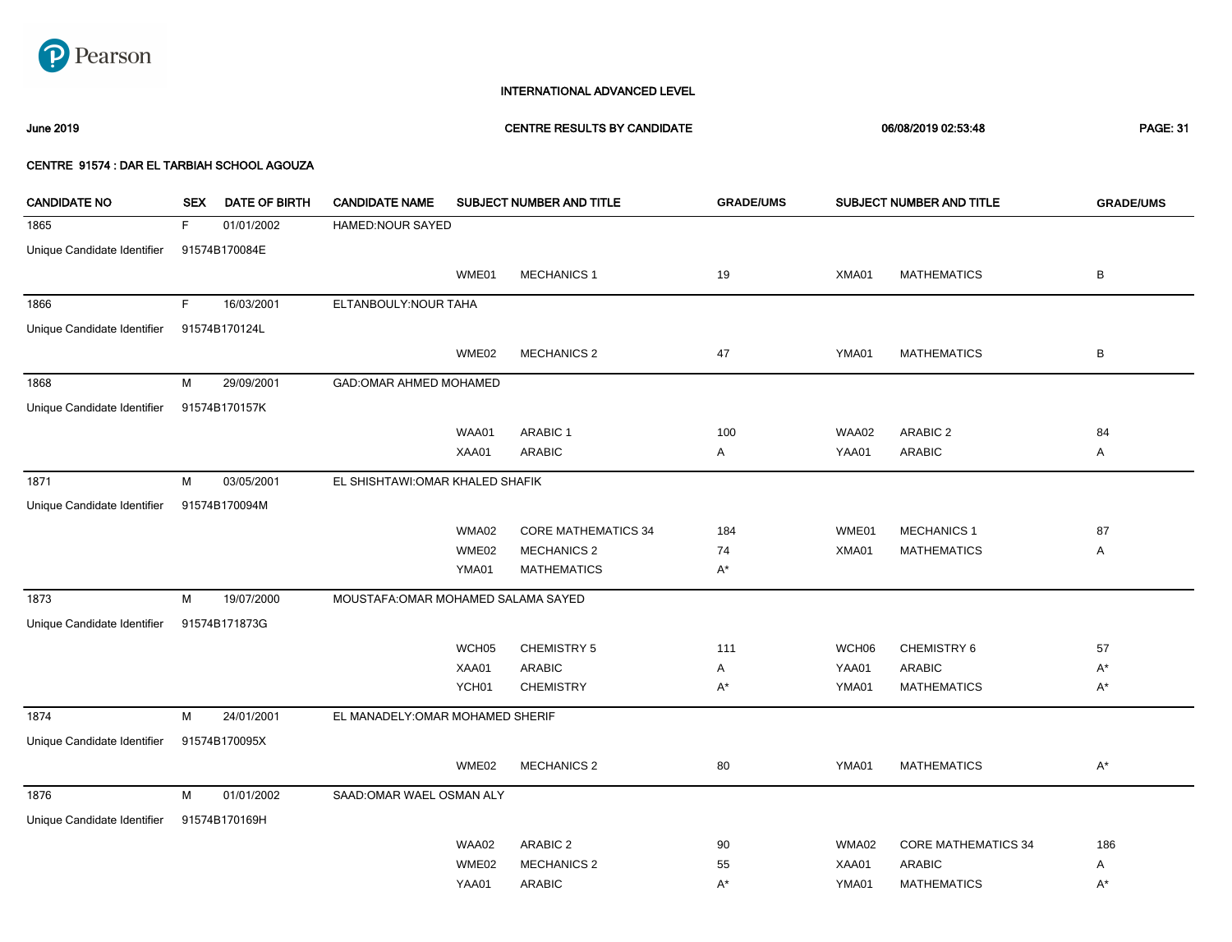

### June 2019 CENTRE RESULTS BY CANDIDATE 06/08/2019 02:53:48 PAGE: 31

| <b>CANDIDATE NO</b>         | <b>SEX</b> | DATE OF BIRTH | <b>CANDIDATE NAME</b>               |                   | SUBJECT NUMBER AND TITLE   | <b>GRADE/UMS</b> |       | SUBJECT NUMBER AND TITLE   | <b>GRADE/UMS</b> |
|-----------------------------|------------|---------------|-------------------------------------|-------------------|----------------------------|------------------|-------|----------------------------|------------------|
| 1865                        | F.         | 01/01/2002    | HAMED:NOUR SAYED                    |                   |                            |                  |       |                            |                  |
| Unique Candidate Identifier |            | 91574B170084E |                                     |                   |                            |                  |       |                            |                  |
|                             |            |               |                                     | WME01             | <b>MECHANICS 1</b>         | 19               | XMA01 | <b>MATHEMATICS</b>         | B                |
| 1866                        | F          | 16/03/2001    | ELTANBOULY: NOUR TAHA               |                   |                            |                  |       |                            |                  |
| Unique Candidate Identifier |            | 91574B170124L |                                     |                   |                            |                  |       |                            |                  |
|                             |            |               |                                     | WME02             | <b>MECHANICS 2</b>         | 47               | YMA01 | <b>MATHEMATICS</b>         | B                |
| 1868                        | M          | 29/09/2001    | GAD: OMAR AHMED MOHAMED             |                   |                            |                  |       |                            |                  |
| Unique Candidate Identifier |            | 91574B170157K |                                     |                   |                            |                  |       |                            |                  |
|                             |            |               |                                     | WAA01             | ARABIC 1                   | 100              | WAA02 | ARABIC <sub>2</sub>        | 84               |
|                             |            |               |                                     | XAA01             | <b>ARABIC</b>              | A                | YAA01 | ARABIC                     | Α                |
| 1871                        | М          | 03/05/2001    | EL SHISHTAWI: OMAR KHALED SHAFIK    |                   |                            |                  |       |                            |                  |
| Unique Candidate Identifier |            | 91574B170094M |                                     |                   |                            |                  |       |                            |                  |
|                             |            |               |                                     | WMA02             | <b>CORE MATHEMATICS 34</b> | 184              | WME01 | <b>MECHANICS 1</b>         | 87               |
|                             |            |               |                                     | WME02             | <b>MECHANICS 2</b>         | 74               | XMA01 | <b>MATHEMATICS</b>         | Α                |
|                             |            |               |                                     | YMA01             | <b>MATHEMATICS</b>         | $A^*$            |       |                            |                  |
| 1873                        | М          | 19/07/2000    | MOUSTAFA: OMAR MOHAMED SALAMA SAYED |                   |                            |                  |       |                            |                  |
| Unique Candidate Identifier |            | 91574B171873G |                                     |                   |                            |                  |       |                            |                  |
|                             |            |               |                                     | WCH <sub>05</sub> | <b>CHEMISTRY 5</b>         | 111              | WCH06 | CHEMISTRY 6                | 57               |
|                             |            |               |                                     | XAA01             | <b>ARABIC</b>              | Α                | YAA01 | <b>ARABIC</b>              | $A^*$            |
|                             |            |               |                                     | YCH01             | <b>CHEMISTRY</b>           | $A^*$            | YMA01 | <b>MATHEMATICS</b>         | $A^*$            |
| 1874                        | M          | 24/01/2001    | EL MANADELY: OMAR MOHAMED SHERIF    |                   |                            |                  |       |                            |                  |
| Unique Candidate Identifier |            | 91574B170095X |                                     |                   |                            |                  |       |                            |                  |
|                             |            |               |                                     | WME02             | <b>MECHANICS 2</b>         | 80               | YMA01 | <b>MATHEMATICS</b>         | $A^*$            |
| 1876                        | M          | 01/01/2002    | SAAD: OMAR WAEL OSMAN ALY           |                   |                            |                  |       |                            |                  |
| Unique Candidate Identifier |            | 91574B170169H |                                     |                   |                            |                  |       |                            |                  |
|                             |            |               |                                     | WAA02             | ARABIC 2                   | 90               | WMA02 | <b>CORE MATHEMATICS 34</b> | 186              |
|                             |            |               |                                     | WME02             | <b>MECHANICS 2</b>         | 55               | XAA01 | <b>ARABIC</b>              | Α                |
|                             |            |               |                                     | YAA01             | <b>ARABIC</b>              | $A^*$            | YMA01 | <b>MATHEMATICS</b>         | $A^*$            |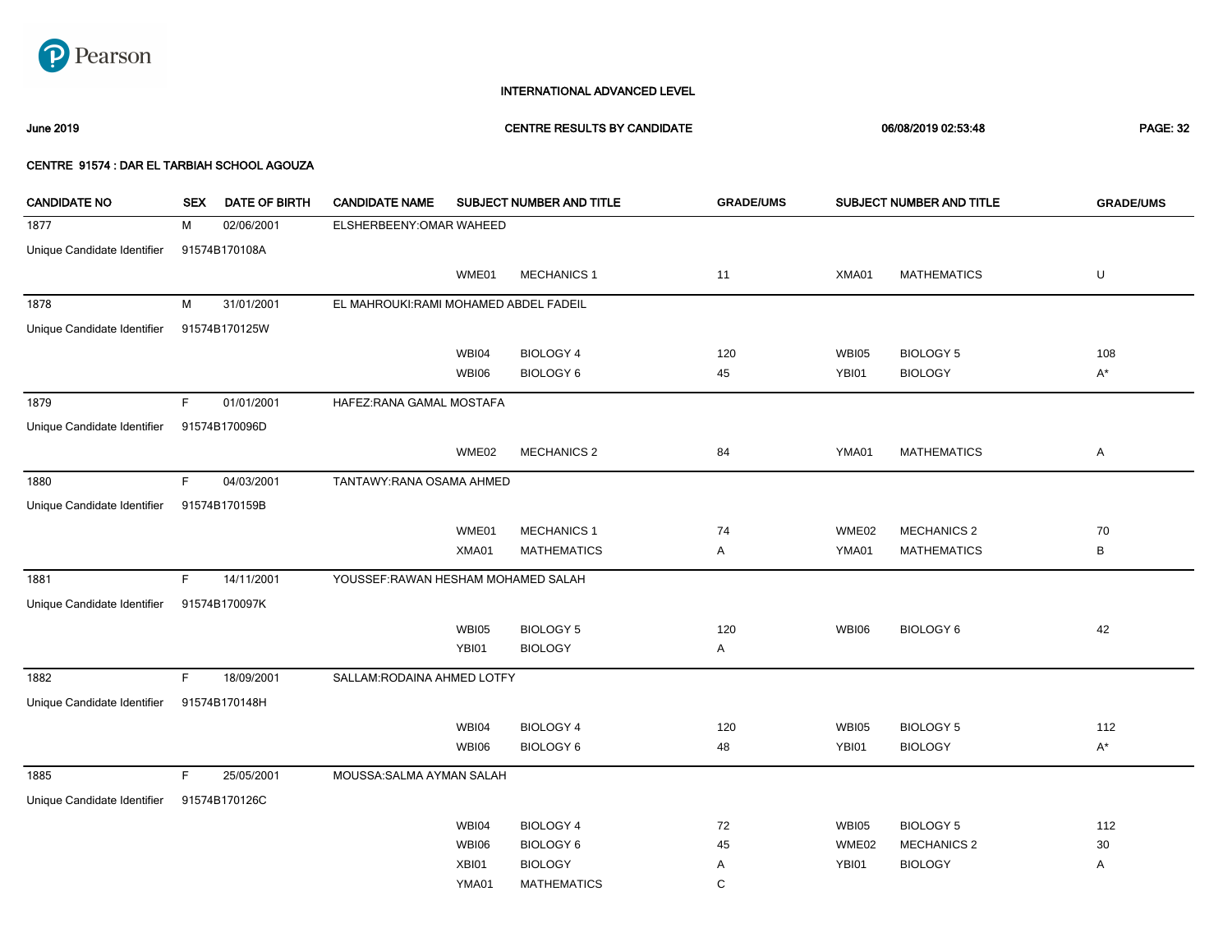

June 2019 CENTRE RESULTS BY CANDIDATE 06/08/2019 02:53:48 PAGE: 32

| <b>CANDIDATE NO</b>         | <b>SEX</b>  | DATE OF BIRTH | <b>CANDIDATE NAME</b>                 |              | SUBJECT NUMBER AND TITLE | <b>GRADE/UMS</b> |              | SUBJECT NUMBER AND TITLE | <b>GRADE/UMS</b> |
|-----------------------------|-------------|---------------|---------------------------------------|--------------|--------------------------|------------------|--------------|--------------------------|------------------|
| 1877                        | М           | 02/06/2001    | ELSHERBEENY: OMAR WAHEED              |              |                          |                  |              |                          |                  |
| Unique Candidate Identifier |             | 91574B170108A |                                       |              |                          |                  |              |                          |                  |
|                             |             |               |                                       | WME01        | <b>MECHANICS 1</b>       | 11               | XMA01        | <b>MATHEMATICS</b>       | U                |
| 1878                        | M           | 31/01/2001    | EL MAHROUKI:RAMI MOHAMED ABDEL FADEIL |              |                          |                  |              |                          |                  |
| Unique Candidate Identifier |             | 91574B170125W |                                       |              |                          |                  |              |                          |                  |
|                             |             |               |                                       | WBI04        | <b>BIOLOGY 4</b>         | 120              | WBI05        | <b>BIOLOGY 5</b>         | 108              |
|                             |             |               |                                       | <b>WBI06</b> | <b>BIOLOGY 6</b>         | 45               | YBI01        | <b>BIOLOGY</b>           | $A^*$            |
| 1879                        | F           | 01/01/2001    | HAFEZ: RANA GAMAL MOSTAFA             |              |                          |                  |              |                          |                  |
| Unique Candidate Identifier |             | 91574B170096D |                                       |              |                          |                  |              |                          |                  |
|                             |             |               |                                       | WME02        | <b>MECHANICS 2</b>       | 84               | YMA01        | <b>MATHEMATICS</b>       | A                |
| 1880                        | F           | 04/03/2001    | TANTAWY: RANA OSAMA AHMED             |              |                          |                  |              |                          |                  |
| Unique Candidate Identifier |             | 91574B170159B |                                       |              |                          |                  |              |                          |                  |
|                             |             |               |                                       | WME01        | <b>MECHANICS 1</b>       | 74               | WME02        | <b>MECHANICS 2</b>       | 70               |
|                             |             |               |                                       | XMA01        | <b>MATHEMATICS</b>       | A                | YMA01        | <b>MATHEMATICS</b>       | В                |
| 1881                        | F           | 14/11/2001    | YOUSSEF: RAWAN HESHAM MOHAMED SALAH   |              |                          |                  |              |                          |                  |
| Unique Candidate Identifier |             | 91574B170097K |                                       |              |                          |                  |              |                          |                  |
|                             |             |               |                                       | WBI05        | <b>BIOLOGY 5</b>         | 120              | <b>WBI06</b> | <b>BIOLOGY 6</b>         | 42               |
|                             |             |               |                                       | YBI01        | <b>BIOLOGY</b>           | A                |              |                          |                  |
| 1882                        | $\mathsf F$ | 18/09/2001    | SALLAM: RODAINA AHMED LOTFY           |              |                          |                  |              |                          |                  |
| Unique Candidate Identifier |             | 91574B170148H |                                       |              |                          |                  |              |                          |                  |
|                             |             |               |                                       | WBI04        | <b>BIOLOGY 4</b>         | 120              | <b>WBI05</b> | <b>BIOLOGY 5</b>         | 112              |
|                             |             |               |                                       | <b>WBI06</b> | <b>BIOLOGY 6</b>         | 48               | YBI01        | <b>BIOLOGY</b>           | $A^*$            |
| 1885                        | $\mathsf F$ | 25/05/2001    | MOUSSA:SALMA AYMAN SALAH              |              |                          |                  |              |                          |                  |
| Unique Candidate Identifier |             | 91574B170126C |                                       |              |                          |                  |              |                          |                  |
|                             |             |               |                                       | WBI04        | <b>BIOLOGY 4</b>         | 72               | <b>WBI05</b> | <b>BIOLOGY 5</b>         | 112              |
|                             |             |               |                                       | WBI06        | <b>BIOLOGY 6</b>         | 45               | WME02        | <b>MECHANICS 2</b>       | $30\,$           |
|                             |             |               |                                       | XBI01        | <b>BIOLOGY</b>           | Α                | YBI01        | <b>BIOLOGY</b>           | Α                |
|                             |             |               |                                       | YMA01        | <b>MATHEMATICS</b>       | C                |              |                          |                  |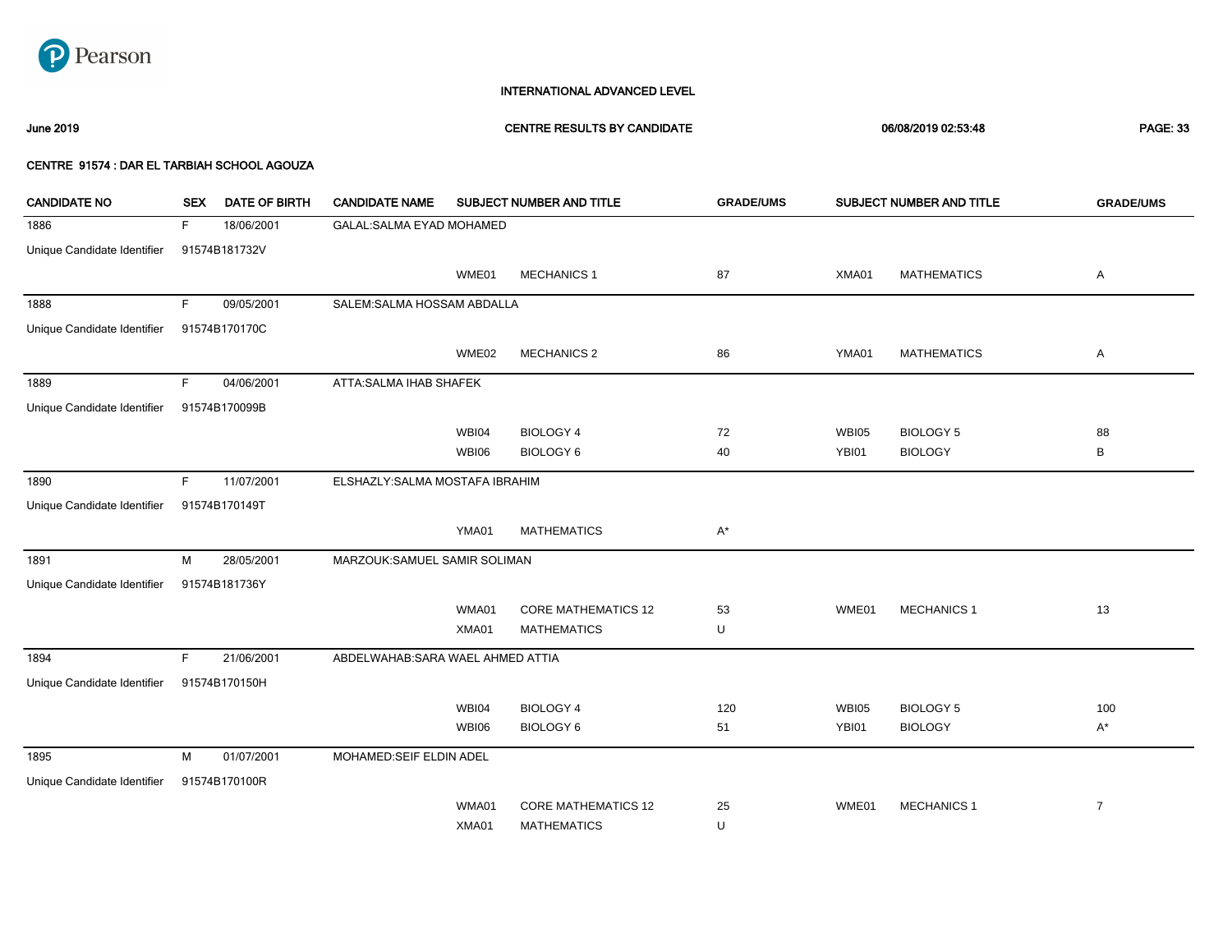

### June 2019 CENTRE RESULTS BY CANDIDATE 06/08/2019 02:53:48 PAGE: 33

| <b>CANDIDATE NO</b>         | <b>SEX</b> | <b>DATE OF BIRTH</b> | <b>CANDIDATE NAME</b>             |       | SUBJECT NUMBER AND TITLE   | <b>GRADE/UMS</b> |              | SUBJECT NUMBER AND TITLE | <b>GRADE/UMS</b> |
|-----------------------------|------------|----------------------|-----------------------------------|-------|----------------------------|------------------|--------------|--------------------------|------------------|
| 1886                        | F          | 18/06/2001           | GALAL: SALMA EYAD MOHAMED         |       |                            |                  |              |                          |                  |
| Unique Candidate Identifier |            | 91574B181732V        |                                   |       |                            |                  |              |                          |                  |
|                             |            |                      |                                   | WME01 | <b>MECHANICS 1</b>         | 87               | XMA01        | <b>MATHEMATICS</b>       | Α                |
| 1888                        | F.         | 09/05/2001           | SALEM:SALMA HOSSAM ABDALLA        |       |                            |                  |              |                          |                  |
| Unique Candidate Identifier |            | 91574B170170C        |                                   |       |                            |                  |              |                          |                  |
|                             |            |                      |                                   | WME02 | <b>MECHANICS 2</b>         | 86               | YMA01        | <b>MATHEMATICS</b>       | Α                |
| 1889                        | F.         | 04/06/2001           | ATTA:SALMA IHAB SHAFEK            |       |                            |                  |              |                          |                  |
| Unique Candidate Identifier |            | 91574B170099B        |                                   |       |                            |                  |              |                          |                  |
|                             |            |                      |                                   | WBI04 | <b>BIOLOGY 4</b>           | 72               | <b>WBI05</b> | <b>BIOLOGY 5</b>         | 88               |
|                             |            |                      |                                   | WBI06 | <b>BIOLOGY 6</b>           | 40               | YBI01        | <b>BIOLOGY</b>           | B                |
| 1890                        | F.         | 11/07/2001           | ELSHAZLY: SALMA MOSTAFA IBRAHIM   |       |                            |                  |              |                          |                  |
| Unique Candidate Identifier |            | 91574B170149T        |                                   |       |                            |                  |              |                          |                  |
|                             |            |                      |                                   | YMA01 | <b>MATHEMATICS</b>         | $A^*$            |              |                          |                  |
| 1891                        | М          | 28/05/2001           | MARZOUK:SAMUEL SAMIR SOLIMAN      |       |                            |                  |              |                          |                  |
| Unique Candidate Identifier |            | 91574B181736Y        |                                   |       |                            |                  |              |                          |                  |
|                             |            |                      |                                   | WMA01 | <b>CORE MATHEMATICS 12</b> | 53               | WME01        | <b>MECHANICS 1</b>       | 13               |
|                             |            |                      |                                   | XMA01 | <b>MATHEMATICS</b>         | U                |              |                          |                  |
| 1894                        | F.         | 21/06/2001           | ABDELWAHAB: SARA WAEL AHMED ATTIA |       |                            |                  |              |                          |                  |
| Unique Candidate Identifier |            | 91574B170150H        |                                   |       |                            |                  |              |                          |                  |
|                             |            |                      |                                   | WBI04 | <b>BIOLOGY 4</b>           | 120              | <b>WBI05</b> | <b>BIOLOGY 5</b>         | 100              |
|                             |            |                      |                                   | WBI06 | BIOLOGY 6                  | 51               | YBI01        | <b>BIOLOGY</b>           | $A^*$            |
| 1895                        | М          | 01/07/2001           | MOHAMED:SEIF ELDIN ADEL           |       |                            |                  |              |                          |                  |
| Unique Candidate Identifier |            | 91574B170100R        |                                   |       |                            |                  |              |                          |                  |
|                             |            |                      |                                   | WMA01 | <b>CORE MATHEMATICS 12</b> | 25               | WME01        | <b>MECHANICS 1</b>       | $\overline{7}$   |
|                             |            |                      |                                   | XMA01 | <b>MATHEMATICS</b>         | U                |              |                          |                  |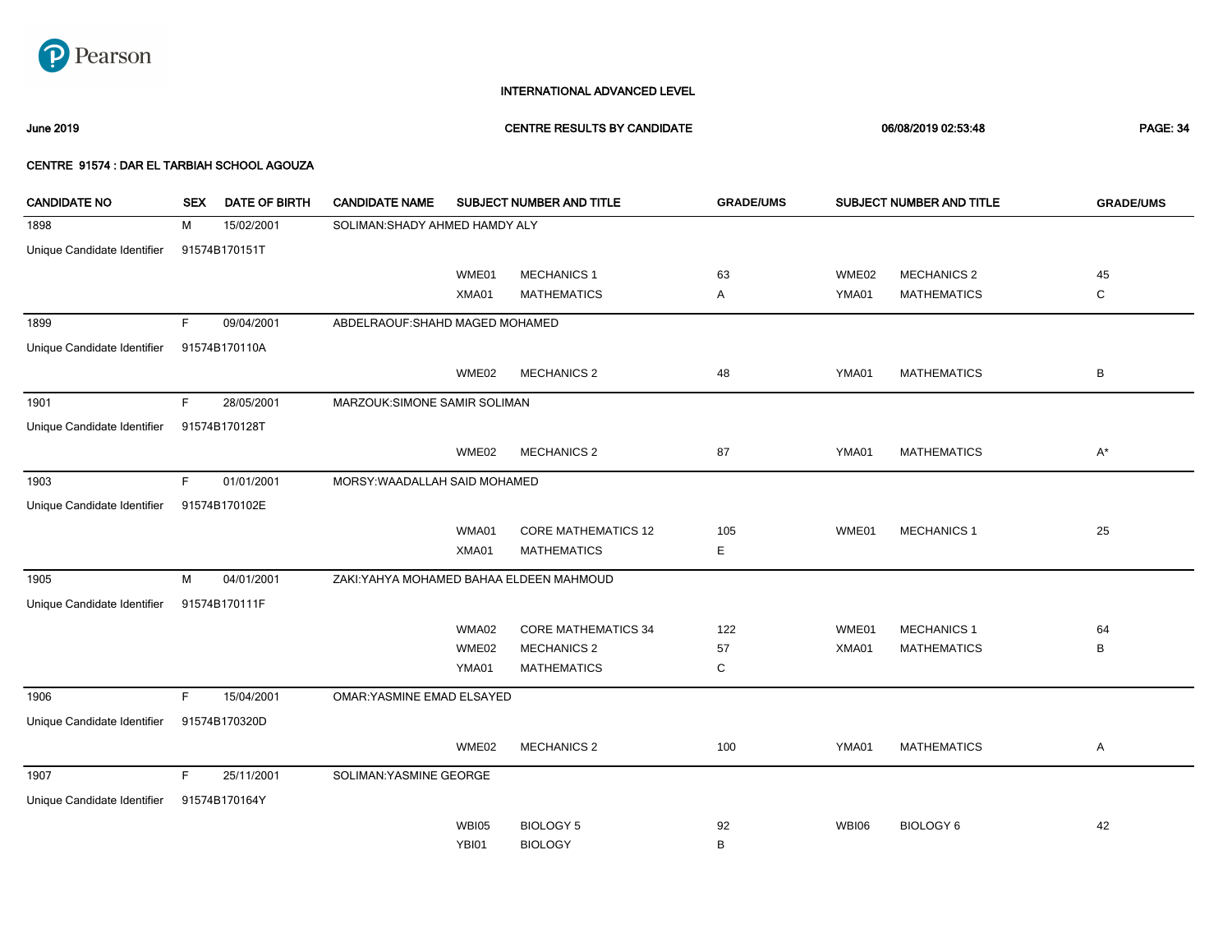

### June 2019 CENTRE RESULTS BY CANDIDATE 06/08/2019 02:53:48 PAGE: 34

| <b>CANDIDATE NO</b>         | <b>SEX</b> | <b>DATE OF BIRTH</b> | <b>CANDIDATE NAME</b>                    |              | SUBJECT NUMBER AND TITLE   | <b>GRADE/UMS</b> |              | SUBJECT NUMBER AND TITLE | <b>GRADE/UMS</b> |
|-----------------------------|------------|----------------------|------------------------------------------|--------------|----------------------------|------------------|--------------|--------------------------|------------------|
| 1898                        | м          | 15/02/2001           | SOLIMAN: SHADY AHMED HAMDY ALY           |              |                            |                  |              |                          |                  |
| Unique Candidate Identifier |            | 91574B170151T        |                                          |              |                            |                  |              |                          |                  |
|                             |            |                      |                                          | WME01        | <b>MECHANICS 1</b>         | 63               | WME02        | <b>MECHANICS 2</b>       | 45               |
|                             |            |                      |                                          | XMA01        | <b>MATHEMATICS</b>         | Α                | YMA01        | <b>MATHEMATICS</b>       | $\mathbf C$      |
| 1899                        | F.         | 09/04/2001           | ABDELRAOUF: SHAHD MAGED MOHAMED          |              |                            |                  |              |                          |                  |
| Unique Candidate Identifier |            | 91574B170110A        |                                          |              |                            |                  |              |                          |                  |
|                             |            |                      |                                          | WME02        | <b>MECHANICS 2</b>         | 48               | YMA01        | <b>MATHEMATICS</b>       | B                |
| 1901                        | F.         | 28/05/2001           | MARZOUK:SIMONE SAMIR SOLIMAN             |              |                            |                  |              |                          |                  |
| Unique Candidate Identifier |            | 91574B170128T        |                                          |              |                            |                  |              |                          |                  |
|                             |            |                      |                                          | WME02        | <b>MECHANICS 2</b>         | 87               | YMA01        | <b>MATHEMATICS</b>       | $A^*$            |
| 1903                        | F.         | 01/01/2001           | MORSY: WAADALLAH SAID MOHAMED            |              |                            |                  |              |                          |                  |
| Unique Candidate Identifier |            | 91574B170102E        |                                          |              |                            |                  |              |                          |                  |
|                             |            |                      |                                          | WMA01        | <b>CORE MATHEMATICS 12</b> | 105              | WME01        | <b>MECHANICS 1</b>       | 25               |
|                             |            |                      |                                          | XMA01        | <b>MATHEMATICS</b>         | Е                |              |                          |                  |
| 1905                        | M          | 04/01/2001           | ZAKI: YAHYA MOHAMED BAHAA ELDEEN MAHMOUD |              |                            |                  |              |                          |                  |
| Unique Candidate Identifier |            | 91574B170111F        |                                          |              |                            |                  |              |                          |                  |
|                             |            |                      |                                          | WMA02        | <b>CORE MATHEMATICS 34</b> | 122              | WME01        | <b>MECHANICS 1</b>       | 64               |
|                             |            |                      |                                          | WME02        | <b>MECHANICS 2</b>         | 57               | XMA01        | <b>MATHEMATICS</b>       | B                |
|                             |            |                      |                                          | YMA01        | <b>MATHEMATICS</b>         | C                |              |                          |                  |
| 1906                        | F.         | 15/04/2001           | OMAR: YASMINE EMAD ELSAYED               |              |                            |                  |              |                          |                  |
| Unique Candidate Identifier |            | 91574B170320D        |                                          |              |                            |                  |              |                          |                  |
|                             |            |                      |                                          | WME02        | <b>MECHANICS 2</b>         | 100              | YMA01        | <b>MATHEMATICS</b>       | Α                |
| 1907                        | F.         | 25/11/2001           | SOLIMAN: YASMINE GEORGE                  |              |                            |                  |              |                          |                  |
| Unique Candidate Identifier |            | 91574B170164Y        |                                          |              |                            |                  |              |                          |                  |
|                             |            |                      |                                          | <b>WBI05</b> | <b>BIOLOGY 5</b>           | 92               | <b>WBI06</b> | <b>BIOLOGY 6</b>         | 42               |
|                             |            |                      |                                          | YBI01        | <b>BIOLOGY</b>             | B                |              |                          |                  |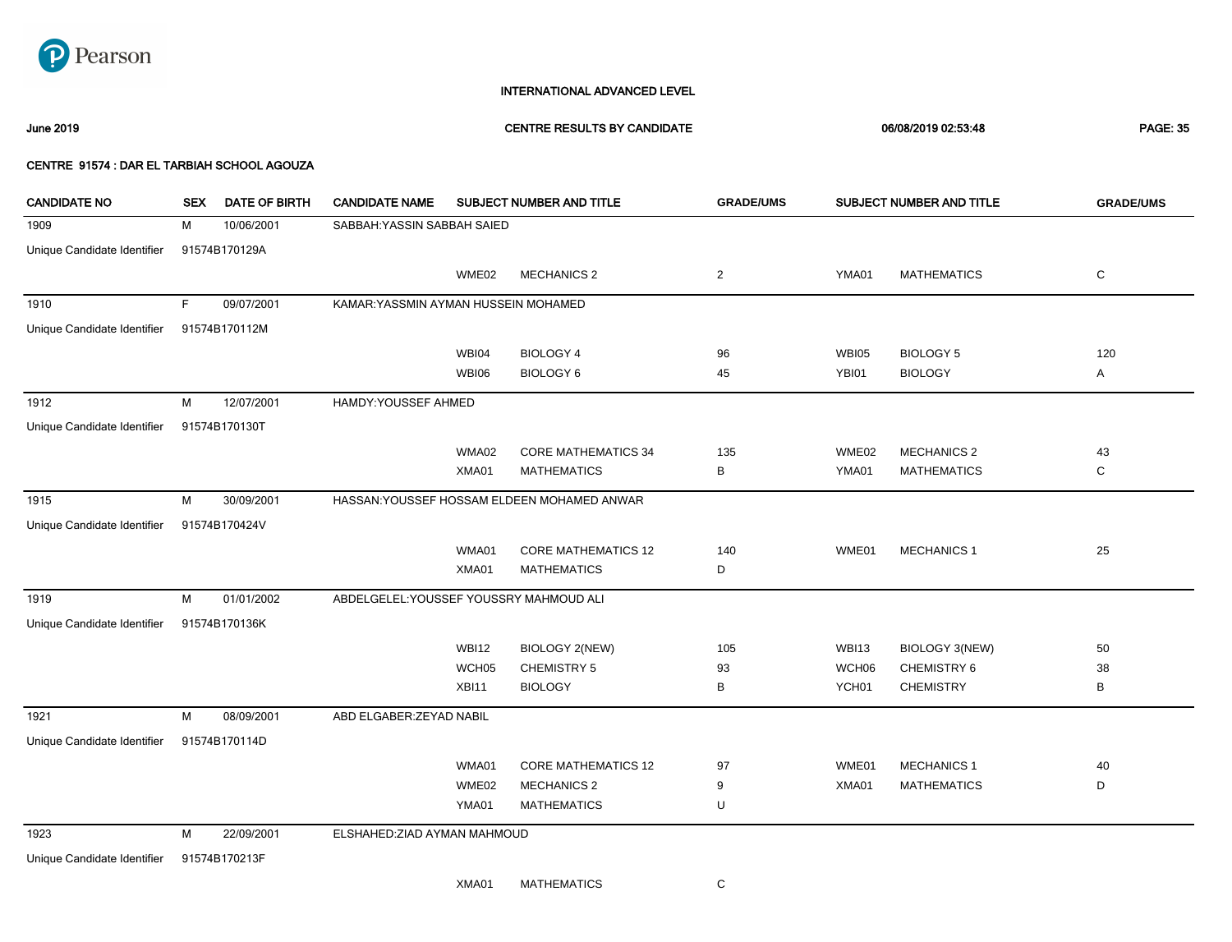

June 2019 CENTRE RESULTS BY CANDIDATE 06/08/2019 02:53:48 PAGE: 35

| <b>CANDIDATE NO</b>         | <b>SEX</b> | <b>DATE OF BIRTH</b> | <b>CANDIDATE NAME</b>                   |              | SUBJECT NUMBER AND TITLE                    | <b>GRADE/UMS</b> |              | SUBJECT NUMBER AND TITLE | <b>GRADE/UMS</b> |
|-----------------------------|------------|----------------------|-----------------------------------------|--------------|---------------------------------------------|------------------|--------------|--------------------------|------------------|
| 1909                        | М          | 10/06/2001           | SABBAH: YASSIN SABBAH SAIED             |              |                                             |                  |              |                          |                  |
| Unique Candidate Identifier |            | 91574B170129A        |                                         |              |                                             |                  |              |                          |                  |
|                             |            |                      |                                         | WME02        | <b>MECHANICS 2</b>                          | $\overline{2}$   | YMA01        | <b>MATHEMATICS</b>       | $\mathbf C$      |
| 1910                        | F.         | 09/07/2001           | KAMAR: YASSMIN AYMAN HUSSEIN MOHAMED    |              |                                             |                  |              |                          |                  |
| Unique Candidate Identifier |            | 91574B170112M        |                                         |              |                                             |                  |              |                          |                  |
|                             |            |                      |                                         | WBI04        | <b>BIOLOGY 4</b>                            | 96               | <b>WBI05</b> | <b>BIOLOGY 5</b>         | 120              |
|                             |            |                      |                                         | <b>WBI06</b> | <b>BIOLOGY 6</b>                            | 45               | YBI01        | <b>BIOLOGY</b>           | Α                |
| 1912                        | М          | 12/07/2001           | HAMDY: YOUSSEF AHMED                    |              |                                             |                  |              |                          |                  |
| Unique Candidate Identifier |            | 91574B170130T        |                                         |              |                                             |                  |              |                          |                  |
|                             |            |                      |                                         | WMA02        | <b>CORE MATHEMATICS 34</b>                  | 135              | WME02        | <b>MECHANICS 2</b>       | 43               |
|                             |            |                      |                                         | XMA01        | <b>MATHEMATICS</b>                          | В                | YMA01        | <b>MATHEMATICS</b>       | C                |
| 1915                        | м          | 30/09/2001           |                                         |              | HASSAN: YOUSSEF HOSSAM ELDEEN MOHAMED ANWAR |                  |              |                          |                  |
| Unique Candidate Identifier |            | 91574B170424V        |                                         |              |                                             |                  |              |                          |                  |
|                             |            |                      |                                         | WMA01        | <b>CORE MATHEMATICS 12</b>                  | 140              | WME01        | <b>MECHANICS 1</b>       | 25               |
|                             |            |                      |                                         | XMA01        | <b>MATHEMATICS</b>                          | D                |              |                          |                  |
| 1919                        | M          | 01/01/2002           | ABDELGELEL: YOUSSEF YOUSSRY MAHMOUD ALI |              |                                             |                  |              |                          |                  |
| Unique Candidate Identifier |            | 91574B170136K        |                                         |              |                                             |                  |              |                          |                  |
|                             |            |                      |                                         | <b>WBI12</b> | <b>BIOLOGY 2(NEW)</b>                       | 105              | <b>WBI13</b> | <b>BIOLOGY 3(NEW)</b>    | 50               |
|                             |            |                      |                                         | WCH05        | <b>CHEMISTRY 5</b>                          | 93               | WCH06        | <b>CHEMISTRY 6</b>       | 38               |
|                             |            |                      |                                         | XBI11        | <b>BIOLOGY</b>                              | В                | YCH01        | <b>CHEMISTRY</b>         | B                |
| 1921                        | M          | 08/09/2001           | ABD ELGABER: ZEYAD NABIL                |              |                                             |                  |              |                          |                  |
| Unique Candidate Identifier |            | 91574B170114D        |                                         |              |                                             |                  |              |                          |                  |
|                             |            |                      |                                         | WMA01        | <b>CORE MATHEMATICS 12</b>                  | 97               | WME01        | <b>MECHANICS 1</b>       | 40               |
|                             |            |                      |                                         | WME02        | <b>MECHANICS 2</b>                          | 9                | XMA01        | <b>MATHEMATICS</b>       | D                |
|                             |            |                      |                                         | YMA01        | <b>MATHEMATICS</b>                          | U                |              |                          |                  |
| 1923                        | M          | 22/09/2001           | ELSHAHED: ZIAD AYMAN MAHMOUD            |              |                                             |                  |              |                          |                  |
| Unique Candidate Identifier |            | 91574B170213F        |                                         |              |                                             |                  |              |                          |                  |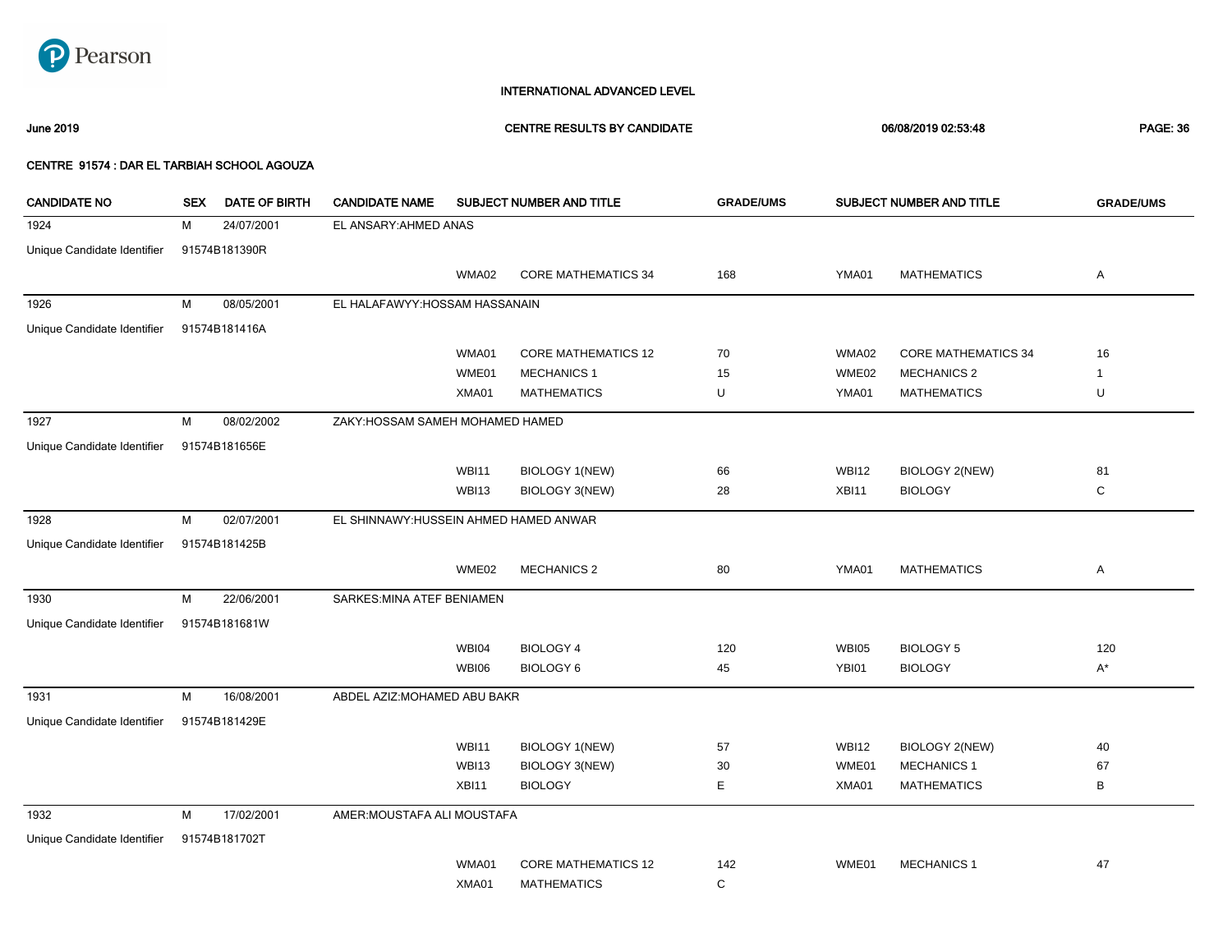

### June 2019 CENTRE RESULTS BY CANDIDATE 06/08/2019 02:53:48 PAGE: 36

| <b>CANDIDATE NO</b>         | <b>SEX</b> | DATE OF BIRTH | <b>CANDIDATE NAME</b>                  |              | SUBJECT NUMBER AND TITLE   | <b>GRADE/UMS</b> |              | SUBJECT NUMBER AND TITLE   | <b>GRADE/UMS</b> |
|-----------------------------|------------|---------------|----------------------------------------|--------------|----------------------------|------------------|--------------|----------------------------|------------------|
| 1924                        | М          | 24/07/2001    | EL ANSARY: AHMED ANAS                  |              |                            |                  |              |                            |                  |
| Unique Candidate Identifier |            | 91574B181390R |                                        |              |                            |                  |              |                            |                  |
|                             |            |               |                                        | WMA02        | <b>CORE MATHEMATICS 34</b> | 168              | YMA01        | <b>MATHEMATICS</b>         | Α                |
| 1926                        | М          | 08/05/2001    | EL HALAFAWYY: HOSSAM HASSANAIN         |              |                            |                  |              |                            |                  |
| Unique Candidate Identifier |            | 91574B181416A |                                        |              |                            |                  |              |                            |                  |
|                             |            |               |                                        | WMA01        | <b>CORE MATHEMATICS 12</b> | 70               | WMA02        | <b>CORE MATHEMATICS 34</b> | 16               |
|                             |            |               |                                        | WME01        | <b>MECHANICS 1</b>         | 15               | WME02        | <b>MECHANICS 2</b>         | $\mathbf{1}$     |
|                             |            |               |                                        | XMA01        | <b>MATHEMATICS</b>         | U                | YMA01        | <b>MATHEMATICS</b>         | U                |
| 1927                        | М          | 08/02/2002    | ZAKY: HOSSAM SAMEH MOHAMED HAMED       |              |                            |                  |              |                            |                  |
| Unique Candidate Identifier |            | 91574B181656E |                                        |              |                            |                  |              |                            |                  |
|                             |            |               |                                        | <b>WBI11</b> | <b>BIOLOGY 1(NEW)</b>      | 66               | <b>WBI12</b> | BIOLOGY 2(NEW)             | 81               |
|                             |            |               |                                        | WBI13        | BIOLOGY 3(NEW)             | 28               | XBI11        | <b>BIOLOGY</b>             | $\mathbf C$      |
| 1928                        | М          | 02/07/2001    | EL SHINNAWY: HUSSEIN AHMED HAMED ANWAR |              |                            |                  |              |                            |                  |
| Unique Candidate Identifier |            | 91574B181425B |                                        |              |                            |                  |              |                            |                  |
|                             |            |               |                                        | WME02        | <b>MECHANICS 2</b>         | 80               | YMA01        | <b>MATHEMATICS</b>         | Α                |
| 1930                        | М          | 22/06/2001    | SARKES: MINA ATEF BENIAMEN             |              |                            |                  |              |                            |                  |
| Unique Candidate Identifier |            | 91574B181681W |                                        |              |                            |                  |              |                            |                  |
|                             |            |               |                                        | WBI04        | <b>BIOLOGY 4</b>           | 120              | WBI05        | <b>BIOLOGY 5</b>           | 120              |
|                             |            |               |                                        | WBI06        | <b>BIOLOGY 6</b>           | 45               | YBI01        | <b>BIOLOGY</b>             | $A^*$            |
| 1931                        | М          | 16/08/2001    | ABDEL AZIZ: MOHAMED ABU BAKR           |              |                            |                  |              |                            |                  |
| Unique Candidate Identifier |            | 91574B181429E |                                        |              |                            |                  |              |                            |                  |
|                             |            |               |                                        | <b>WBI11</b> | <b>BIOLOGY 1(NEW)</b>      | 57               | <b>WBI12</b> | <b>BIOLOGY 2(NEW)</b>      | 40               |
|                             |            |               |                                        | WBI13        | BIOLOGY 3(NEW)             | 30               | WME01        | <b>MECHANICS 1</b>         | 67               |
|                             |            |               |                                        | XBI11        | <b>BIOLOGY</b>             | Е                | XMA01        | <b>MATHEMATICS</b>         | В                |
| 1932                        | М          | 17/02/2001    | AMER: MOUSTAFA ALI MOUSTAFA            |              |                            |                  |              |                            |                  |
| Unique Candidate Identifier |            | 91574B181702T |                                        |              |                            |                  |              |                            |                  |
|                             |            |               |                                        | WMA01        | <b>CORE MATHEMATICS 12</b> | 142              | WME01        | <b>MECHANICS 1</b>         | 47               |
|                             |            |               |                                        | XMA01        | <b>MATHEMATICS</b>         | C                |              |                            |                  |